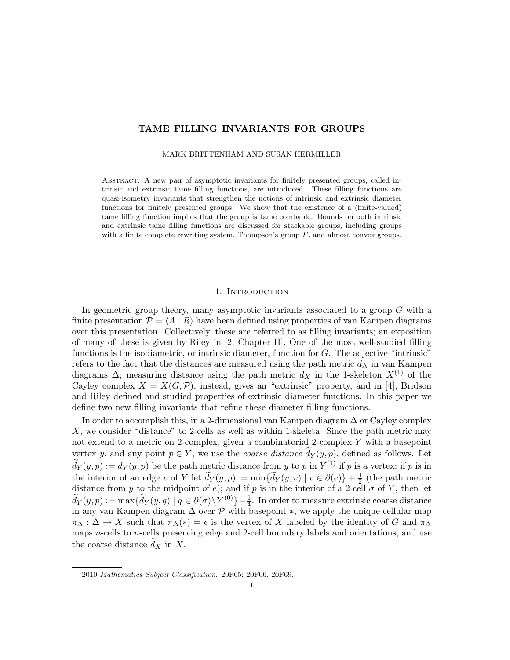# TAME FILLING INVARIANTS FOR GROUPS

MARK BRITTENHAM AND SUSAN HERMILLER

Abstract. A new pair of asymptotic invariants for finitely presented groups, called intrinsic and extrinsic tame filling functions, are introduced. These filling functions are quasi-isometry invariants that strengthen the notions of intrinsic and extrinsic diameter functions for finitely presented groups. We show that the existence of a (finite-valued) tame filling function implies that the group is tame combable. Bounds on both intrinsic and extrinsic tame filling functions are discussed for stackable groups, including groups with a finite complete rewriting system, Thompson's group  $F$ , and almost convex groups.

#### 1. Introduction

In geometric group theory, many asymptotic invariants associated to a group  $G$  with a finite presentation  $\mathcal{P} = \langle A | R \rangle$  have been defined using properties of van Kampen diagrams over this presentation. Collectively, these are referred to as filling invariants; an exposition of many of these is given by Riley in [2, Chapter II]. One of the most well-studied filling functions is the isodiametric, or intrinsic diameter, function for  $G$ . The adjective "intrinsic" refers to the fact that the distances are measured using the path metric  $d<sub>\Delta</sub>$  in van Kampen diagrams  $\Delta$ ; measuring distance using the path metric  $d_X$  in the 1-skeleton  $X^{(1)}$  of the Cayley complex  $X = X(G, \mathcal{P})$ , instead, gives an "extrinsic" property, and in [4], Bridson and Riley defined and studied properties of extrinsic diameter functions. In this paper we define two new filling invariants that refine these diameter filling functions.

In order to accomplish this, in a 2-dimensional van Kampen diagram ∆ or Cayley complex X, we consider "distance" to 2-cells as well as within 1-skeleta. Since the path metric may not extend to a metric on 2-complex, given a combinatorial 2-complex Y with a basepoint vertex y, and any point  $p \in Y$ , we use the *coarse distance*  $d_Y(y, p)$ , defined as follows. Let  $d_Y(y,p) := d_Y(y,p)$  be the path metric distance from y to p in  $Y^{(1)}$  if p is a vertex; if p is in the interior of an edge  $e$  of Y let  $\tilde{d}_Y(y,p) := \min{\{\tilde{d}_Y(y,v) \mid v \in \partial(e)\} + \frac{1}{2}}$  $\frac{1}{2}$  (the path metric distance from y to the midpoint of e); and if p is in the interior of a 2-cell  $\sigma$  of Y, then let  $\widetilde{d}_Y(y,p) := \max\{\widetilde{d}_Y(y,q) \mid q \in \partial(\sigma) \backslash Y^{(0)}\}-\frac{1}{4}.$  In order to measure extrinsic coarse distance in any van Kampen diagram  $\Delta$  over  $\mathcal P$  with basepoint  $\ast$ , we apply the unique cellular map  $\pi_{\Delta}: \Delta \to X$  such that  $\pi_{\Delta}(*) = \epsilon$  is the vertex of X labeled by the identity of G and  $\pi_{\Delta}$ maps n-cells to n-cells preserving edge and 2-cell boundary labels and orientations, and use the coarse distance  $d_X$  in X.

<sup>2010</sup> Mathematics Subject Classification. 20F65; 20F06, 20F69.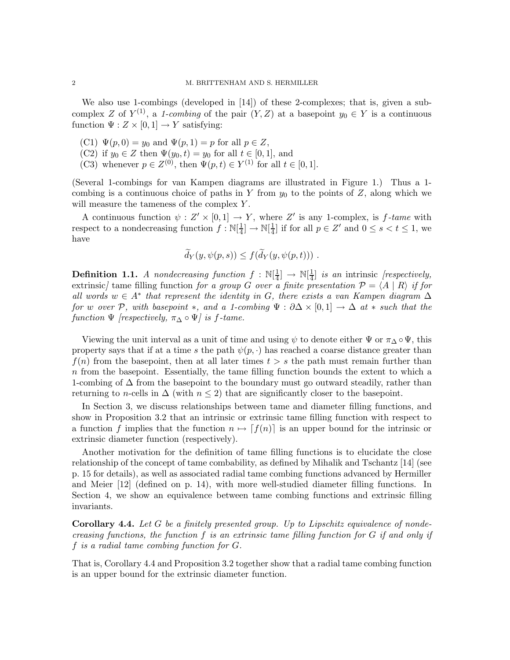We also use 1-combings (developed in [14]) of these 2-complexes; that is, given a subcomplex Z of  $Y^{(1)}$ , a *1-combing* of the pair  $(Y, Z)$  at a basepoint  $y_0 \in Y$  is a continuous function  $\Psi: Z \times [0,1] \rightarrow Y$  satisfying:

- (C1)  $\Psi(p, 0) = y_0$  and  $\Psi(p, 1) = p$  for all  $p \in Z$ ,
- (C2) if  $y_0 \in Z$  then  $\Psi(y_0, t) = y_0$  for all  $t \in [0, 1]$ , and
- (C3) whenever  $p \in Z^{(0)}$ , then  $\Psi(p, t) \in Y^{(1)}$  for all  $t \in [0, 1]$ .

(Several 1-combings for van Kampen diagrams are illustrated in Figure 1.) Thus a 1 combing is a continuous choice of paths in Y from  $y_0$  to the points of Z, along which we will measure the tameness of the complex Y.

A continuous function  $\psi : Z' \times [0,1] \to Y$ , where Z' is any 1-complex, is f-tame with respect to a nondecreasing function  $f : \mathbb{N}[\frac{1}{4}]$  $\frac{1}{4}] \rightarrow \mathbb{N}[\frac{1}{4}]$  $\frac{1}{4}$  if for all  $p \in Z'$  and  $0 \leq s < t \leq 1$ , we have

$$
\tilde{d}_Y(y,\psi(p,s)) \leq f(\tilde{d}_Y(y,\psi(p,t))) .
$$

**Definition 1.1.** *A nondecreasing function*  $f : \mathbb{N}[\frac{1}{4}]$  $\frac{1}{4}$ ]  $\rightarrow \mathbb{N}[\frac{1}{4}]$ 4 ] *is an* intrinsic *[respectively,* extrinsic*]* tame filling function *for a group* G *over a finite presentation*  $P = \langle A | R \rangle$  *if for all words* w ∈ A<sup>∗</sup> *that represent the identity in* G*, there exists a van Kampen diagram* ∆ *for* w *over* P, with basepoint  $*$ , and a 1-combing  $\Psi : \partial \Delta \times [0,1] \to \Delta$  at  $*$  *such that the function*  $\Psi$  *[respectively,*  $\pi_{\Delta} \circ \Psi$ *] is f-tame.* 

Viewing the unit interval as a unit of time and using  $\psi$  to denote either  $\Psi$  or  $\pi_{\Delta} \circ \Psi$ , this property says that if at a time s the path  $\psi(p, \cdot)$  has reached a coarse distance greater than  $f(n)$  from the basepoint, then at all later times  $t > s$  the path must remain further than n from the basepoint. Essentially, the tame filling function bounds the extent to which a 1-combing of  $\Delta$  from the basepoint to the boundary must go outward steadily, rather than returning to *n*-cells in  $\Delta$  (with  $n \leq 2$ ) that are significantly closer to the basepoint.

In Section 3, we discuss relationships between tame and diameter filling functions, and show in Proposition 3.2 that an intrinsic or extrinsic tame filling function with respect to a function f implies that the function  $n \mapsto [f(n)]$  is an upper bound for the intrinsic or extrinsic diameter function (respectively).

Another motivation for the definition of tame filling functions is to elucidate the close relationship of the concept of tame combability, as defined by Mihalik and Tschantz [14] (see p. 15 for details), as well as associated radial tame combing functions advanced by Hermiller and Meier [12] (defined on p. 14), with more well-studied diameter filling functions. In Section 4, we show an equivalence between tame combing functions and extrinsic filling invariants.

Corollary 4.4. *Let* G *be a finitely presented group. Up to Lipschitz equivalence of nondecreasing functions, the function* f *is an extrinsic tame filling function for* G *if and only if* f *is a radial tame combing function for* G*.*

That is, Corollary 4.4 and Proposition 3.2 together show that a radial tame combing function is an upper bound for the extrinsic diameter function.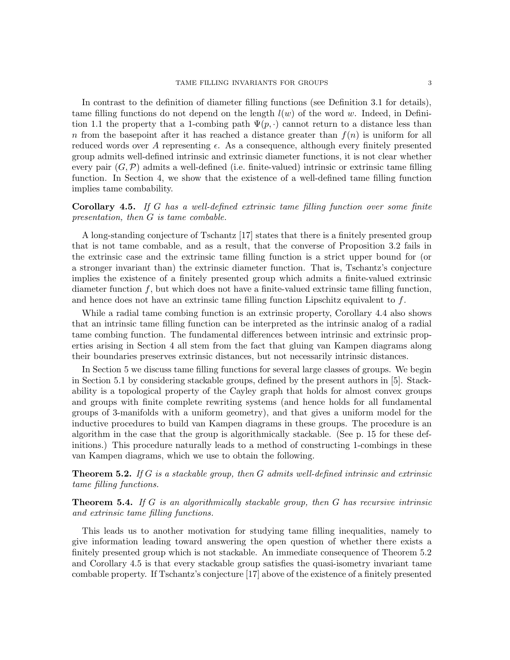In contrast to the definition of diameter filling functions (see Definition 3.1 for details), tame filling functions do not depend on the length  $l(w)$  of the word w. Indeed, in Definition 1.1 the property that a 1-combing path  $\Psi(p, \cdot)$  cannot return to a distance less than n from the basepoint after it has reached a distance greater than  $f(n)$  is uniform for all reduced words over A representing  $\epsilon$ . As a consequence, although every finitely presented group admits well-defined intrinsic and extrinsic diameter functions, it is not clear whether every pair  $(G, \mathcal{P})$  admits a well-defined (i.e. finite-valued) intrinsic or extrinsic tame filling function. In Section 4, we show that the existence of a well-defined tame filling function implies tame combability.

# Corollary 4.5. *If* G *has a well-defined extrinsic tame filling function over some finite presentation, then* G *is tame combable.*

A long-standing conjecture of Tschantz [17] states that there is a finitely presented group that is not tame combable, and as a result, that the converse of Proposition 3.2 fails in the extrinsic case and the extrinsic tame filling function is a strict upper bound for (or a stronger invariant than) the extrinsic diameter function. That is, Tschantz's conjecture implies the existence of a finitely presented group which admits a finite-valued extrinsic diameter function f, but which does not have a finite-valued extrinsic tame filling function, and hence does not have an extrinsic tame filling function Lipschitz equivalent to  $f$ .

While a radial tame combing function is an extrinsic property, Corollary 4.4 also shows that an intrinsic tame filling function can be interpreted as the intrinsic analog of a radial tame combing function. The fundamental differences between intrinsic and extrinsic properties arising in Section 4 all stem from the fact that gluing van Kampen diagrams along their boundaries preserves extrinsic distances, but not necessarily intrinsic distances.

In Section 5 we discuss tame filling functions for several large classes of groups. We begin in Section 5.1 by considering stackable groups, defined by the present authors in [5]. Stackability is a topological property of the Cayley graph that holds for almost convex groups and groups with finite complete rewriting systems (and hence holds for all fundamental groups of 3-manifolds with a uniform geometry), and that gives a uniform model for the inductive procedures to build van Kampen diagrams in these groups. The procedure is an algorithm in the case that the group is algorithmically stackable. (See p. 15 for these definitions.) This procedure naturally leads to a method of constructing 1-combings in these van Kampen diagrams, which we use to obtain the following.

# Theorem 5.2. *If* G *is a stackable group, then* G *admits well-defined intrinsic and extrinsic tame filling functions.*

# Theorem 5.4. *If* G *is an algorithmically stackable group, then* G *has recursive intrinsic and extrinsic tame filling functions.*

This leads us to another motivation for studying tame filling inequalities, namely to give information leading toward answering the open question of whether there exists a finitely presented group which is not stackable. An immediate consequence of Theorem 5.2 and Corollary 4.5 is that every stackable group satisfies the quasi-isometry invariant tame combable property. If Tschantz's conjecture [17] above of the existence of a finitely presented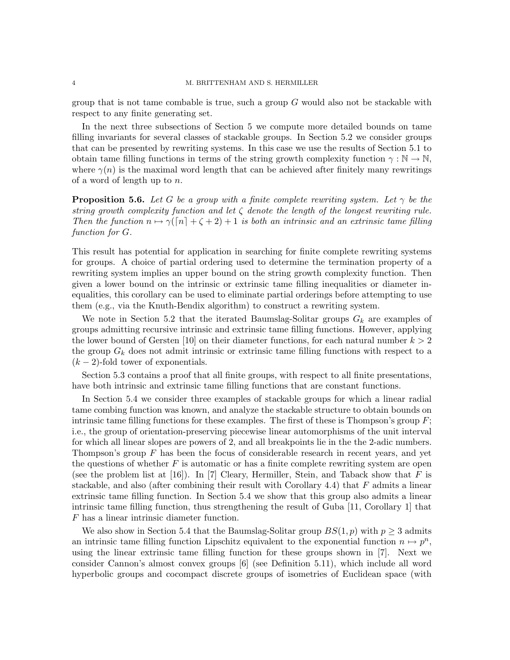group that is not tame combable is true, such a group  $G$  would also not be stackable with respect to any finite generating set.

In the next three subsections of Section 5 we compute more detailed bounds on tame filling invariants for several classes of stackable groups. In Section 5.2 we consider groups that can be presented by rewriting systems. In this case we use the results of Section 5.1 to obtain tame filling functions in terms of the string growth complexity function  $\gamma : \mathbb{N} \to \mathbb{N}$ , where  $\gamma(n)$  is the maximal word length that can be achieved after finitely many rewritings of a word of length up to n.

**Proposition 5.6.** *Let* G *be a group with a finite complete rewriting system. Let*  $\gamma$  *be the string growth complexity function and let* ζ *denote the length of the longest rewriting rule. Then the function*  $n \mapsto \gamma(\lceil n \rceil + \zeta + 2) + 1$  *is both an intrinsic and an extrinsic tame filling function for* G*.*

This result has potential for application in searching for finite complete rewriting systems for groups. A choice of partial ordering used to determine the termination property of a rewriting system implies an upper bound on the string growth complexity function. Then given a lower bound on the intrinsic or extrinsic tame filling inequalities or diameter inequalities, this corollary can be used to eliminate partial orderings before attempting to use them (e.g., via the Knuth-Bendix algorithm) to construct a rewriting system.

We note in Section 5.2 that the iterated Baumslag-Solitar groups  $G_k$  are examples of groups admitting recursive intrinsic and extrinsic tame filling functions. However, applying the lower bound of Gersten [10] on their diameter functions, for each natural number  $k > 2$ the group  $G_k$  does not admit intrinsic or extrinsic tame filling functions with respect to a  $(k-2)$ -fold tower of exponentials.

Section 5.3 contains a proof that all finite groups, with respect to all finite presentations, have both intrinsic and extrinsic tame filling functions that are constant functions.

In Section 5.4 we consider three examples of stackable groups for which a linear radial tame combing function was known, and analyze the stackable structure to obtain bounds on intrinsic tame filling functions for these examples. The first of these is Thompson's group  $F$ ; i.e., the group of orientation-preserving piecewise linear automorphisms of the unit interval for which all linear slopes are powers of 2, and all breakpoints lie in the the 2-adic numbers. Thompson's group  $F$  has been the focus of considerable research in recent years, and yet the questions of whether  $F$  is automatic or has a finite complete rewriting system are open (see the problem list at [16]). In [7] Cleary, Hermiller, Stein, and Taback show that F is stackable, and also (after combining their result with Corollary 4.4) that  $F$  admits a linear extrinsic tame filling function. In Section 5.4 we show that this group also admits a linear intrinsic tame filling function, thus strengthening the result of Guba [11, Corollary 1] that F has a linear intrinsic diameter function.

We also show in Section 5.4 that the Baumslag-Solitar group  $BS(1, p)$  with  $p \geq 3$  admits an intrinsic tame filling function Lipschitz equivalent to the exponential function  $n \mapsto p^n$ , using the linear extrinsic tame filling function for these groups shown in [7]. Next we consider Cannon's almost convex groups [6] (see Definition 5.11), which include all word hyperbolic groups and cocompact discrete groups of isometries of Euclidean space (with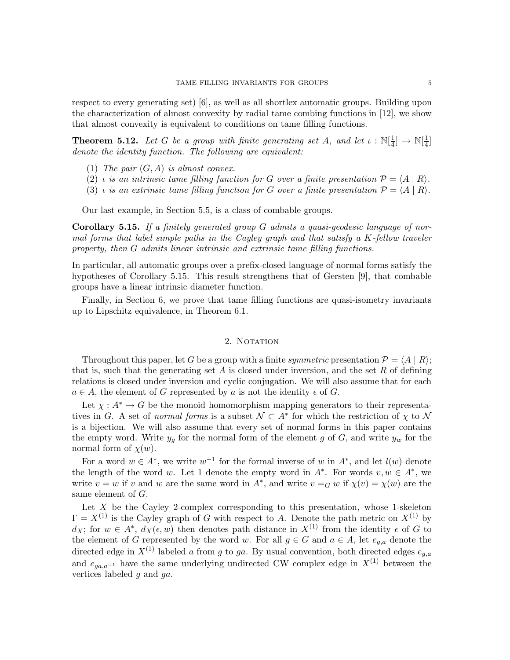respect to every generating set) [6], as well as all shortlex automatic groups. Building upon the characterization of almost convexity by radial tame combing functions in [12], we show that almost convexity is equivalent to conditions on tame filling functions.

**Theorem 5.12.** Let G be a group with finite generating set A, and let  $\iota : \mathbb{N}[\frac{1}{4}]$  $\frac{1}{4}$ ]  $\rightarrow \mathbb{N}[\frac{1}{4}]$  $rac{1}{4}]$ *denote the identity function. The following are equivalent:*

- (1) *The pair* (G,A) *is almost convex.*
- (2) *i is an intrinsic tame filling function for* G *over a finite presentation*  $P = \langle A | R \rangle$ *.*
- (3) *i* is an extrinsic tame filling function for G over a finite presentation  $\mathcal{P} = \langle A | R \rangle$ .

Our last example, in Section 5.5, is a class of combable groups.

Corollary 5.15. *If a finitely generated group* G *admits a quasi-geodesic language of normal forms that label simple paths in the Cayley graph and that satisfy a* K*-fellow traveler property, then* G *admits linear intrinsic and extrinsic tame filling functions.*

In particular, all automatic groups over a prefix-closed language of normal forms satisfy the hypotheses of Corollary 5.15. This result strengthens that of Gersten [9], that combable groups have a linear intrinsic diameter function.

Finally, in Section 6, we prove that tame filling functions are quasi-isometry invariants up to Lipschitz equivalence, in Theorem 6.1.

### 2. NOTATION

Throughout this paper, let G be a group with a finite *symmetric* presentation  $\mathcal{P} = \langle A | R \rangle$ ; that is, such that the generating set  $A$  is closed under inversion, and the set  $R$  of defining relations is closed under inversion and cyclic conjugation. We will also assume that for each  $a \in A$ , the element of G represented by a is not the identity  $\epsilon$  of G.

Let  $\chi : A^* \to G$  be the monoid homomorphism mapping generators to their representatives in G. A set of *normal forms* is a subset  $\mathcal{N} \subset A^*$  for which the restriction of  $\chi$  to  $\mathcal{N}$ is a bijection. We will also assume that every set of normal forms in this paper contains the empty word. Write  $y_g$  for the normal form of the element g of G, and write  $y_w$  for the normal form of  $\chi(w)$ .

For a word  $w \in A^*$ , we write  $w^{-1}$  for the formal inverse of w in  $A^*$ , and let  $l(w)$  denote the length of the word w. Let 1 denote the empty word in  $A^*$ . For words  $v, w \in A^*$ , we write  $v = w$  if v and w are the same word in  $A^*$ , and write  $v = G w$  if  $\chi(v) = \chi(w)$  are the same element of G.

Let  $X$  be the Cayley 2-complex corresponding to this presentation, whose 1-skeleton  $\Gamma = X^{(1)}$  is the Cayley graph of G with respect to A. Denote the path metric on  $X^{(1)}$  by  $d_X$ ; for  $w \in A^*$ ,  $d_X(\epsilon, w)$  then denotes path distance in  $X^{(1)}$  from the identity  $\epsilon$  of G to the element of G represented by the word w. For all  $g \in G$  and  $a \in A$ , let  $e_{g,a}$  denote the directed edge in  $X^{(1)}$  labeled a from g to ga. By usual convention, both directed edges  $e_{g,a}$ and  $e_{aa,a^{-1}}$  have the same underlying undirected CW complex edge in  $X^{(1)}$  between the vertices labeled g and ga.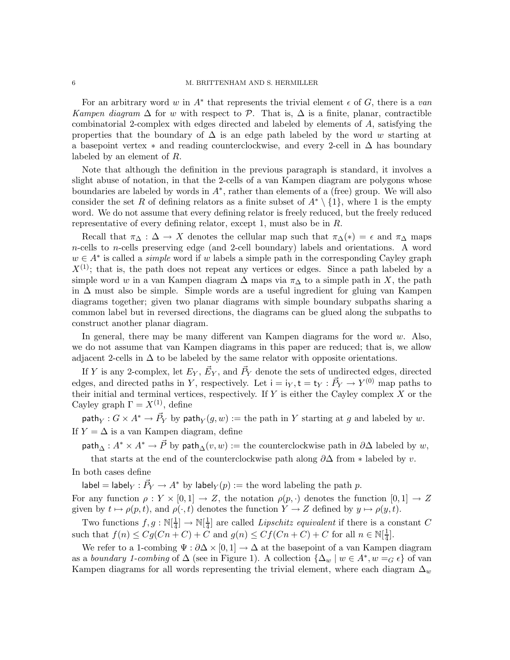For an arbitrary word w in  $A^*$  that represents the trivial element  $\epsilon$  of  $G$ , there is a van *Kampen diagram*  $\Delta$  for w with respect to P. That is,  $\Delta$  is a finite, planar, contractible combinatorial 2-complex with edges directed and labeled by elements of A, satisfying the properties that the boundary of  $\Delta$  is an edge path labeled by the word w starting at a basepoint vertex  $*$  and reading counterclockwise, and every 2-cell in  $\Delta$  has boundary labeled by an element of R.

Note that although the definition in the previous paragraph is standard, it involves a slight abuse of notation, in that the 2-cells of a van Kampen diagram are polygons whose boundaries are labeled by words in  $A^*$ , rather than elements of a (free) group. We will also consider the set R of defining relators as a finite subset of  $A^* \setminus \{1\}$ , where 1 is the empty word. We do not assume that every defining relator is freely reduced, but the freely reduced representative of every defining relator, except 1, must also be in R.

Recall that  $\pi_{\Delta} : \Delta \to X$  denotes the cellular map such that  $\pi_{\Delta}(*) = \epsilon$  and  $\pi_{\Delta}$  maps n-cells to n-cells preserving edge (and 2-cell boundary) labels and orientations. A word  $w \in A^*$  is called a *simple* word if w labels a simple path in the corresponding Cayley graph  $X^{(1)}$ ; that is, the path does not repeat any vertices or edges. Since a path labeled by a simple word w in a van Kampen diagram  $\Delta$  maps via  $\pi_{\Delta}$  to a simple path in X, the path in ∆ must also be simple. Simple words are a useful ingredient for gluing van Kampen diagrams together; given two planar diagrams with simple boundary subpaths sharing a common label but in reversed directions, the diagrams can be glued along the subpaths to construct another planar diagram.

In general, there may be many different van Kampen diagrams for the word w. Also, we do not assume that van Kampen diagrams in this paper are reduced; that is, we allow adjacent 2-cells in  $\Delta$  to be labeled by the same relator with opposite orientations.

If Y is any 2-complex, let  $E_Y$ ,  $\vec{E}_Y$ , and  $\vec{P}_Y$  denote the sets of undirected edges, directed edges, and directed paths in Y, respectively. Let  $i = i_Y, t = t_Y : \vec{P}_Y \to Y^{(0)}$  map paths to their initial and terminal vertices, respectively. If  $Y$  is either the Cayley complex  $X$  or the Cayley graph  $\Gamma = X^{(1)}$ , define

 $\mathsf{path}_Y: G \times A^* \to \vec{P}_Y$  by  $\mathsf{path}_Y(g, w) := \text{the path in } Y$  starting at g and labeled by w. If  $Y = \Delta$  is a van Kampen diagram, define

path<sub>∆</sub> :  $A^* \times A^* \to \vec{P}$  by path<sub>∆</sub>(v, w) := the counterclockwise path in  $\partial \Delta$  labeled by w,

that starts at the end of the counterclockwise path along  $\partial\Delta$  from \* labeled by v.

In both cases define

label = label $_Y : \vec{P}_Y \to A^*$  by label $_Y(p) :=$  the word labeling the path  $p$ .

For any function  $\rho: Y \times [0,1] \to Z$ , the notation  $\rho(p, \cdot)$  denotes the function  $[0,1] \to Z$ given by  $t \mapsto \rho(p,t)$ , and  $\rho(\cdot,t)$  denotes the function  $Y \to Z$  defined by  $y \mapsto \rho(y,t)$ .

Two functions  $f, g : \mathbb{N}[\frac{1}{4}]$  $\frac{1}{4}] \rightarrow \mathbb{N}[\frac{1}{4}]$  $\frac{1}{4}$  are called *Lipschitz equivalent* if there is a constant C such that  $f(n) \leq Cg(Cn+C) + C$  and  $g(n) \leq Cf(Cn+C) + C$  for all  $n \in \mathbb{N}[\frac{1}{4}]$  $\frac{1}{4}$ .

We refer to a 1-combing  $\Psi : \partial \Delta \times [0,1] \to \Delta$  at the basepoint of a van Kampen diagram as a *boundary 1-combing* of  $\Delta$  (see in Figure 1). A collection  $\{\Delta_w \mid w \in A^*, w =_G \epsilon\}$  of van Kampen diagrams for all words representing the trivial element, where each diagram  $\Delta_w$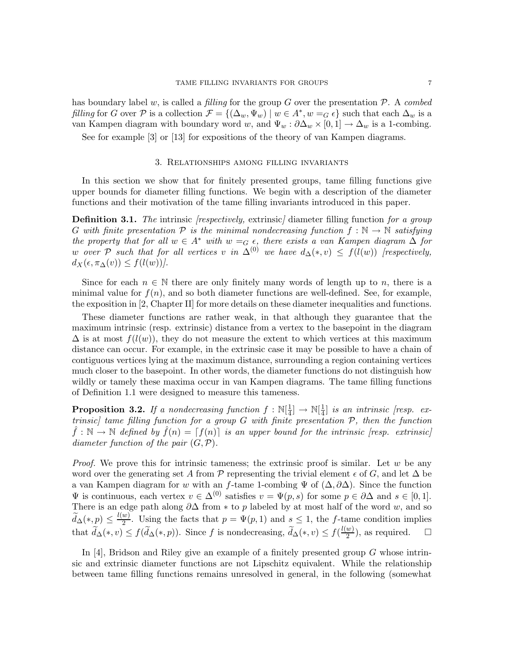has boundary label w, is called a *filling* for the group G over the presentation P. A *combed filling* for G over P is a collection  $\mathcal{F} = \{(\Delta_w, \Psi_w) \mid w \in A^*, w = G \epsilon\}$  such that each  $\Delta_w$  is a van Kampen diagram with boundary word w, and  $\Psi_w : \partial \Delta_w \times [0,1] \to \Delta_w$  is a 1-combing.

See for example [3] or [13] for expositions of the theory of van Kampen diagrams.

## 3. Relationships among filling invariants

In this section we show that for finitely presented groups, tame filling functions give upper bounds for diameter filling functions. We begin with a description of the diameter functions and their motivation of the tame filling invariants introduced in this paper.

Definition 3.1. *The* intrinsic *[respectively,* extrinsic*]* diameter filling function *for a group* G with finite presentation  $P$  is the minimal nondecreasing function  $f : \mathbb{N} \to \mathbb{N}$  satisfying *the property that for all*  $w \in A^*$  *with*  $w =_G \epsilon$ *, there exists a van Kampen diagram*  $\Delta$  *for* w over P such that for all vertices v in  $\Delta^{(0)}$  we have  $d_{\Delta}(*,v) \leq f(l(w))$  [respectively,  $d_X(\epsilon, \pi_\Delta(v)) \leq f(l(w))$ .

Since for each  $n \in \mathbb{N}$  there are only finitely many words of length up to n, there is a minimal value for  $f(n)$ , and so both diameter functions are well-defined. See, for example, the exposition in [2, Chapter II] for more details on these diameter inequalities and functions.

These diameter functions are rather weak, in that although they guarantee that the maximum intrinsic (resp. extrinsic) distance from a vertex to the basepoint in the diagram  $\Delta$  is at most  $f(l(w))$ , they do not measure the extent to which vertices at this maximum distance can occur. For example, in the extrinsic case it may be possible to have a chain of contiguous vertices lying at the maximum distance, surrounding a region containing vertices much closer to the basepoint. In other words, the diameter functions do not distinguish how wildly or tamely these maxima occur in van Kampen diagrams. The tame filling functions of Definition 1.1 were designed to measure this tameness.

**Proposition 3.2.** If a nondecreasing function  $f : \mathbb{N}[\frac{1}{4}]$  $\frac{1}{4}$   $\rightarrow \mathbb{N}[\frac{1}{4}]$ 4 ] *is an intrinsic [resp. extrinsic] tame filling function for a group* G *with finite presentation* P*, then the function*  $\hat{f}: \mathbb{N} \to \mathbb{N}$  defined by  $\hat{f}(n) = [f(n)]$  is an upper bound for the intrinsic [resp. extrinsic] *diameter function of the pair* (G,P)*.*

*Proof.* We prove this for intrinsic tameness; the extrinsic proof is similar. Let w be any word over the generating set A from P representing the trivial element  $\epsilon$  of G, and let  $\Delta$  be a van Kampen diagram for w with an f-tame 1-combing  $\Psi$  of  $(\Delta, \partial \Delta)$ . Since the function  $\Psi$  is continuous, each vertex  $v \in \Delta^{(0)}$  satisfies  $v = \Psi(p, s)$  for some  $p \in \partial \Delta$  and  $s \in [0, 1]$ . There is an edge path along  $\partial\Delta$  from \* to p labeled by at most half of the word w, and so  $\widetilde{d}_{\Delta}(*,p) \leq \frac{l(w)}{2}$  $\frac{w}{2}$ . Using the facts that  $p = \Psi(p, 1)$  and  $s \leq 1$ , the f-tame condition implies that  $\widetilde{d}_{\Delta}(*,v) \le f(\widetilde{d}_{\Delta}(*,p)).$  Since f is nondecreasing,  $\widetilde{d}_{\Delta}(*,v) \le f(\frac{l(w)}{2})$  $\frac{w}{2}$ , as required.  $\square$ 

In [4], Bridson and Riley give an example of a finitely presented group  $G$  whose intrinsic and extrinsic diameter functions are not Lipschitz equivalent. While the relationship between tame filling functions remains unresolved in general, in the following (somewhat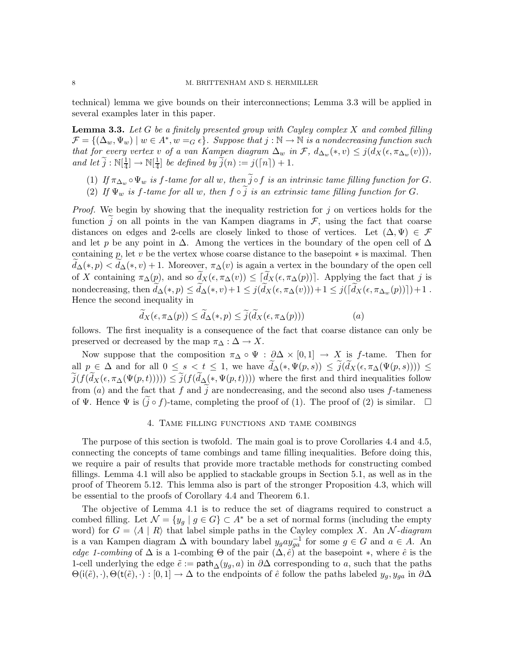technical) lemma we give bounds on their interconnections; Lemma 3.3 will be applied in several examples later in this paper.

Lemma 3.3. *Let* G *be a finitely presented group with Cayley complex* X *and combed filling*  $\mathcal{F} = \{(\Delta_w, \Psi_w) \mid w \in A^*, w =_G \epsilon\}.$  Suppose that  $j : \mathbb{N} \to \mathbb{N}$  is a nondecreasing function such *that for every vertex* v *of a van Kampen diagram*  $\Delta_w$  *in*  $\mathcal{F}$ *,*  $d_{\Delta_w}(*,v) \leq j(d_X(\epsilon,\pi_{\Delta_w}(v)))$ *, and let*  $\widetilde{j}$  :  $\mathbb{N}[\frac{1}{4}]$  $\frac{1}{4}] \rightarrow \mathbb{N}[\frac{1}{4}]$  $\frac{1}{4}$  be defined by  $j(n) := j(\lceil n \rceil) + 1.$ 

- (1) If  $\pi_{\Delta_w} \circ \Psi_w$  *is* f-tame for all w, then  $\tilde{j} \circ f$  *is an intrinsic tame filling function for* G.
- (2) If  $\Psi_w$  *is* f-tame for all w, then  $f \circ \tilde{j}$  *is an extrinsic tame filling function for* G.

*Proof.* We begin by showing that the inequality restriction for j on vertices holds for the function j on all points in the van Kampen diagrams in  $\mathcal{F}$ , using the fact that coarse distances on edges and 2-cells are closely linked to those of vertices. Let  $(\Delta, \Psi) \in \mathcal{F}$ and let p be any point in  $\Delta$ . Among the vertices in the boundary of the open cell of  $\Delta$ containing p, let v be the vertex whose coarse distance to the basepoint  $*$  is maximal. Then  $d_{\Delta}(*,p) < d_{\Delta}(*,v) + 1$ . Moreover,  $\pi_{\Delta}(v)$  is again a vertex in the boundary of the open cell of X containing  $\pi_{\Delta}(p)$ , and so  $\widetilde{d}_{X}(\epsilon, \pi_{\Delta}(v)) \leq [\widetilde{d}_{X}(\epsilon, \pi_{\Delta}(p))]$ . Applying the fact that j is nondecreasing, then  $\tilde{d}_{\Delta}(*,p) \leq \tilde{d}_{\Delta}(*,v)+1 \leq j(\tilde{d}_X(\epsilon,\pi_{\Delta}(v)))+1 \leq j(\tilde{d}_X(\epsilon,\pi_{\Delta_w}(p)))+1$ . Hence the second inequality in

$$
d_X(\epsilon, \pi_\Delta(p)) \le d_\Delta(*, p) \le \tilde{j}(d_X(\epsilon, \pi_\Delta(p))) \tag{a}
$$

follows. The first inequality is a consequence of the fact that coarse distance can only be preserved or decreased by the map  $\pi_{\Delta} : \Delta \to X$ .

Now suppose that the composition  $\pi_{\Delta} \circ \Psi : \partial \Delta \times [0,1] \to X$  is f-tame. Then for all  $p \in \Delta$  and for all  $0 \le s < t \le 1$ , we have  $\widetilde{d}_{\Delta}(*, \Psi(p, s)) \le \widetilde{j}(\widetilde{d}_{X}(\epsilon, \pi_{\Delta}(\Psi(p, s)))) \le$  $\widetilde{j}(f(\widetilde{d}_X(\epsilon,\pi_{\Delta}(\Psi(p,t)))) \leq \widetilde{j}(f(\widetilde{d}_{\Delta}(*,\Psi(p,t))))$  where the first and third inequalities follow from (a) and the fact that f and  $\tilde{j}$  are nondecreasing, and the second also uses f-tameness of Ψ. Hence Ψ is  $(j \circ f)$ -tame, completing the proof of (1). The proof of (2) is similar.  $\Box$ 

### 4. Tame filling functions and tame combings

The purpose of this section is twofold. The main goal is to prove Corollaries 4.4 and 4.5, connecting the concepts of tame combings and tame filling inequalities. Before doing this, we require a pair of results that provide more tractable methods for constructing combed fillings. Lemma 4.1 will also be applied to stackable groups in Section 5.1, as well as in the proof of Theorem 5.12. This lemma also is part of the stronger Proposition 4.3, which will be essential to the proofs of Corollary 4.4 and Theorem 6.1.

The objective of Lemma 4.1 is to reduce the set of diagrams required to construct a combed filling. Let  $\mathcal{N} = \{y_g \mid g \in G\} \subset A^*$  be a set of normal forms (including the empty word) for  $G = \langle A | R \rangle$  that label simple paths in the Cayley complex X. An N-*diagram* is a van Kampen diagram  $\Delta$  with boundary label  $y_g a y_{ga}^{-1}$  for some  $g \in G$  and  $a \in A$ . An *edge 1-combing* of  $\Delta$  is a 1-combing  $\Theta$  of the pair  $(\Delta, \hat{e})$  at the basepoint  $*$ , where  $\hat{e}$  is the 1-cell underlying the edge  $\tilde{e} := \text{path}_{\Delta}(y_q, a)$  in  $\partial \Delta$  corresponding to a, such that the paths  $\Theta(i(\tilde{e}), \cdot), \Theta(t(\tilde{e}), \cdot) : [0, 1] \to \Delta$  to the endpoints of  $\hat{e}$  follow the paths labeled  $y_g, y_{ga}$  in  $\partial \Delta$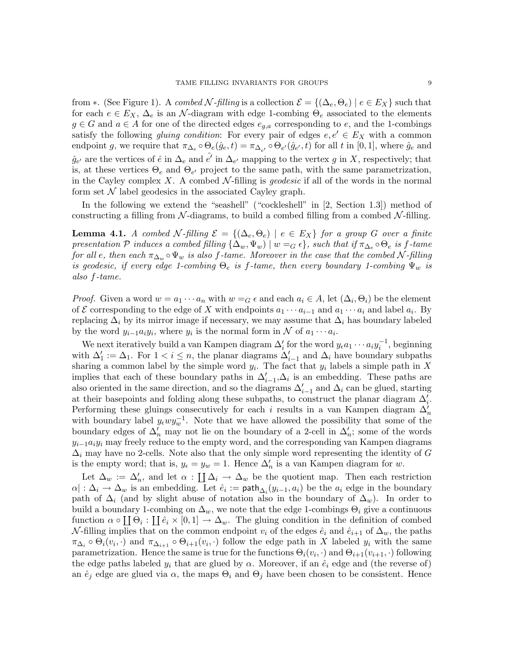from  $\ast$ . (See Figure 1). A *combed* N-filling is a collection  $\mathcal{E} = \{(\Delta_e, \Theta_e) \mid e \in E_X\}$  such that for each  $e \in E_X$ ,  $\Delta_e$  is an N-diagram with edge 1-combing  $\Theta_e$  associated to the elements  $g \in G$  and  $a \in A$  for one of the directed edges  $e_{q,a}$  corresponding to e, and the 1-combings satisfy the following *gluing condition*: For every pair of edges  $e, e' \in E_X$  with a common endpoint g, we require that  $\pi_{\Delta_e} \circ \Theta_e(\hat{g}_e, t) = \pi_{\Delta_{e'}} \circ \Theta_{e'}(\hat{g}_{e'}, t)$  for all t in [0, 1], where  $\hat{g}_e$  and  $\hat{g}_{e'}$  are the vertices of  $\hat{e}$  in  $\Delta_e$  and  $\hat{e'}$  in  $\Delta_{e'}$  mapping to the vertex g in X, respectively; that is, at these vertices  $\Theta_e$  and  $\Theta_{e'}$  project to the same path, with the same parametrization, in the Cayley complex  $X$ . A combed  $\mathcal N$ -filling is *geodesic* if all of the words in the normal form set  $\mathcal N$  label geodesics in the associated Cayley graph.

In the following we extend the "seashell" ("cockleshell" in [2, Section 1.3]) method of constructing a filling from  $\mathcal N$ -diagrams, to build a combed filling from a combed  $\mathcal N$ -filling.

**Lemma 4.1.** *A combed* N-filling  $\mathcal{E} = \{(\Delta_e, \Theta_e) | e \in E_X\}$  for a group G over a finite *presentation*  $\mathcal P$  *induces a combed filling*  $\{\Delta_w, \Psi_w\}$  |  $w = G \epsilon\}$ *, such that if*  $\pi_{\Delta_e} \circ \Theta_e$  *is f*-tame *for all e*, then each  $\pi_{\Delta_w} \circ \Psi_w$  *is also f-tame. Moreover in the case that the combed* N-*filling is geodesic, if every edge 1-combing*  $\Theta_e$  *is f-tame, then every boundary 1-combing*  $\Psi_w$  *is also* f*-tame.*

*Proof.* Given a word  $w = a_1 \cdots a_n$  with  $w = G \in A$  and each  $a_i \in A$ , let  $(\Delta_i, \Theta_i)$  be the element of E corresponding to the edge of X with endpoints  $a_1 \cdots a_{i-1}$  and  $a_1 \cdots a_i$  and label  $a_i$ . By replacing  $\Delta_i$  by its mirror image if necessary, we may assume that  $\Delta_i$  has boundary labeled by the word  $y_{i-1}a_iy_i$ , where  $y_i$  is the normal form in N of  $a_1 \cdots a_i$ .

We next iteratively build a van Kampen diagram  $\Delta'_i$  for the word  $y_{\epsilon}a_1 \cdots a_i y_i^{-1}$ , beginning with  $\Delta'_1 := \Delta_1$ . For  $1 < i \leq n$ , the planar diagrams  $\Delta'_{i-1}$  and  $\Delta_i$  have boundary subpaths sharing a common label by the simple word  $y_i$ . The fact that  $y_i$  labels a simple path in X implies that each of these boundary paths in  $\Delta'_{i-1}, \Delta_i$  is an embedding. These paths are also oriented in the same direction, and so the diagrams  $\Delta'_{i-1}$  and  $\Delta_i$  can be glued, starting at their basepoints and folding along these subpaths, to construct the planar diagram  $\Delta'_{i}$ . Performing these gluings consecutively for each i results in a van Kampen diagram  $\Delta'_n$ with boundary label  $y_{\epsilon}wy_w^{-1}$ . Note that we have allowed the possibility that some of the boundary edges of  $\Delta'_n$  may not lie on the boundary of a 2-cell in  $\Delta'_n$ ; some of the words  $y_{i-1}a_iy_i$  may freely reduce to the empty word, and the corresponding van Kampen diagrams  $\Delta_i$  may have no 2-cells. Note also that the only simple word representing the identity of G is the empty word; that is,  $y_{\epsilon} = y_w = 1$ . Hence  $\Delta'_n$  is a van Kampen diagram for w.

Let  $\Delta_w := \Delta'_n$ , and let  $\alpha : \prod_{i} \Delta_i \to \Delta_w$  be the quotient map. Then each restriction  $\alpha$ | :  $\Delta_i \to \Delta_w$  is an embedding. Let  $\hat{e}_i := \textsf{path}_{\Delta_i}(y_{i-1}, a_i)$  be the  $a_i$  edge in the boundary path of  $\Delta_i$  (and by slight abuse of notation also in the boundary of  $\Delta_w$ ). In order to build a boundary 1-combing on  $\Delta_w$ , we note that the edge 1-combings  $\Theta_i$  give a continuous function  $\alpha \circ \prod \Theta_i : \prod \hat{e}_i \times [0,1] \to \Delta_w$ . The gluing condition in the definition of combed N-filling implies that on the common endpoint  $v_i$  of the edges  $\hat{e}_i$  and  $\hat{e}_{i+1}$  of  $\Delta_w$ , the paths  $\pi_{\Delta_i} \circ \Theta_i(v_i, \cdot)$  and  $\pi_{\Delta_{i+1}} \circ \Theta_{i+1}(v_i, \cdot)$  follow the edge path in X labeled  $y_i$  with the same parametrization. Hence the same is true for the functions  $\Theta_i(v_i, \cdot)$  and  $\Theta_{i+1}(v_{i+1}, \cdot)$  following the edge paths labeled  $y_i$  that are glued by  $\alpha$ . Moreover, if an  $\hat{e}_i$  edge and (the reverse of) an  $\hat{e}_j$  edge are glued via  $\alpha$ , the maps  $\Theta_i$  and  $\Theta_j$  have been chosen to be consistent. Hence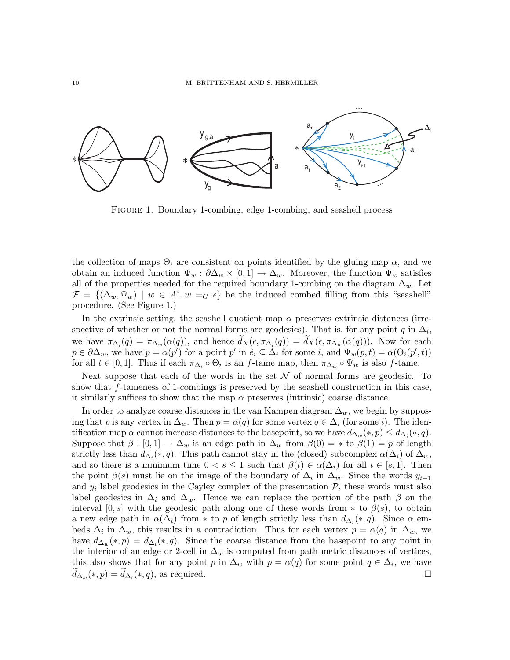

Figure 1. Boundary 1-combing, edge 1-combing, and seashell process

the collection of maps  $\Theta_i$  are consistent on points identified by the gluing map  $\alpha$ , and we obtain an induced function  $\Psi_w : \partial \Delta_w \times [0,1] \to \Delta_w$ . Moreover, the function  $\Psi_w$  satisfies all of the properties needed for the required boundary 1-combing on the diagram  $\Delta_w$ . Let  $\mathcal{F} = \{(\Delta_w, \Psi_w) \mid w \in A^*, w =_G \epsilon\}$  be the induced combed filling from this "seashell" procedure. (See Figure 1.)

In the extrinsic setting, the seashell quotient map  $\alpha$  preserves extrinsic distances (irrespective of whether or not the normal forms are geodesics). That is, for any point  $q$  in  $\Delta_i$ , we have  $\pi_{\Delta_i}(q) = \pi_{\Delta_w}(\alpha(q))$ , and hence  $d_X(\epsilon, \pi_{\Delta_i}(q)) = d_X(\epsilon, \pi_{\Delta_w}(\alpha(q)))$ . Now for each  $p \in \partial \Delta_w$ , we have  $p = \alpha(p')$  for a point p' in  $\hat{e}_i \subseteq \Delta_i$  for some i, and  $\Psi_w(p,t) = \alpha(\Theta_i(p',t))$ for all  $t \in [0,1]$ . Thus if each  $\pi_{\Delta_i} \circ \Theta_i$  is an f-tame map, then  $\pi_{\Delta_w} \circ \Psi_w$  is also f-tame.

Next suppose that each of the words in the set  $\mathcal N$  of normal forms are geodesic. To show that f-tameness of 1-combings is preserved by the seashell construction in this case, it similarly suffices to show that the map  $\alpha$  preserves (intrinsic) coarse distance.

In order to analyze coarse distances in the van Kampen diagram  $\Delta_w$ , we begin by supposing that p is any vertex in  $\Delta_w$ . Then  $p = \alpha(q)$  for some vertex  $q \in \Delta_i$  (for some i). The identification map  $\alpha$  cannot increase distances to the basepoint, so we have  $d_{\Delta_w}(*,p) \leq d_{\Delta_i}(*,q)$ . Suppose that  $\beta : [0,1] \to \Delta_w$  is an edge path in  $\Delta_w$  from  $\beta(0) = *$  to  $\beta(1) = p$  of length strictly less than  $d_{\Delta_i}(*, q)$ . This path cannot stay in the (closed) subcomplex  $\alpha(\Delta_i)$  of  $\Delta_w$ , and so there is a minimum time  $0 < s \leq 1$  such that  $\beta(t) \in \alpha(\Delta_i)$  for all  $t \in [s, 1]$ . Then the point  $\beta(s)$  must lie on the image of the boundary of  $\Delta_i$  in  $\Delta_w$ . Since the words  $y_{i-1}$ and  $y_i$  label geodesics in the Cayley complex of the presentation  $P$ , these words must also label geodesics in  $\Delta_i$  and  $\Delta_w$ . Hence we can replace the portion of the path  $\beta$  on the interval [0,s] with the geodesic path along one of these words from  $*$  to  $\beta(s)$ , to obtain a new edge path in  $\alpha(\Delta_i)$  from \* to p of length strictly less than  $d_{\Delta_i}(*,q)$ . Since  $\alpha$  embeds  $\Delta_i$  in  $\Delta_w$ , this results in a contradiction. Thus for each vertex  $p = \alpha(q)$  in  $\Delta_w$ , we have  $d_{\Delta_w}(*,p) = d_{\Delta_i}(*,q)$ . Since the coarse distance from the basepoint to any point in the interior of an edge or 2-cell in  $\Delta_w$  is computed from path metric distances of vertices, this also shows that for any point p in  $\Delta_w$  with  $p = \alpha(q)$  for some point  $q \in \Delta_i$ , we have  $\widetilde{d}_{\Delta_w}(*,p) = \widetilde{d}_{\Delta_i}(*,q)$ , as required.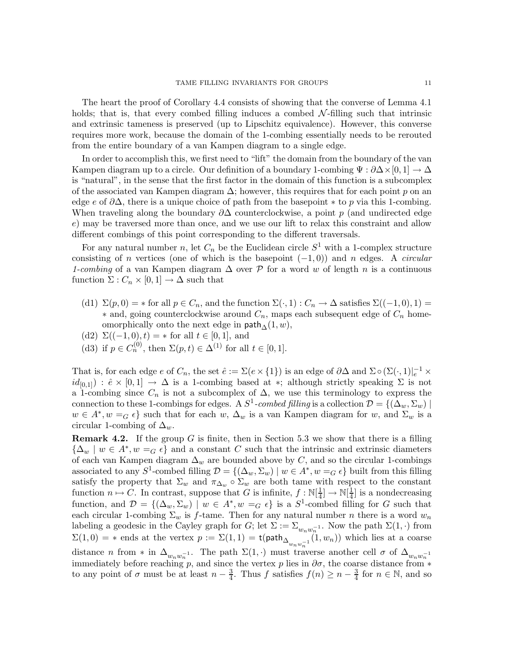The heart the proof of Corollary 4.4 consists of showing that the converse of Lemma 4.1 holds; that is, that every combed filling induces a combed  $\mathcal{N}\text{-filling}$  such that intrinsic and extrinsic tameness is preserved (up to Lipschitz equivalence). However, this converse requires more work, because the domain of the 1-combing essentially needs to be rerouted from the entire boundary of a van Kampen diagram to a single edge.

In order to accomplish this, we first need to "lift" the domain from the boundary of the van Kampen diagram up to a circle. Our definition of a boundary 1-combing  $\Psi : \partial \Delta \times [0, 1] \to \Delta$ is "natural", in the sense that the first factor in the domain of this function is a subcomplex of the associated van Kampen diagram  $\Delta$ ; however, this requires that for each point p on an edge e of  $\partial\Delta$ , there is a unique choice of path from the basepoint  $*$  to p via this 1-combing. When traveling along the boundary  $\partial\Delta$  counterclockwise, a point p (and undirected edge e) may be traversed more than once, and we use our lift to relax this constraint and allow different combings of this point corresponding to the different traversals.

For any natural number n, let  $C_n$  be the Euclidean circle  $S^1$  with a 1-complex structure consisting of n vertices (one of which is the basepoint (−1, 0)) and n edges. A *circular 1-combing* of a van Kampen diagram  $\Delta$  over P for a word w of length n is a continuous function  $\Sigma: C_n \times [0,1] \to \Delta$  such that

- (d1)  $\Sigma(p,0) = *$  for all  $p \in C_n$ , and the function  $\Sigma(\cdot,1): C_n \to \Delta$  satisfies  $\Sigma((-1,0),1) =$  $*$  and, going counterclockwise around  $C_n$ , maps each subsequent edge of  $C_n$  homeomorphically onto the next edge in  $\mathsf{path}_{\Delta}(1,w)$ ,
- (d2)  $\Sigma((-1,0),t) = *$  for all  $t \in [0,1]$ , and
- (d3) if  $p \in C_n^{(0)}$ , then  $\Sigma(p, t) \in \Delta^{(1)}$  for all  $t \in [0, 1]$ .

That is, for each edge  $e$  of  $C_n$ , the set  $\hat{e} := \Sigma(e \times \{1\})$  is an edge of  $\partial \Delta$  and  $\Sigma \circ (\Sigma(\cdot, 1)|_e^{-1} \times$  $id_{[0,1]}$ :  $\hat{e} \times [0,1] \rightarrow \Delta$  is a 1-combing based at \*; although strictly speaking  $\Sigma$  is not a 1-combing since  $C_n$  is not a subcomplex of  $\Delta$ , we use this terminology to express the connection to these 1-combings for edges. A  $S^1$ -combed filling is a collection  $\mathcal{D} = \{(\Delta_w, \Sigma_w) \mid$  $w \in A^*, w =_G \epsilon$  such that for each w,  $\Delta_w$  is a van Kampen diagram for w, and  $\Sigma_w$  is a circular 1-combing of  $\Delta_w$ .

**Remark 4.2.** If the group G is finite, then in Section 5.3 we show that there is a filling  $\{\Delta_w \mid w \in A^*, w =_G \epsilon\}$  and a constant C such that the intrinsic and extrinsic diameters of each van Kampen diagram  $\Delta_w$  are bounded above by C, and so the circular 1-combings associated to any  $S^1$ -combed filling  $\mathcal{D} = \{(\Delta_w, \Sigma_w) \mid w \in A^*, w =_G \epsilon\}$  built from this filling satisfy the property that  $\Sigma_w$  and  $\pi_{\Delta_w} \circ \Sigma_w$  are both tame with respect to the constant function  $n \mapsto C$ . In contrast, suppose that G is infinite,  $f : \mathbb{N}[\frac{1}{4}]$  $\frac{1}{4}$ ]  $\rightarrow \mathbb{N}[\frac{1}{4}]$  $\frac{1}{4}$  is a nondecreasing function, and  $\mathcal{D} = \{(\Delta_w, \Sigma_w) \mid w \in A^*, w =_G \epsilon\}$  is a  $S^1$ -combed filling for G such that each circular 1-combing  $\Sigma_w$  is f-tame. Then for any natural number n there is a word  $w_n$ labeling a geodesic in the Cayley graph for  $G$ ; let  $\Sigma := \Sigma_{w_n w_n^{-1}}$ . Now the path  $\Sigma(1, \cdot)$  from  $\Sigma(1,0) = *$  ends at the vertex  $p := \Sigma(1,1) = t(\text{path}_{\Delta_{w_n w_n^{-1}}}(1,w_n))$  which lies at a coarse distance n from \* in  $\Delta_{w_n w_n^{-1}}$ . The path  $\Sigma(1, \cdot)$  must traverse another cell  $\sigma$  of  $\Delta_{w_n w_n^{-1}}$ immediately before reaching p, and since the vertex p lies in  $\partial \sigma$ , the coarse distance from  $*$ to any point of  $\sigma$  must be at least  $n-\frac{3}{4}$  $\frac{3}{4}$ . Thus f satisfies  $f(n) \geq n - \frac{3}{4}$  $\frac{3}{4}$  for  $n \in \mathbb{N}$ , and so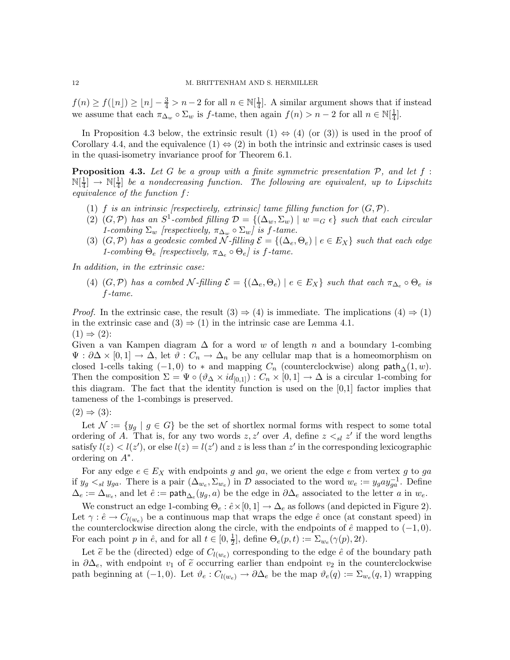$f(n) \ge f(\lfloor n \rfloor) \ge \lfloor n \rfloor - \frac{3}{4} > n - 2$  for all  $n \in \mathbb{N}[\frac{1}{4}]$  $\frac{1}{4}$ . A similar argument shows that if instead we assume that each  $\pi_{\Delta_w} \circ \Sigma_w$  is f-tame, then again  $f(n) > n-2$  for all  $n \in \mathbb{N}[\frac{1}{4}]$  $\frac{1}{4}$ .

In Proposition 4.3 below, the extrinsic result  $(1) \Leftrightarrow (4)$  (or (3)) is used in the proof of Corollary 4.4, and the equivalence  $(1) \Leftrightarrow (2)$  in both the intrinsic and extrinsic cases is used in the quasi-isometry invariance proof for Theorem 6.1.

Proposition 4.3. *Let* G *be a group with a finite symmetric presentation* P*, and let* f :  $\mathbb{N}[\frac{1}{4}]$  $\frac{1}{4}$ ]  $\rightarrow \mathbb{N}[\frac{1}{4}]$  $\frac{1}{4}$  be a nondecreasing function. The following are equivalent, up to Lipschitz *equivalence of the function* f*:*

- (1) f *is an intrinsic [respectively, extrinsic]* tame filling function for  $(G, \mathcal{P})$ .
- (2)  $(G, \mathcal{P})$  has an  $S^1$ -combed filling  $\mathcal{D} = \{(\Delta_w, \Sigma_w) \mid w =_G \epsilon\}$  such that each circular *1-combing*  $\Sigma_w$  *[respectively,*  $\pi_{\Delta_w} \circ \Sigma_w$ *] is f-tame.*
- (3)  $(G, \mathcal{P})$  *has a geodesic combed* N-filling  $\mathcal{E} = \{(\Delta_e, \Theta_e) | e \in E_X\}$  *such that each edge 1-combing*  $\Theta_e$  *[respectively,*  $\pi_{\Delta_e} \circ \Theta_e$ *] is f-tame.*

*In addition, in the extrinsic case:*

(4)  $(G, \mathcal{P})$  *has a combed*  $\mathcal{N}$ -filling  $\mathcal{E} = \{(\Delta_e, \Theta_e) \mid e \in E_X\}$  *such that each*  $\pi_{\Delta_e} \circ \Theta_e$  *is* f*-tame.*

*Proof.* In the extrinsic case, the result  $(3) \Rightarrow (4)$  is immediate. The implications  $(4) \Rightarrow (1)$ in the extrinsic case and  $(3) \Rightarrow (1)$  in the intrinsic case are Lemma 4.1.  $(1) \Rightarrow (2)$ :

Given a van Kampen diagram  $\Delta$  for a word w of length n and a boundary 1-combing  $\Psi : \partial \Delta \times [0,1] \to \Delta$ , let  $\vartheta : C_n \to \Delta_n$  be any cellular map that is a homeomorphism on closed 1-cells taking  $(-1, 0)$  to  $*$  and mapping  $C_n$  (counterclockwise) along path<sub>△</sub> $(1, w)$ . Then the composition  $\Sigma = \Psi \circ (\vartheta_{\Delta} \times id_{[0,1]}): C_n \times [0,1] \to \Delta$  is a circular 1-combing for this diagram. The fact that the identity function is used on the [0,1] factor implies that tameness of the 1-combings is preserved.

 $(2) \Rightarrow (3)$ :

Let  $\mathcal{N} := \{y_g \mid g \in G\}$  be the set of shortlex normal forms with respect to some total ordering of A. That is, for any two words z, z' over A, define  $z \leq_{sl} z'$  if the word lengths satisfy  $l(z) < l(z')$ , or else  $l(z) = l(z')$  and z is less than z' in the corresponding lexicographic ordering on  $A^*$ .

For any edge  $e \in E_X$  with endpoints g and ga, we orient the edge e from vertex g to ga if  $y_g \lt_{sl} y_{ga}$ . There is a pair  $(\Delta_{w_e}, \Sigma_{w_e})$  in  $\mathcal D$  associated to the word  $w_e := y_g a y_{ga}^{-1}$ . Define  $\Delta_e := \Delta_{w_e}$ , and let  $\hat{e} := \mathsf{path}_{\Delta_e}(y_g, a)$  be the edge in  $\partial \Delta_e$  associated to the letter a in  $w_e$ .

We construct an edge 1-combing  $\Theta_e : \hat{e} \times [0, 1] \to \Delta_e$  as follows (and depicted in Figure 2). Let  $\gamma : \hat{e} \to C_{l(w_e)}$  be a continuous map that wraps the edge  $\hat{e}$  once (at constant speed) in the counterclockwise direction along the circle, with the endpoints of  $\hat{e}$  mapped to  $(-1, 0)$ . For each point p in  $\hat{e}$ , and for all  $t \in [0, \frac{1}{2}]$  $\frac{1}{2}$ , define  $\Theta_e(p,t) := \Sigma_{w_e}(\gamma(p), 2t)$ .

Let  $\tilde{e}$  be the (directed) edge of  $C_{l(w_e)}$  corresponding to the edge  $\hat{e}$  of the boundary path in  $\partial \Delta_e$ , with endpoint  $v_1$  of  $\tilde{e}$  occurring earlier than endpoint  $v_2$  in the counterclockwise path beginning at  $(-1,0)$ . Let  $\vartheta_e: C_{l(w_e)} \to \partial \Delta_e$  be the map  $\vartheta_e(q):=\Sigma_{w_e}(q,1)$  wrapping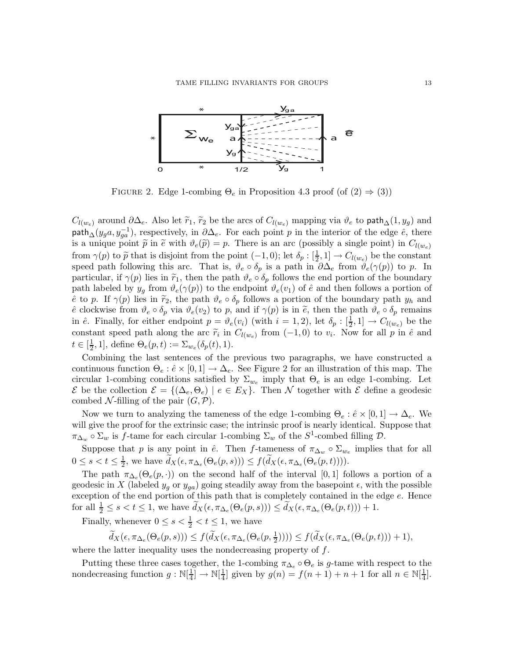

FIGURE 2. Edge 1-combing  $\Theta_e$  in Proposition 4.3 proof (of  $(2) \Rightarrow (3)$ )

 $C_{l(w_e)}$  around  $\partial\Delta_e$ . Also let  $\widetilde{r}_1$ ,  $\widetilde{r}_2$  be the arcs of  $C_{l(w_e)}$  mapping via  $\vartheta_e$  to path<sub>∆</sub>(1,y<sub>g</sub>) and path<sub>∆</sub>(y<sub>g</sub>a, y<sub>ga</sub><sup>-1</sup>), respectively, in  $\partial\Delta_e$ . For each point p in the interior of the edge  $\hat{e}$ , there is a unique point  $\tilde{p}$  in  $\tilde{e}$  with  $\vartheta_e(\tilde{p}) = p$ . There is an arc (possibly a single point) in  $C_{l(w_e)}$ from  $\gamma(p)$  to  $\tilde{p}$  that is disjoint from the point  $(-1, 0)$ ; let  $\delta_p : [\frac{1}{2}, 1] \to C_{l(w_e)}$  be the constant speed path following this arc. That is,  $\vartheta_e \circ \delta_p$  is a path in  $\partial \Delta_e$  from  $\vartheta_e(\gamma(p))$  to p. In particular, if  $\gamma(p)$  lies in  $\tilde{r}_1$ , then the path  $\vartheta_e \circ \delta_p$  follows the end portion of the boundary path labeled by  $y_q$  from  $\vartheta_e(\gamma(p))$  to the endpoint  $\vartheta_e(v_1)$  of  $\hat{e}$  and then follows a portion of  $\hat{e}$  to p. If  $\gamma(p)$  lies in  $\tilde{r}_2$ , the path  $\vartheta_e \circ \delta_p$  follows a portion of the boundary path  $y_h$  and  $\hat{e}$  clockwise from  $\vartheta_e \circ \delta_p$  via  $\vartheta_e(v_2)$  to p, and if  $\gamma(p)$  is in  $\tilde{e}$ , then the path  $\vartheta_e \circ \delta_p$  remains in  $\hat{e}$ . Finally, for either endpoint  $p = \vartheta_e(v_i)$  (with  $i = 1, 2$ ), let  $\delta_p : [\frac{1}{2}, 1] \to C_{l(w_e)}$  be the constant speed path along the arc  $\tilde{r}_i$  in  $C_{l(w_e)}$  from  $(-1,0)$  to  $v_i$ . Now for all p in  $\hat{e}$  and  $t\in[\frac{1}{2}]$  $\frac{1}{2}$ , 1], define  $\Theta_e(p,t) := \Sigma_{w_e}(\delta_p(t), 1)$ .

Combining the last sentences of the previous two paragraphs, we have constructed a continuous function  $\Theta_e : \hat{e} \times [0,1] \to \Delta_e$ . See Figure 2 for an illustration of this map. The circular 1-combing conditions satisfied by  $\Sigma_{w_e}$  imply that  $\Theta_e$  is an edge 1-combing. Let  $\mathcal E$  be the collection  $\mathcal E = \{(\Delta_e, \Theta_e) \mid e \in E_X\}.$  Then N together with  $\mathcal E$  define a geodesic combed N-filling of the pair  $(G, \mathcal{P})$ .

Now we turn to analyzing the tameness of the edge 1-combing  $\Theta_e : \hat{e} \times [0,1] \to \Delta_e$ . We will give the proof for the extrinsic case; the intrinsic proof is nearly identical. Suppose that  $\pi_{\Delta_w} \circ \Sigma_w$  is f-tame for each circular 1-combing  $\Sigma_w$  of the  $S^1$ -combed filling  $\mathcal{D}$ .

Suppose that p is any point in  $\hat{e}$ . Then f-tameness of  $\pi_{\Delta_w} \circ \Sigma_{w_e}$  implies that for all  $0\leq s < t \leq \frac{1}{2}$  $\frac{1}{2}$ , we have  $d_X(\epsilon, \pi_{\Delta_e}(\Theta_e(p, s))) \leq f(d_X(\epsilon, \pi_{\Delta_e}(\Theta_e(p, t))))$ .

The path  $\pi_{\Delta_e}(\Theta_e(p,\cdot))$  on the second half of the interval [0,1] follows a portion of a geodesic in X (labeled  $y_q$  or  $y_{qa}$ ) going steadily away from the basepoint  $\epsilon$ , with the possible exception of the end portion of this path that is completely contained in the edge  $e$ . Hence for all  $\frac{1}{2} \leq s < t \leq 1$ , we have  $\widetilde{d}_X(\epsilon, \pi_{\Delta_e}(\Theta_e(p, s))) \leq \widetilde{d}_X(\epsilon, \pi_{\Delta_e}(\Theta_e(p, t))) + 1$ .

Finally, whenever  $0 \leq s < \frac{1}{2} < t \leq 1$ , we have

$$
\widetilde{d}_X(\epsilon, \pi_{\Delta_e}(\Theta_e(p, s))) \le f(\widetilde{d}_X(\epsilon, \pi_{\Delta_e}(\Theta_e(p, \frac{1}{2})))) \le f(\widetilde{d}_X(\epsilon, \pi_{\Delta_e}(\Theta_e(p, t))) + 1),
$$

where the latter inequality uses the nondecreasing property of f.

Putting these three cases together, the 1-combing  $\pi_{\Delta_e} \circ \Theta_e$  is g-tame with respect to the nondecreasing function  $g: \mathbb{N}[\frac{1}{4}]$  $\frac{1}{4}] \rightarrow \mathbb{N}[\frac{1}{4}]$  $\frac{1}{4}$ ] given by  $g(n) = f(n+1) + n + 1$  for all  $n \in \mathbb{N}[\frac{1}{4}]$  $\frac{1}{4}$ .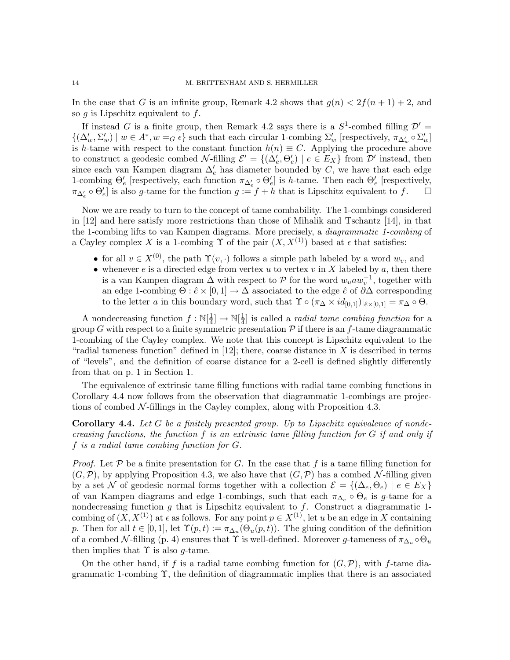In the case that G is an infinite group, Remark 4.2 shows that  $g(n) < 2f(n+1) + 2$ , and so  $g$  is Lipschitz equivalent to  $f$ .

If instead G is a finite group, then Remark 4.2 says there is a  $S^1$ -combed filling  $\mathcal{D}'$  =  $\{(\Delta'_w, \Sigma'_w) \mid w \in A^*, w =_G \epsilon\}$  such that each circular 1-combing  $\Sigma'_w$  [respectively,  $\pi_{\Delta'_w} \circ \Sigma'_w$ ] is h-tame with respect to the constant function  $h(n) \equiv C$ . Applying the procedure above to construct a geodesic combed  $\mathcal{N}\text{-filling }\mathcal{E}' = \{(\Delta'_e, \Theta'_e) \mid e \in E_X\}$  from  $\mathcal{D}'$  instead, then since each van Kampen diagram  $\Delta'_{e}$  has diameter bounded by C, we have that each edge 1-combing  $\Theta'_e$  [respectively, each function  $\pi_{\Delta'_e} \circ \Theta'_e$ ] is h-tame. Then each  $\Theta'_e$  [respectively,  $\pi_{\Delta'_{e}} \circ \Theta'_{e}$  is also g-tame for the function  $g := f + h$  that is Lipschitz equivalent to f.  $\Box$ 

Now we are ready to turn to the concept of tame combability. The 1-combings considered in [12] and here satisfy more restrictions than those of Mihalik and Tschantz [14], in that the 1-combing lifts to van Kampen diagrams. More precisely, a *diagrammatic 1-combing* of a Cayley complex X is a 1-combing  $\Upsilon$  of the pair  $(X, X<sup>(1)</sup>)$  based at  $\epsilon$  that satisfies:

- for all  $v \in X^{(0)}$ , the path  $\Upsilon(v, \cdot)$  follows a simple path labeled by a word  $w_v$ , and
- whenever  $e$  is a directed edge from vertex  $u$  to vertex  $v$  in  $X$  labeled by  $a$ , then there is a van Kampen diagram  $\Delta$  with respect to P for the word  $w_uaw_v^{-1}$ , together with an edge 1-combing  $\Theta : \hat{e} \times [0,1] \to \Delta$  associated to the edge  $\hat{e}$  of  $\partial \Delta$  corresponding to the letter a in this boundary word, such that  $\Upsilon \circ (\pi_{\Delta} \times id_{[0,1]})|_{\hat{e} \times [0,1]} = \pi_{\Delta} \circ \Theta$ .

A nondecreasing function  $f : \mathbb{N}[\frac{1}{4}]$  $\frac{1}{4}$ ]  $\rightarrow \mathbb{N}[\frac{1}{4}]$  $\frac{1}{4}$  is called a *radial tame combing function* for a group G with respect to a finite symmetric presentation  $\mathcal P$  if there is an f-tame diagrammatic 1-combing of the Cayley complex. We note that this concept is Lipschitz equivalent to the "radial tameness function" defined in [12]; there, coarse distance in X is described in terms of "levels", and the definition of coarse distance for a 2-cell is defined slightly differently from that on p. 1 in Section 1.

The equivalence of extrinsic tame filling functions with radial tame combing functions in Corollary 4.4 now follows from the observation that diagrammatic 1-combings are projections of combed  $N$ -fillings in the Cayley complex, along with Proposition 4.3.

Corollary 4.4. *Let* G *be a finitely presented group. Up to Lipschitz equivalence of nondecreasing functions, the function* f *is an extrinsic tame filling function for* G *if and only if* f *is a radial tame combing function for* G*.*

*Proof.* Let  $P$  be a finite presentation for G. In the case that f is a tame filling function for  $(G, \mathcal{P})$ , by applying Proposition 4.3, we also have that  $(G, \mathcal{P})$  has a combed N-filling given by a set N of geodesic normal forms together with a collection  $\mathcal{E} = \{(\Delta_e, \Theta_e) \mid e \in E_X\}$ of van Kampen diagrams and edge 1-combings, such that each  $\pi_{\Delta_e} \circ \Theta_e$  is g-tame for a nondecreasing function  $g$  that is Lipschitz equivalent to  $f$ . Construct a diagrammatic 1combing of  $(X, X^{(1)})$  at  $\epsilon$  as follows. For any point  $p \in X^{(1)}$ , let u be an edge in X containing p. Then for all  $t \in [0,1]$ , let  $\Upsilon(p,t) := \pi_{\Delta_u}(\Theta_u(p,t))$ . The gluing condition of the definition of a combed N-filling (p. 4) ensures that  $\Upsilon$  is well-defined. Moreover g-tameness of  $\pi_{\Delta_u} \circ \Theta_u$ then implies that  $\Upsilon$  is also g-tame.

On the other hand, if f is a radial tame combing function for  $(G,\mathcal{P})$ , with f-tame diagrammatic 1-combing Υ, the definition of diagrammatic implies that there is an associated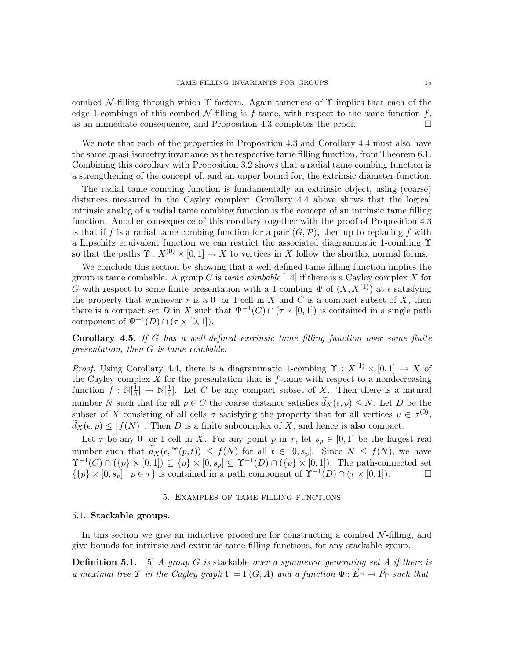combed N-filling through which  $\Upsilon$  factors. Again tameness of  $\Upsilon$  implies that each of the edge 1-combings of this combed N-filling is  $f$ -tame, with respect to the same function  $f$ , as an immediate consequence, and Proposition 4.3 completes the proof.  $\Box$ 

We note that each of the properties in Proposition 4.3 and Corollary 4.4 must also have the same quasi-isometry invariance as the respective tame filling function, from Theorem 6.1. Combining this corollary with Proposition 3.2 shows that a radial tame combing function is a strengthening of the concept of, and an upper bound for, the extrinsic diameter function.

The radial tame combing function is fundamentally an extrinsic object, using (coarse) distances measured in the Cayley complex; Corollary 4.4 above shows that the logical intrinsic analog of a radial tame combing function is the concept of an intrinsic tame filling function. Another consequence of this corollary together with the proof of Proposition 4.3 is that if f is a radial tame combing function for a pair  $(G, \mathcal{P})$ , then up to replacing f with a Lipschitz equivalent function we can restrict the associated diagrammatic 1-combing Υ so that the paths  $\Upsilon$  :  $X^{(0)} \times [0,1] \to X$  to vertices in X follow the shortlex normal forms.

We conclude this section by showing that a well-defined tame filling function implies the group is tame combable. A group G is *tame combable* [14] if there is a Cayley complex X for G with respect to some finite presentation with a 1-combing  $\Psi$  of  $(X, X^{(1)})$  at  $\epsilon$  satisfying the property that whenever  $\tau$  is a 0- or 1-cell in X and C is a compact subset of X, then there is a compact set D in X such that  $\Psi^{-1}(C) \cap (\tau \times [0,1])$  is contained in a single path component of  $\Psi^{-1}(D) \cap (\tau \times [0,1]).$ 

Corollary 4.5. *If* G *has a well-defined extrinsic tame filling function over some finite presentation, then* G *is tame combable.*

*Proof.* Using Corollary 4.4, there is a diagrammatic 1-combing  $\Upsilon$  :  $X^{(1)} \times [0,1] \rightarrow X$  of the Cayley complex  $X$  for the presentation that is  $f$ -tame with respect to a nondecreasing function  $f : \mathbb{N}[\frac{1}{4}]$  $\frac{1}{4}$ ]  $\rightarrow \mathbb{N}[\frac{1}{4}]$  $\frac{1}{4}$ . Let C be any compact subset of X. Then there is a natural number N such that for all  $p \in C$  the coarse distance satisfies  $d_X(\epsilon, p) \leq N$ . Let D be the subset of X consisting of all cells  $\sigma$  satisfying the property that for all vertices  $v \in \sigma^{(0)}$ ,  $d_X(\epsilon,p) \leq [f(N)]$ . Then D is a finite subcomplex of X, and hence is also compact.

Let  $\tau$  be any 0- or 1-cell in X. For any point p in  $\tau$ , let  $s_p \in [0,1]$  be the largest real number such that  $\widetilde{d}_X(\epsilon, \Upsilon(p,t)) \leq f(N)$  for all  $t \in [0, s_p]$ . Since  $N \leq f(N)$ , we have  $\Upsilon^{-1}(C) \cap (\{p\} \times [0,1]) \subseteq \{p\} \times [0,s_p] \subseteq \Upsilon^{-1}(D) \cap (\{p\} \times [0,1])$ . The path-connected set  $\{p\}\times[0,s_p] \mid p\in\tau\}$  is contained in a path component of  $\Upsilon^{-1}(D) \cap (\tau\times[0,1])$ .

### 5. Examples of tame filling functions

### 5.1. Stackable groups.

In this section we give an inductive procedure for constructing a combed  $\mathcal{N}\text{-filling}$ , and give bounds for intrinsic and extrinsic tame filling functions, for any stackable group.

Definition 5.1. [5] *A group* G *is* stackable *over a symmetric generating set* A *if there is a* maximal tree T in the Cayley graph  $\Gamma = \Gamma(G, A)$  and a function  $\Phi : \vec{E}_{\Gamma} \to \vec{P}_{\Gamma}$  such that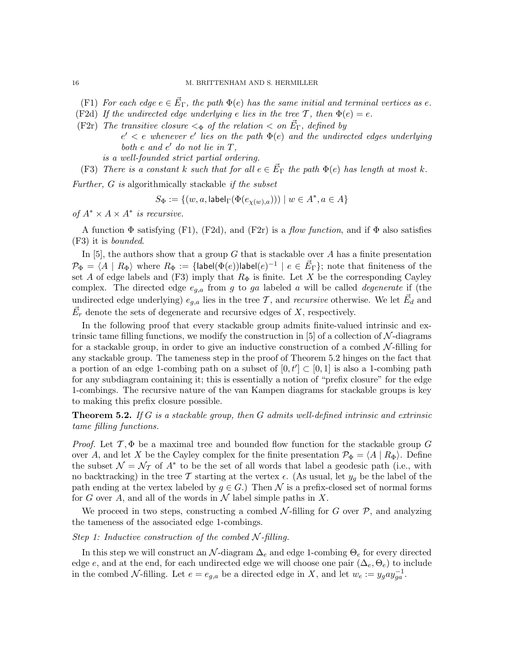- $(F1)$  *For each edge*  $e \in \vec{E}_{\Gamma}$ , the path  $\Phi(e)$  *has the same initial and terminal vertices as e.*
- (F2d) If the undirected edge underlying e lies in the tree T, then  $\Phi(e) = e$ .
- (F2r) The transitive closure  $\lt_{\Phi}$  of the relation  $\lt$  on  $\vec{E}_{\Gamma}$ , defined by  $e' < e$  whenever  $e'$  lies on the path  $\Phi(e)$  and the undirected edges underlying both  $e$  and  $e'$  do not lie in  $T$ , *is a well-founded strict partial ordering.*
	- (F3) *There is a constant* k such that for all  $e \in \vec{E}_{\Gamma}$  the path  $\Phi(e)$  has length at most k.

*Further,* G *is* algorithmically stackable *if the subset*

$$
S_{\Phi} := \{ (w, a, \text{label}_{\Gamma}(\Phi(e_{\chi(w),a}))) \mid w \in A^*, a \in A \}
$$

*of*  $A^* \times A \times A^*$  *is recursive.* 

A function Φ satisfying (F1), (F2d), and (F2r) is a *flow function*, and if Φ also satisfies (F3) it is *bounded*.

In  $[5]$ , the authors show that a group G that is stackable over A has a finite presentation  $\mathcal{P}_{\Phi} = \langle A \mid R_\Phi \rangle$  where  $R_\Phi := \{\textsf{label}(\Phi(e))\textsf{label}(e)^{-1} \mid e \in \vec{E}_{\Gamma}\};$  note that finiteness of the set A of edge labels and (F3) imply that  $R_{\Phi}$  is finite. Let X be the corresponding Cayley complex. The directed edge eg,a from g to ga labeled a will be called *degenerate* if (the undirected edge underlying)  $e_{g,a}$  lies in the tree T, and *recursive* otherwise. We let  $\vec{E}_d$  and  $\vec{E}_r$  denote the sets of degenerate and recursive edges of X, respectively.

In the following proof that every stackable group admits finite-valued intrinsic and extrinsic tame filling functions, we modify the construction in  $[5]$  of a collection of N-diagrams for a stackable group, in order to give an inductive construction of a combed  $\mathcal{N}\text{-filling}$  for any stackable group. The tameness step in the proof of Theorem 5.2 hinges on the fact that a portion of an edge 1-combing path on a subset of  $[0,t'] \subset [0,1]$  is also a 1-combing path for any subdiagram containing it; this is essentially a notion of "prefix closure" for the edge 1-combings. The recursive nature of the van Kampen diagrams for stackable groups is key to making this prefix closure possible.

Theorem 5.2. *If* G *is a stackable group, then* G *admits well-defined intrinsic and extrinsic tame filling functions.*

*Proof.* Let  $\mathcal{T}, \Phi$  be a maximal tree and bounded flow function for the stackable group G over A, and let X be the Cayley complex for the finite presentation  $\mathcal{P}_{\Phi} = \langle A | R_{\Phi} \rangle$ . Define the subset  $\mathcal{N} = \mathcal{N}_{\mathcal{T}}$  of  $A^*$  to be the set of all words that label a geodesic path (i.e., with no backtracking) in the tree T starting at the vertex  $\epsilon$ . (As usual, let  $y_g$  be the label of the path ending at the vertex labeled by  $q \in G$ .) Then N is a prefix-closed set of normal forms for G over A, and all of the words in  $\mathcal N$  label simple paths in X.

We proceed in two steps, constructing a combed  $\mathcal{N}\text{-filling}$  for G over  $\mathcal{P}$ , and analyzing the tameness of the associated edge 1-combings.

# *Step 1: Inductive construction of the combed*  $N$ -filling.

In this step we will construct an  $\mathcal{N}$ -diagram  $\Delta_e$  and edge 1-combing  $\Theta_e$  for every directed edge e, and at the end, for each undirected edge we will choose one pair  $(\Delta_e, \Theta_e)$  to include in the combed N-filling. Let  $e = e_{g,a}$  be a directed edge in X, and let  $w_e := y_g a y_{ga}^{-1}$ .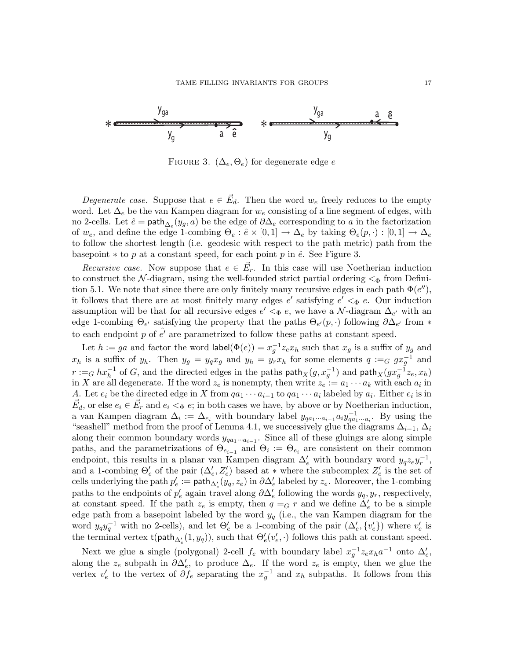

FIGURE 3.  $(\Delta_e, \Theta_e)$  for degenerate edge e

*Degenerate case.* Suppose that  $e \in \vec{E}_d$ . Then the word  $w_e$  freely reduces to the empty word. Let  $\Delta_e$  be the van Kampen diagram for  $w_e$  consisting of a line segment of edges, with no 2-cells. Let  $\hat{e} = \text{path}_{\Delta_e}(y_g, a)$  be the edge of  $\partial \Delta_e$  corresponding to a in the factorization of  $w_e$ , and define the edge 1-combing  $\Theta_e : \hat{e} \times [0,1] \to \Delta_e$  by taking  $\Theta_e(p, \cdot) : [0,1] \to \Delta_e$ to follow the shortest length (i.e. geodesic with respect to the path metric) path from the basepoint  $*$  to p at a constant speed, for each point p in  $\hat{e}$ . See Figure 3.

*Recursive case.* Now suppose that  $e \in \vec{E}_r$ . In this case will use Noetherian induction to construct the N-diagram, using the well-founded strict partial ordering  $\lt_{\Phi}$  from Definition 5.1. We note that since there are only finitely many recursive edges in each path  $\Phi(e'')$ , it follows that there are at most finitely many edges  $e'$  satisfying  $e' <_{\Phi} e$ . Our induction assumption will be that for all recursive edges  $e' <_{\Phi} e$ , we have a N-diagram  $\Delta_{e'}$  with an edge 1-combing  $\Theta_{e'}$  satisfying the property that the paths  $\Theta_{e'}(p, \cdot)$  following  $\partial \Delta_{e'}$  from \* to each endpoint p of  $\hat{e'}$  are parametrized to follow these paths at constant speed.

Let  $h := ga$  and factor the word label $(\Phi(e)) = x_g^{-1} z_e x_h$  such that  $x_g$  is a suffix of  $y_g$  and  $x_h$  is a suffix of  $y_h$ . Then  $y_g = y_q x_g$  and  $y_h = y_r x_h$  for some elements  $q :=_G g x_g^{-1}$  and  $r :=_G hx_h^{-1}$  of G, and the directed edges in the paths  $\mathsf{path}_X(g, x_g^{-1})$  and  $\mathsf{path}_X(gx_g^{-1}z_e, x_h)$ in X are all degenerate. If the word  $z_e$  is nonempty, then write  $z_e := a_1 \cdots a_k$  with each  $a_i$  in A. Let  $e_i$  be the directed edge in X from  $qa_1 \cdots a_{i-1}$  to  $qa_1 \cdots a_i$  labeled by  $a_i$ . Either  $e_i$  is in  $\vec{E}_d$ , or else  $e_i \in \vec{E}_r$  and  $e_i <_{\Phi} e$ ; in both cases we have, by above or by Noetherian induction, a van Kampen diagram  $\Delta_i := \Delta_{e_i}$  with boundary label  $y_{qa_1\cdots a_{i-1}} a_i y_{qa_1\cdots a_i}^{-1}$ . By using the "seashell" method from the proof of Lemma 4.1, we successively glue the diagrams  $\Delta_{i-1}$ ,  $\Delta_i$ along their common boundary words  $y_{qa_1\cdots a_{i-1}}$ . Since all of these gluings are along simple paths, and the parametrizations of  $\Theta_{e_{i-1}}$  and  $\Theta_i := \Theta_{e_i}$  are consistent on their common endpoint, this results in a planar van Kampen diagram  $\Delta'_{e}$  with boundary word  $y_{q}z_{e}y_{r}^{-1}$ , and a 1-combing  $\Theta'_e$  of the pair  $(\Delta'_e, Z'_e)$  based at  $*$  where the subcomplex  $Z'_e$  is the set of cells underlying the path  $p'_e := \textsf{path}_{\Delta'_e}(y'_q, z_e)$  in  $\partial \Delta'_e$  labeled by  $z_e$ . Moreover, the 1-combing paths to the endpoints of  $p'_e$  again travel along  $\partial \Delta'_e$  following the words  $y_q, y_r$ , respectively, at constant speed. If the path  $z_e$  is empty, then  $q = G r$  and we define  $\Delta'_e$  to be a simple edge path from a basepoint labeled by the word  $y_q$  (i.e., the van Kampen diagram for the word  $y_q y_q^{-1}$  with no 2-cells), and let  $\Theta'_e$  be a 1-combing of the pair  $(\Delta'_e, \{v'_e\})$  $(v'_e)$  where  $v'_e$  $_e'$  is the terminal vertex  $t(\text{path}_{\Delta'_e}(1,y_q))$ , such that  $\Theta'_e(v'_e,\cdot)$  follows this path at constant speed.

Next we glue a single (polygonal) 2-cell  $f_e$  with boundary label  $x_g^{-1} z_e x_h a^{-1}$  onto  $\Delta'_e$ , along the  $z_e$  subpath in  $\partial \Delta'_e$ , to produce  $\Delta_e$ . If the word  $z_e$  is empty, then we glue the vertex  $v'_e$  to the vertex of  $\partial f_e$  separating the  $x_g^{-1}$  and  $x_h$  subpaths. It follows from this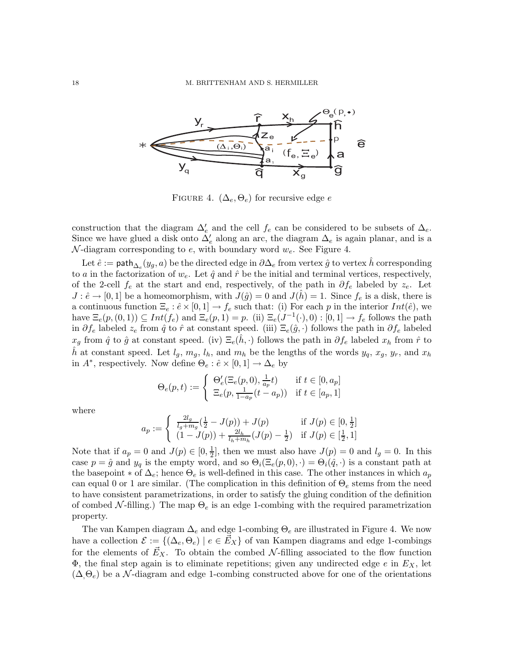

FIGURE 4.  $(\Delta_e, \Theta_e)$  for recursive edge e

construction that the diagram  $\Delta'_{e}$  and the cell  $f_e$  can be considered to be subsets of  $\Delta_{e}$ . Since we have glued a disk onto  $\Delta'_{e}$  along an arc, the diagram  $\Delta_{e}$  is again planar, and is a  $\mathcal{N}$ -diagram corresponding to e, with boundary word  $w_e$ . See Figure 4.

Let  $\hat{e}:=\textsf{path}_{\Delta_e}(y_g,a)$  be the directed edge in  $\partial\Delta_e$  from vertex  $\hat{g}$  to vertex  $\hat{h}$  corresponding to a in the factorization of  $w_e$ . Let  $\hat{q}$  and  $\hat{r}$  be the initial and terminal vertices, respectively, of the 2-cell  $f_e$  at the start and end, respectively, of the path in  $\partial f_e$  labeled by  $z_e$ . Let  $J : \hat{e} \to [0,1]$  be a homeomorphism, with  $J(\hat{g}) = 0$  and  $J(h) = 1$ . Since  $f_e$  is a disk, there is a continuous function  $\Xi_e : \hat{e} \times [0,1] \to f_e$  such that: (i) For each p in the interior  $Int(\hat{e})$ , we have  $\Xi_e(p,(0,1)) \subseteq Int(f_e)$  and  $\Xi_e(p,1) = p$ . (ii)  $\Xi_e(J^{-1}(\cdot),0) : [0,1] \to f_e$  follows the path in  $\partial f_e$  labeled  $z_e$  from  $\hat{q}$  to  $\hat{r}$  at constant speed. (iii)  $\Xi_e(\hat{g},\cdot)$  follows the path in  $\partial f_e$  labeled  $x_g$  from  $\hat{q}$  to  $\hat{g}$  at constant speed. (iv)  $\Xi_e(h, \cdot)$  follows the path in  $\partial f_e$  labeled  $x_h$  from  $\hat{r}$  to h at constant speed. Let  $l_q$ ,  $m_q$ ,  $l_h$ , and  $m_h$  be the lengths of the words  $y_q$ ,  $x_q$ ,  $y_r$ , and  $x_h$ in  $A^*$ , respectively. Now define  $\Theta_e : \hat{e} \times [0,1] \to \Delta_e$  by

$$
\Theta_e(p,t) := \begin{cases} \Theta'_e(\Xi_e(p,0), \frac{1}{a_p}t) & \text{if } t \in [0, a_p] \\ \Xi_e(p, \frac{1}{1-a_p}(t-a_p)) & \text{if } t \in [a_p, 1] \end{cases}
$$

where

$$
a_p := \begin{cases} \frac{2l_g}{l_g + m_g} (\frac{1}{2} - J(p)) + J(p) & \text{if } J(p) \in [0, \frac{1}{2}] \\ (1 - J(p)) + \frac{2l_h}{l_h + m_h} (J(p) - \frac{1}{2}) & \text{if } J(p) \in [\frac{1}{2}, 1] \end{cases}
$$

Note that if  $a_p = 0$  and  $J(p) \in [0, \frac{1}{2}]$  $\frac{1}{2}$ , then we must also have  $J(p) = 0$  and  $l_g = 0$ . In this case  $p = \hat{g}$  and  $y_q$  is the empty word, and so  $\Theta_i(\Xi_e(p, 0), \cdot) = \Theta_i(\hat{q}, \cdot)$  is a constant path at the basepoint  $*$  of  $\Delta_e$ ; hence  $\Theta_e$  is well-defined in this case. The other instances in which  $a_p$ can equal 0 or 1 are similar. (The complication in this definition of  $\Theta_e$  stems from the need to have consistent parametrizations, in order to satisfy the gluing condition of the definition of combed  $\mathcal{N}\text{-filling}$ .) The map  $\Theta_e$  is an edge 1-combing with the required parametrization property.

The van Kampen diagram  $\Delta_e$  and edge 1-combing  $\Theta_e$  are illustrated in Figure 4. We now have a collection  $\mathcal{E} := \{(\Delta_e, \Theta_e) \mid e \in E_X\}$  of van Kampen diagrams and edge 1-combings for the elements of  $E_X$ . To obtain the combed  $\mathcal{N}\text{-filling associated to the flow function}$ Φ, the final step again is to eliminate repetitions; given any undirected edge  $e$  in  $E<sub>X</sub>$ , let  $(\Delta \Theta_e)$  be a N-diagram and edge 1-combing constructed above for one of the orientations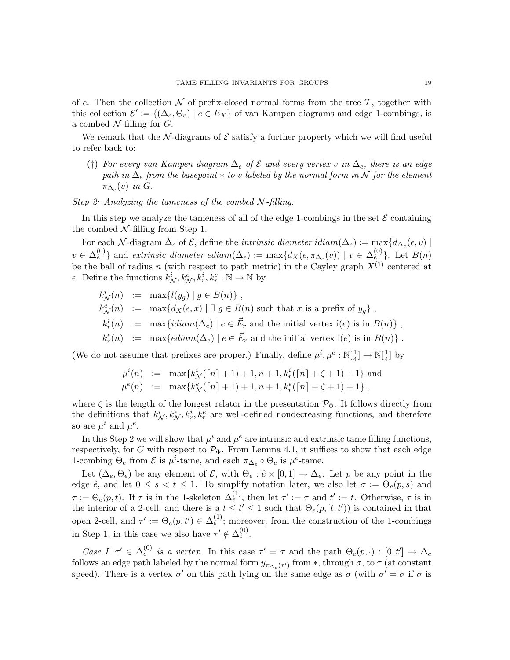of e. Then the collection  $\mathcal N$  of prefix-closed normal forms from the tree  $\mathcal T$ , together with this collection  $\mathcal{E}' := \{(\Delta_e, \Theta_e) \mid e \in E_X\}$  of van Kampen diagrams and edge 1-combings, is a combed  $N$ -filling for  $G$ .

We remark that the N-diagrams of  $\mathcal E$  satisfy a further property which we will find useful to refer back to:

(†) *For every van Kampen diagram* ∆<sup>e</sup> *of* E *and every vertex* v *in* ∆e*, there is an edge path in*  $\Delta_e$  *from the basepoint*  $*$  *to* v *labeled by the normal form in* N *for the element*  $\pi_{\Delta_e}(v)$  *in*  $G$ .

## *Step 2: Analyzing the tameness of the combed* N *-filling.*

In this step we analyze the tameness of all of the edge 1-combings in the set  $\mathcal E$  containing the combed  $N$ -filling from Step 1.

For each N-diagram  $\Delta_e$  of  $\mathcal E$ , define the *intrinsic diameter idiam*( $\Delta_e$ ) := max $\{d_{\Delta_e}(\epsilon, v) \mid$  $v \in \Delta_e^{(0)}$ } and *extrinsic diameter ediam*( $\Delta_e$ ) := max $\{d_X(\epsilon, \pi_{\Delta_e}(v)) \mid v \in \Delta_e^{(0)}\}$ . Let  $B(n)$ be the ball of radius n (with respect to path metric) in the Cayley graph  $X^{(1)}$  centered at  $\epsilon$ . Define the functions  $k^i_{\mathcal{N}}, k^e_{\mathcal{N}}, k^i_r, k^e_r : \mathbb{N} \to \mathbb{N}$  by

$$
k^i_{\mathcal{N}}(n) := \max\{l(y_g) | g \in B(n)\},\,
$$

- $k_N^e(n) := \max\{d_X(\epsilon, x) | \exists g \in B(n) \text{ such that } x \text{ is a prefix of } y_g\},\$
- $k_r^i(n) \; := \; \max\{ \mathit{idian}(\Delta_e) \mid e \in \vec{E}_r \text{ and the initial vertex } i(e) \text{ is in } B(n) \} \; ,$
- $k_r^e(n)$  := max{ $ediam(\Delta_e) \mid e \in \vec{E_r}$  and the initial vertex i(e) is in  $B(n)$ }.

(We do not assume that prefixes are proper.) Finally, define  $\mu^{i}, \mu^{e} : \mathbb{N}[\frac{1}{4}]$  $\frac{1}{4}$ ]  $\rightarrow \mathbb{N}[\frac{1}{4}]$  $\frac{1}{4}$  by

$$
\mu^{i}(n) := \max\{k_{\mathcal{N}}^{i}([n] + 1) + 1, n + 1, k_{r}^{i}([n] + \zeta + 1) + 1\} \text{ and } \mu^{e}(n) := \max\{k_{\mathcal{N}}^{e}([n] + 1) + 1, n + 1, k_{r}^{e}([n] + \zeta + 1) + 1\},\
$$

where  $\zeta$  is the length of the longest relator in the presentation  $\mathcal{P}_{\Phi}$ . It follows directly from the definitions that  $k_N^i, k_N^e, k_r^i, k_r^e$  are well-defined nondecreasing functions, and therefore so are  $\mu^i$  and  $\mu^e$ .

In this Step 2 we will show that  $\mu^{i}$  and  $\mu^{e}$  are intrinsic and extrinsic tame filling functions, respectively, for G with respect to  $\mathcal{P}_{\Phi}$ . From Lemma 4.1, it suffices to show that each edge 1-combing  $\Theta_e$  from  $\mathcal E$  is  $\mu^i$ -tame, and each  $\pi_{\Delta_e} \circ \Theta_e$  is  $\mu^e$ -tame.

Let  $(\Delta_e, \Theta_e)$  be any element of  $\mathcal{E}$ , with  $\Theta_e : \hat{e} \times [0,1] \to \Delta_e$ . Let p be any point in the edge  $\hat{e}$ , and let  $0 \leq s < t \leq 1$ . To simplify notation later, we also let  $\sigma := \Theta_e(p, s)$  and  $\tau := \Theta_e(p, t)$ . If  $\tau$  is in the 1-skeleton  $\Delta_e^{(1)}$ , then let  $\tau' := \tau$  and  $t' := t$ . Otherwise,  $\tau$  is in the interior of a 2-cell, and there is a  $t \leq t' \leq 1$  such that  $\Theta_e(p, [t, t'])$  is contained in that open 2-cell, and  $\tau' := \Theta_e(p, t') \in \Delta_e^{(1)}$ ; moreover, from the construction of the 1-combings in Step 1, in this case we also have  $\tau' \notin \Delta_e^{(0)}$ .

*Case I.*  $\tau' \in \Delta_e^{(0)}$  *is a vertex.* In this case  $\tau' = \tau$  and the path  $\Theta_e(p, \cdot) : [0, t'] \to \Delta_e$ follows an edge path labeled by the normal form  $y_{\pi_{\Delta_e}(\tau')}$  from  $\ast$ , through  $\sigma$ , to  $\tau$  (at constant speed). There is a vertex  $\sigma'$  on this path lying on the same edge as  $\sigma$  (with  $\sigma' = \sigma$  if  $\sigma$  is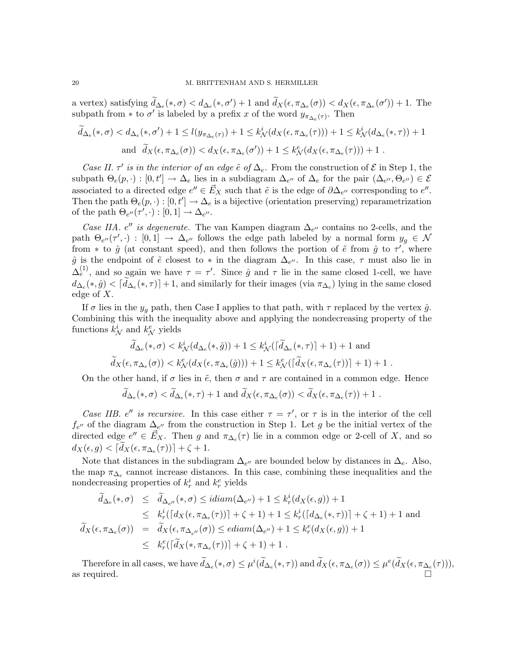a vertex) satisfying  $\tilde{d}_{\Delta_e}(*, \sigma) < d_{\Delta_e}(*, \sigma') + 1$  and  $\tilde{d}_X(\epsilon, \pi_{\Delta_e}(\sigma)) < d_X(\epsilon, \pi_{\Delta_e}(\sigma')) + 1$ . The subpath from \* to  $\sigma'$  is labeled by a prefix x of the word  $y_{\pi_{\Delta_e}(\tau)}$ . Then

$$
\widetilde{d}_{\Delta_e}(*,\sigma) < d_{\Delta_e}(*,\sigma') + 1 \le l(y_{\pi_{\Delta_e}(\tau)}) + 1 \le k_N^i(d_X(\epsilon, \pi_{\Delta_e}(\tau))) + 1 \le k_N^i(d_{\Delta_e}(*,\tau)) + 1
$$
\n
$$
\text{and } \widetilde{d}_X(\epsilon, \pi_{\Delta_e}(\sigma)) < d_X(\epsilon, \pi_{\Delta_e}(\sigma')) + 1 \le k_N^e(d_X(\epsilon, \pi_{\Delta_e}(\tau))) + 1 \, .
$$

*Case II.*  $\tau'$  *is in the interior of an edge*  $\tilde{e}$  *of*  $\Delta_e$ *.* From the construction of  $\mathcal{E}$  in Step 1, the subpath  $\Theta_e(p, \cdot) : [0, t'] \to \Delta_e$  lies in a subdiagram  $\Delta_{e''}$  of  $\Delta_e$  for the pair  $(\Delta_{e''}, \Theta_{e''}) \in \mathcal{E}$ associated to a directed edge  $e'' \in \vec{E}_X$  such that  $\tilde{e}$  is the edge of  $\partial \Delta_{e''}$  corresponding to  $e''$ . Then the path  $\Theta_e(p, \cdot) : [0, t'] \to \Delta_e$  is a bijective (orientation preserving) reparametrization of the path  $\Theta_{e''}(\tau',\cdot) : [0,1] \to \Delta_{e''}.$ 

*Case IIA.* e'' *is degenerate*. The van Kampen diagram  $\Delta_{e}$  contains no 2-cells, and the path  $\Theta_{e''}(\tau',\cdot) : [0,1] \to \Delta_{e''}$  follows the edge path labeled by a normal form  $y_g \in \mathcal{N}$ from  $*$  to  $\hat{g}$  (at constant speed), and then follows the portion of  $\tilde{e}$  from  $\hat{g}$  to  $\tau'$ , where  $\hat{g}$  is the endpoint of  $\tilde{e}$  closest to  $*$  in the diagram  $\Delta_{e''}$ . In this case,  $\tau$  must also lie in  $\Delta_{e}^{(1)}$ , and so again we have  $\tau = \tau'$ . Since  $\hat{g}$  and  $\tau$  lie in the same closed 1-cell, we have  $d_{\Delta_e}(*, \hat{g}) < [d_{\Delta_e}(*, \tau)] + 1$ , and similarly for their images (via  $\pi_{\Delta_e}$ ) lying in the same closed edge of X.

If  $\sigma$  lies in the  $y_q$  path, then Case I applies to that path, with  $\tau$  replaced by the vertex  $\hat{g}$ . Combining this with the inequality above and applying the nondecreasing property of the functions  $k_N^i$  and  $k_N^e$  yields

$$
\widetilde{d}_{\Delta_e}(*,\sigma) < k^i_{\mathcal{N}}(d_{\Delta_e}(*,\hat{g})) + 1 \leq k^i_{\mathcal{N}}(\lceil \widetilde{d}_{\Delta_e}(*,\tau) \rceil + 1) + 1 \text{ and}
$$
\n
$$
\widetilde{d}_X(\epsilon, \pi_{\Delta_e}(\sigma)) < k^e_{\mathcal{N}}(d_X(\epsilon, \pi_{\Delta_e}(\hat{g}))) + 1 \leq k^e_{\mathcal{N}}(\lceil \widetilde{d}_X(\epsilon, \pi_{\Delta_e}(\tau)) \rceil + 1) + 1 \; .
$$

On the other hand, if  $\sigma$  lies in  $\tilde{e}$ , then  $\sigma$  and  $\tau$  are contained in a common edge. Hence

$$
\widetilde{d}_{\Delta_e}(*,\sigma) < \widetilde{d}_{\Delta_e}(*,\tau) + 1
$$
 and  $\widetilde{d}_X(\epsilon, \pi_{\Delta_e}(\sigma)) < \widetilde{d}_X(\epsilon, \pi_{\Delta_e}(\tau)) + 1$ .

*Case IIB.* e'' *is recursive.* In this case either  $\tau = \tau'$ , or  $\tau$  is in the interior of the cell  $f_{e''}$  of the diagram  $\Delta_{e''}$  from the construction in Step 1. Let g be the initial vertex of the directed edge  $e'' \in \vec{E}_X$ . Then g and  $\pi_{\Delta_e}(\tau)$  lie in a common edge or 2-cell of X, and so  $d_X(\epsilon, g) < \lceil d_X(\epsilon, \pi_{\Delta_\epsilon}(\tau)) \rceil + \zeta + 1.$ 

Note that distances in the subdiagram  $\Delta_{e''}$  are bounded below by distances in  $\Delta_e$ . Also, the map  $\pi_{\Delta_e}$  cannot increase distances. In this case, combining these inequalities and the nondecreasing properties of  $k_r^i$  and  $k_r^e$  yields

$$
\tilde{d}_{\Delta_e}(*,\sigma) \leq \tilde{d}_{\Delta_{e''}}(*,\sigma) \leq idiam(\Delta_{e''}) + 1 \leq k_r^i(d_X(\epsilon,g)) + 1
$$
\n
$$
\leq k_r^i(\lceil d_X(\epsilon,\pi_{\Delta_e}(\tau)) \rceil + \zeta + 1) + 1 \leq k_r^i(\lceil d_{\Delta_e}(*,\tau) \rceil + \zeta + 1) + 1 \text{ and}
$$
\n
$$
\tilde{d}_X(\epsilon,\pi_{\Delta_e}(\sigma)) = \tilde{d}_X(\epsilon,\pi_{\Delta_{e''}}(\sigma)) \leq ediam(\Delta_{e''}) + 1 \leq k_r^e(d_X(\epsilon,g)) + 1
$$
\n
$$
\leq k_r^e(\lceil \tilde{d}_X(*,\pi_{\Delta_e}(\tau)) \rceil + \zeta + 1) + 1.
$$

Therefore in all cases, we have  $d_{\Delta_e}(*, \sigma) \leq \mu^i(d_{\Delta_e}(*, \tau))$  and  $d_X(\epsilon, \pi_{\Delta_e}(\sigma)) \leq \mu^e(d_X(\epsilon, \pi_{\Delta_e}(\tau))),$ as required.  $\Box$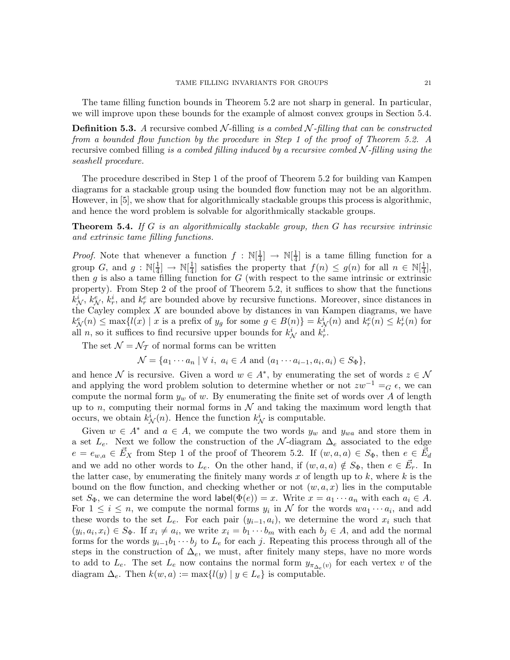The tame filling function bounds in Theorem 5.2 are not sharp in general. In particular, we will improve upon these bounds for the example of almost convex groups in Section 5.4.

**Definition 5.3.** A recursive combed N-filling is a combed N-filling that can be constructed *from a bounded flow function by the procedure in Step 1 of the proof of Theorem 5.2. A* recursive combed filling *is a combed filling induced by a recursive combed* N *-filling using the seashell procedure.*

The procedure described in Step 1 of the proof of Theorem 5.2 for building van Kampen diagrams for a stackable group using the bounded flow function may not be an algorithm. However, in [5], we show that for algorithmically stackable groups this process is algorithmic, and hence the word problem is solvable for algorithmically stackable groups.

Theorem 5.4. *If* G *is an algorithmically stackable group, then* G *has recursive intrinsic and extrinsic tame filling functions.*

*Proof.* Note that whenever a function  $f : \mathbb{N}[\frac{1}{4}]$  $\frac{1}{4}$ ]  $\rightarrow \mathbb{N}[\frac{1}{4}]$  $\frac{1}{4}$  is a tame filling function for a group G, and  $g : \mathbb{N}[\frac{1}{4}]$  $\frac{1}{4}$   $\rightarrow$  N[ $\frac{1}{4}$  $\frac{1}{4}$ ] satisfies the property that  $f(n) \leq g(n)$  for all  $n \in \mathbb{N}[\frac{1}{4}]$  $\frac{1}{4}$ , then  $g$  is also a tame filling function for  $G$  (with respect to the same intrinsic or extrinsic property). From Step 2 of the proof of Theorem 5.2, it suffices to show that the functions  $k_N^i$ ,  $k_N^e$ ,  $k_r^i$ , and  $k_r^e$  are bounded above by recursive functions. Moreover, since distances in the Cayley complex  $X$  are bounded above by distances in van Kampen diagrams, we have  $k_N^e(n) \le \max\{l(x) \mid x \text{ is a prefix of } y_g \text{ for some } g \in B(n)\} = k_N^i(n) \text{ and } k_r^e(n) \le k_r^i(n) \text{ for }$ all *n*, so it suffices to find recursive upper bounds for  $k_N^i$  and  $k_r^i$ .

The set  $\mathcal{N} = \mathcal{N}_{\mathcal{T}}$  of normal forms can be written

$$
\mathcal{N} = \{a_1 \cdots a_n \mid \forall i, a_i \in A \text{ and } (a_1 \cdots a_{i-1}, a_i, a_i) \in S_{\Phi}\},\
$$

and hence N is recursive. Given a word  $w \in A^*$ , by enumerating the set of words  $z \in \mathcal{N}$ and applying the word problem solution to determine whether or not  $zw^{-1} = G \epsilon$ , we can compute the normal form  $y_w$  of w. By enumerating the finite set of words over A of length up to n, computing their normal forms in  $\mathcal N$  and taking the maximum word length that occurs, we obtain  $k^i_{\mathcal{N}}(n)$ . Hence the function  $k^i_{\mathcal{N}}$  is computable.

Given  $w \in A^*$  and  $a \in A$ , we compute the two words  $y_w$  and  $y_{wa}$  and store them in a set  $L_e$ . Next we follow the construction of the N-diagram  $\Delta_e$  associated to the edge  $e = e_{w,a} \in \vec{E}_X$  from Step 1 of the proof of Theorem 5.2. If  $(w,a,a) \in S_{\Phi}$ , then  $e \in \vec{E}_d$ and we add no other words to  $L_e$ . On the other hand, if  $(w, a, a) \notin S_{\Phi}$ , then  $e \in \vec{E}_r$ . In the latter case, by enumerating the finitely many words x of length up to  $k$ , where  $k$  is the bound on the flow function, and checking whether or not  $(w,a,x)$  lies in the computable set  $S_{\Phi}$ , we can determine the word label $(\Phi(e)) = x$ . Write  $x = a_1 \cdots a_n$  with each  $a_i \in A$ . For  $1 \leq i \leq n$ , we compute the normal forms  $y_i$  in N for the words  $wa_1 \cdots a_i$ , and add these words to the set  $L_e$ . For each pair  $(y_{i-1}, a_i)$ , we determine the word  $x_i$  such that  $(y_i, a_i, x_i) \in S_{\Phi}$ . If  $x_i \neq a_i$ , we write  $x_i = b_1 \cdots b_m$  with each  $b_j \in A$ , and add the normal forms for the words  $y_{i-1}b_1 \cdots b_j$  to  $L_e$  for each j. Repeating this process through all of the steps in the construction of  $\Delta_e$ , we must, after finitely many steps, have no more words to add to  $L_e$ . The set  $L_e$  now contains the normal form  $y_{\pi_{\Delta_e}(v)}$  for each vertex v of the diagram  $\Delta_e$ . Then  $k(w, a) := \max\{l(y) | y \in L_e\}$  is computable.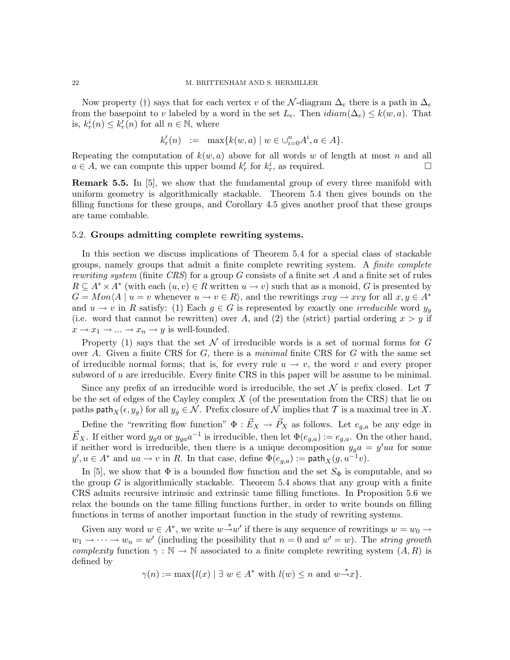Now property (†) says that for each vertex v of the N-diagram  $\Delta_e$  there is a path in  $\Delta_e$ from the basepoint to v labeled by a word in the set  $L_e$ . Then  $\text{idiam}(\Delta_e) \leq k(w, a)$ . That is,  $k_r^i(n) \leq k'_r(n)$  for all  $n \in \mathbb{N}$ , where

$$
k'_r(n) := \max\{k(w, a) \mid w \in \bigcup_{i=0}^n A^i, a \in A\}.
$$

Repeating the computation of  $k(w, a)$  above for all words w of length at most n and all  $a \in A$ , we can compute this upper bound  $k'_r$  for  $k^i_r$ , as required.

Remark 5.5. In [5], we show that the fundamental group of every three manifold with uniform geometry is algorithmically stackable. Theorem 5.4 then gives bounds on the filling functions for these groups, and Corollary 4.5 gives another proof that these groups are tame combable.

### 5.2. Groups admitting complete rewriting systems.

In this section we discuss implications of Theorem 5.4 for a special class of stackable groups, namely groups that admit a finite complete rewriting system. A *finite complete rewriting system* (finite *CRS*) for a group G consists of a finite set A and a finite set of rules  $R \subseteq A^* \times A^*$  (with each  $(u, v) \in R$  written  $u \to v$ ) such that as a monoid, G is presented by  $G = Mon\{A \mid u = v \text{ whenever } u \to v \in R\}$ , and the rewritings  $xuy \to xvy$  for all  $x, y \in A^*$ and  $u \to v$  in R satisfy: (1) Each  $g \in G$  is represented by exactly one *irreducible* word  $y_q$ (i.e. word that cannot be rewritten) over A, and (2) the (strict) partial ordering  $x > y$  if  $x \to x_1 \to \ldots \to x_n \to y$  is well-founded.

Property (1) says that the set  $\mathcal N$  of irreducible words is a set of normal forms for  $G$ over A. Given a finite CRS for G, there is a *minimal* finite CRS for G with the same set of irreducible normal forms; that is, for every rule  $u \to v$ , the word v and every proper subword of u are irreducible. Every finite CRS in this paper will be assume to be minimal.

Since any prefix of an irreducible word is irreducible, the set  $\mathcal N$  is prefix closed. Let  $\mathcal T$ be the set of edges of the Cayley complex  $X$  (of the presentation from the CRS) that lie on paths path $_X(\epsilon,y_g)$  for all  $y_g \in \mathcal{N}$ . Prefix closure of  $\mathcal N$  implies that  $\mathcal T$  is a maximal tree in X.

Define the "rewriting flow function"  $\Phi : \vec{E}_X \to \vec{P}_X$  as follows. Let  $e_{g,a}$  be any edge in  $\vec{E}_X$ . If either word  $y_g a$  or  $y_{ga} a^{-1}$  is irreducible, then let  $\Phi(e_{g,a}) := e_{g,a}$ . On the other hand, if neither word is irreducible, then there is a unique decomposition  $y_g a = y' u$  for some  $y', u \in A^*$  and  $u \in u \to v$  in R. In that case, define  $\Phi(e_{g,a}) := \mathsf{path}_X(g, u^{-1}v)$ .

In [5], we show that  $\Phi$  is a bounded flow function and the set  $S_{\Phi}$  is computable, and so the group  $G$  is algorithmically stackable. Theorem 5.4 shows that any group with a finite CRS admits recursive intrinsic and extrinsic tame filling functions. In Proposition 5.6 we relax the bounds on the tame filling functions further, in order to write bounds on filling functions in terms of another important function in the study of rewriting systems.

Given any word  $w \in A^*$ , we write  $w \stackrel{*}{\rightarrow} w'$  if there is any sequence of rewritings  $w = w_0 \rightarrow$  $w_1 \to \cdots \to w_n = w'$  (including the possibility that  $n = 0$  and  $w' = w$ ). The *string growth complexity* function  $\gamma : \mathbb{N} \to \mathbb{N}$  associated to a finite complete rewriting system  $(A, R)$  is defined by

$$
\gamma(n) := \max\{l(x) \mid \exists w \in A^* \text{ with } l(w) \le n \text{ and } w \to x\}.
$$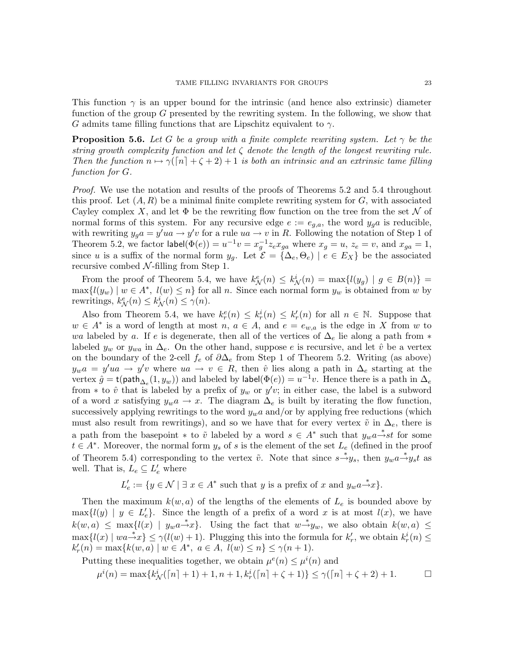This function  $\gamma$  is an upper bound for the intrinsic (and hence also extrinsic) diameter function of the group  $G$  presented by the rewriting system. In the following, we show that G admits tame filling functions that are Lipschitz equivalent to  $\gamma$ .

**Proposition 5.6.** Let G be a group with a finite complete rewriting system. Let  $\gamma$  be the *string growth complexity function and let* ζ *denote the length of the longest rewriting rule. Then the function*  $n \mapsto \gamma(\lceil n \rceil + \zeta + 2) + 1$  *is both an intrinsic and an extrinsic tame filling function for* G*.*

*Proof.* We use the notation and results of the proofs of Theorems 5.2 and 5.4 throughout this proof. Let  $(A, R)$  be a minimal finite complete rewriting system for  $G$ , with associated Cayley complex X, and let  $\Phi$  be the rewriting flow function on the tree from the set N of normal forms of this system. For any recursive edge  $e := e_{g,a}$ , the word  $y_g a$  is reducible, with rewriting  $y_g a = y' u a \rightarrow y' v$  for a rule  $u a \rightarrow v$  in R. Following the notation of Step 1 of Theorem 5.2, we factor  $\text{label}(\Phi(e)) = u^{-1}v = x_g^{-1} z_e x_{ga}$  where  $x_g = u, z_e = v$ , and  $x_{ga} = 1$ , since u is a suffix of the normal form  $y_g$ . Let  $\mathcal{E} = {\{\Delta_e, \Theta_e\}} \mid e \in E_X$  be the associated recursive combed  $N$ -filling from Step 1.

From the proof of Theorem 5.4, we have  $k_N^e(n) \leq k_N^i(n) = \max\{l(y_g) \mid g \in B(n)\}$  $\max\{l(y_w) \mid w \in A^*, l(w) \leq n\}$  for all n. Since each normal form  $y_w$  is obtained from w by rewritings,  $k_N^e(n) \leq k_N^i(n) \leq \gamma(n)$ .

Also from Theorem 5.4, we have  $k_r^e(n) \leq k_r^i(n) \leq k_r'(n)$  for all  $n \in \mathbb{N}$ . Suppose that  $w \in A^*$  is a word of length at most  $n, a \in A$ , and  $e = e_{w,a}$  is the edge in X from w to wa labeled by a. If e is degenerate, then all of the vertices of  $\Delta_e$  lie along a path from  $*$ labeled  $y_w$  or  $y_{wa}$  in  $\Delta_e$ . On the other hand, suppose e is recursive, and let  $\hat{v}$  be a vertex on the boundary of the 2-cell  $f_e$  of  $\partial \Delta_e$  from Step 1 of Theorem 5.2. Writing (as above)  $y_w a = y' u a \rightarrow y' v$  where  $u a \rightarrow v \in R$ , then  $\hat{v}$  lies along a path in  $\Delta_e$  starting at the vertex  $\hat{g} = t(\text{path}_{\Delta_e}(1, y_w))$  and labeled by label $(\Phi(e)) = u^{-1}v$ . Hence there is a path in  $\Delta_e$ from \* to  $\hat{v}$  that is labeled by a prefix of  $y_w$  or  $y'v$ ; in either case, the label is a subword of a word x satisfying  $y_w a \to x$ . The diagram  $\Delta_e$  is built by iterating the flow function, successively applying rewritings to the word  $y_w a$  and/or by applying free reductions (which must also result from rewritings), and so we have that for every vertex  $\tilde{v}$  in  $\Delta_e$ , there is a path from the basepoint \* to  $\tilde{v}$  labeled by a word  $s \in A^*$  such that  $y_w a \stackrel{*}{\rightarrow} st$  for some  $t \in A^*$ . Moreover, the normal form  $y_s$  of s is the element of the set  $L_e$  (defined in the proof of Theorem 5.4) corresponding to the vertex  $\tilde{v}$ . Note that since  $s \stackrel{*}{\rightarrow} y_s$ , then  $y_w a \stackrel{*}{\rightarrow} y_s t$  as well. That is,  $L_e \subseteq L_e'$  where

$$
L'_e := \{ y \in \mathcal{N} \mid \exists x \in A^* \text{ such that } y \text{ is a prefix of } x \text{ and } y_w a \stackrel{*}{\rightarrow} x \}.
$$

Then the maximum  $k(w, a)$  of the lengths of the elements of  $L_e$  is bounded above by  $\max\{l(y) \mid y \in L'_{e}\}.$  Since the length of a prefix of a word x is at most  $l(x)$ , we have  $k(w, a) \leq \max\{l(x) \mid y_w a \rightarrow x\}.$  Using the fact that  $w \rightarrow y_w$ , we also obtain  $k(w, a) \leq$  $\max\{l(x) \mid wa \rightarrow x\} \leq \gamma(l(w) + 1)$ . Plugging this into the formula for  $k'_r$ ', we obtain  $k_r^i(n) \leq$  $k'_r(n) = \max\{k(w, a) \mid w \in A^*, \ a \in A, \ \mathcal{U}(w) \leq n\} \leq \gamma(n+1).$ 

Putting these inequalities together, we obtain  $\mu^{e}(n) \leq \mu^{i}(n)$  and

$$
\mu^{i}(n) = \max\{k_{\mathcal{N}}^{i}([n] + 1) + 1, n + 1, k_{r}^{i}([n] + \zeta + 1)\} \leq \gamma([n] + \zeta + 2) + 1.
$$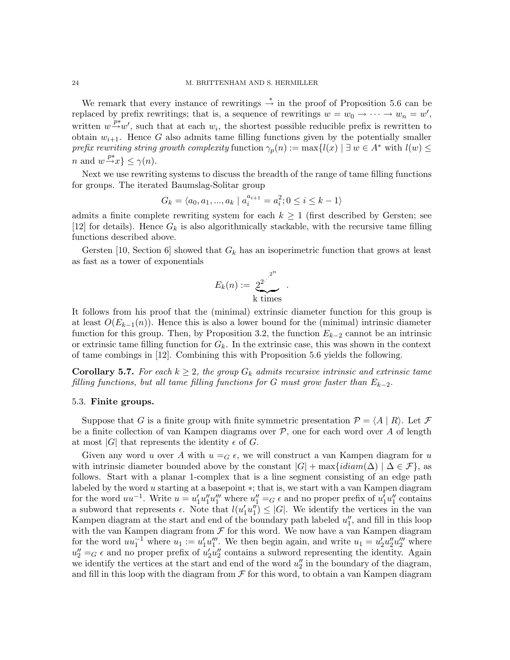We remark that every instance of rewritings  $\stackrel{*}{\rightarrow}$  in the proof of Proposition 5.6 can be replaced by prefix rewritings; that is, a sequence of rewritings  $w = w_0 \rightarrow \cdots \rightarrow w_n = w'$ , written  $w \stackrel{\nu}{\rightarrow} w'$ , such that at each  $w_i$ , the shortest possible reducible prefix is rewritten to obtain  $w_{i+1}$ . Hence G also admits tame filling functions given by the potentially smaller *prefix rewriting string growth complexity* function  $\gamma_p(n) := \max\{l(x) | \exists w \in A^* \text{ with } l(w) \leq$ *n* and  $w \stackrel{p*}{\rightarrow} x$   $\leq \gamma(n)$ .

Next we use rewriting systems to discuss the breadth of the range of tame filling functions for groups. The iterated Baumslag-Solitar group

$$
G_k = \langle a_0, a_1, ..., a_k \mid a_i^{a_{i+1}} = a_i^2; 0 \le i \le k - 1 \rangle
$$

admits a finite complete rewriting system for each  $k \geq 1$  (first described by Gersten; see [12] for details). Hence  $G_k$  is also algorithmically stackable, with the recursive tame filling functions described above.

Gersten [10, Section 6] showed that  $G_k$  has an isoperimetric function that grows at least as fast as a tower of exponentials

$$
E_k(n) := \frac{2^{2^{n}}}{k \text{ times}}.
$$

It follows from his proof that the (minimal) extrinsic diameter function for this group is at least  $O(E_{k-1}(n))$ . Hence this is also a lower bound for the (minimal) intrinsic diameter function for this group. Then, by Proposition 3.2, the function  $E_{k-2}$  cannot be an intrinsic or extrinsic tame filling function for  $G_k$ . In the extrinsic case, this was shown in the context of tame combings in [12]. Combining this with Proposition 5.6 yields the following.

**Corollary 5.7.** For each  $k \geq 2$ , the group  $G_k$  admits recursive intrinsic and extrinsic tame *filling functions, but all tame filling functions for* G *must grow faster than* Ek−2*.*

### 5.3. Finite groups.

Suppose that G is a finite group with finite symmetric presentation  $\mathcal{P} = \langle A | R \rangle$ . Let F be a finite collection of van Kampen diagrams over  $P$ , one for each word over A of length at most |G| that represents the identity  $\epsilon$  of G.

Given any word u over A with  $u =_G \epsilon$ , we will construct a van Kampen diagram for u with intrinsic diameter bounded above by the constant  $|G| + \max\{idiam(\Delta) | \Delta \in \mathcal{F}\}\)$ , as follows. Start with a planar 1-complex that is a line segment consisting of an edge path labeled by the word u starting at a basepoint ∗; that is, we start with a van Kampen diagram for the word  $uu^{-1}$ . Write  $u = u'_1 u''_1 u''_1$  where  $u''_1 = G \epsilon$  and no proper prefix of  $u'_1 u''_1$  $\frac{1}{1}$  contains a subword that represents  $\epsilon$ . Note that  $l(u'_1u''_1)$  $\binom{n}{1} \leq |G|$ . We identify the vertices in the van Kampen diagram at the start and end of the boundary path labeled  $u''_1$  $\frac{n}{1}$ , and fill in this loop with the van Kampen diagram from  $\mathcal F$  for this word. We now have a van Kampen diagram for the word  $uu_1^{-1}$  where  $u_1 := u_1' u_1'''$ ". We then begin again, and write  $u_1 = u_2' u_2'' u_2'''$  where  $u_2'' = G \epsilon$  and no proper prefix of  $u_2' u_2''$  $\frac{y}{2}$  contains a subword representing the identity. Again we identify the vertices at the start and end of the word  $u''_2$  $\frac{\pi}{2}$  in the boundary of the diagram, and fill in this loop with the diagram from  $\mathcal F$  for this word, to obtain a van Kampen diagram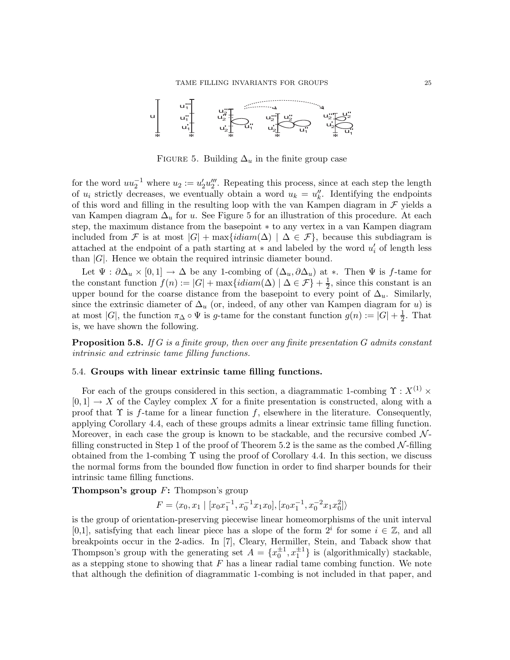

FIGURE 5. Building  $\Delta_u$  in the finite group case

for the word  $uu_2^{-1}$  where  $u_2 := u_2' u_2'''$  $\frac{m}{2}$ . Repeating this process, since at each step the length of  $u_i$  strictly decreases, we eventually obtain a word  $u_k = u''_k$  $\frac{y}{k}$ . Identifying the endpoints of this word and filling in the resulting loop with the van Kampen diagram in  $\mathcal F$  yields a van Kampen diagram  $\Delta_u$  for u. See Figure 5 for an illustration of this procedure. At each step, the maximum distance from the basepoint ∗ to any vertex in a van Kampen diagram included from F is at most  $|G|$  + max $\{idiam(\Delta) | \Delta \in \mathcal{F}\}$ , because this subdiagram is attached at the endpoint of a path starting at  $*$  and labeled by the word  $u'_{i}$  $'_{i}$  of length less than  $|G|$ . Hence we obtain the required intrinsic diameter bound.

Let  $\Psi : \partial \Delta_u \times [0,1] \to \Delta$  be any 1-combing of  $(\Delta_u, \partial \Delta_u)$  at \*. Then  $\Psi$  is f-tame for the constant function  $f(n) := |G| + \max\{idiam(\Delta) | \Delta \in \mathcal{F}\} + \frac{1}{2}$ , since this constant is an upper bound for the coarse distance from the basepoint to every point of  $\Delta_u$ . Similarly, since the extrinsic diameter of  $\Delta_u$  (or, indeed, of any other van Kampen diagram for u) is at most |G|, the function  $\pi_{\Delta} \circ \Psi$  is g-tame for the constant function  $g(n) := |G| + \frac{1}{2}$  $\frac{1}{2}$ . That is, we have shown the following.

Proposition 5.8. *If* G *is a finite group, then over any finite presentation* G *admits constant intrinsic and extrinsic tame filling functions.*

## 5.4. Groups with linear extrinsic tame filling functions.

For each of the groups considered in this section, a diagrammatic 1-combing  $\Upsilon$  :  $X^{(1)} \times$  $[0, 1] \rightarrow X$  of the Cayley complex X for a finite presentation is constructed, along with a proof that  $\Upsilon$  is f-tame for a linear function f, elsewhere in the literature. Consequently, applying Corollary 4.4, each of these groups admits a linear extrinsic tame filling function. Moreover, in each case the group is known to be stackable, and the recursive combed  $\mathcal{N}$ filling constructed in Step 1 of the proof of Theorem 5.2 is the same as the combed  $\mathcal{N}\text{-filling}$ obtained from the 1-combing  $\Upsilon$  using the proof of Corollary 4.4. In this section, we discuss the normal forms from the bounded flow function in order to find sharper bounds for their intrinsic tame filling functions.

**Thompson's group**  $F$ **:** Thompson's group

 $F = \langle x_0, x_1 \mid [x_0x_1^{-1}, x_0^{-1}x_1x_0], [x_0x_1^{-1}, x_0^{-2}x_1x_0^2] \rangle$ 

is the group of orientation-preserving piecewise linear homeomorphisms of the unit interval [0,1], satisfying that each linear piece has a slope of the form  $2^i$  for some  $i \in \mathbb{Z}$ , and all breakpoints occur in the 2-adics. In [7], Cleary, Hermiller, Stein, and Taback show that Thompson's group with the generating set  $A = \{x_0^{\pm 1}, x_1^{\pm 1}\}\$ is (algorithmically) stackable, as a stepping stone to showing that  $F$  has a linear radial tame combing function. We note that although the definition of diagrammatic 1-combing is not included in that paper, and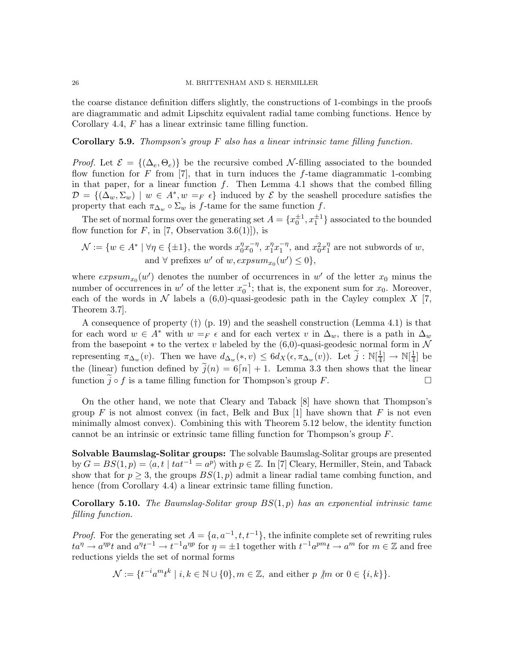the coarse distance definition differs slightly, the constructions of 1-combings in the proofs are diagrammatic and admit Lipschitz equivalent radial tame combing functions. Hence by Corollary 4.4, F has a linear extrinsic tame filling function.

Corollary 5.9. *Thompson's group* F *also has a linear intrinsic tame filling function.*

*Proof.* Let  $\mathcal{E} = \{(\Delta_e, \Theta_e)\}\$  be the recursive combed N-filling associated to the bounded flow function for F from [7], that in turn induces the f-tame diagrammatic 1-combing in that paper, for a linear function  $f$ . Then Lemma 4.1 shows that the combed filling  $\mathcal{D} = \{(\Delta_w, \Sigma_w) \mid w \in A^*, w =_F \epsilon\}$  induced by  $\mathcal E$  by the seashell procedure satisfies the property that each  $\pi_{\Delta_w} \circ \Sigma_w$  is f-tame for the same function f.

The set of normal forms over the generating set  $A = \{x_0^{\pm 1}, x_1^{\pm 1}\}$  associated to the bounded flow function for  $F$ , in [7, Observation 3.6(1)]), is

$$
\mathcal{N} := \{ w \in A^* \mid \forall \eta \in \{\pm 1\}, \text{ the words } x_0^{\eta} x_0^{-\eta}, x_1^{\eta} x_1^{-\eta}, \text{ and } x_0^2 x_1^{\eta} \text{ are not subwords of } w, \\ \text{ and } \forall \text{ prefixes } w' \text{ of } w, \text{expsum}_{x_0}(w') \leq 0 \},
$$

where  $expsum_{x_0}(w')$  denotes the number of occurrences in w' of the letter  $x_0$  minus the number of occurrences in w' of the letter  $x_0^{-1}$ ; that is, the exponent sum for  $x_0$ . Moreover, each of the words in  $\mathcal N$  labels a  $(6,0)$ -quasi-geodesic path in the Cayley complex X [7, Theorem 3.7].

A consequence of property  $(†)$  (p. 19) and the seashell construction (Lemma 4.1) is that for each word  $w \in A^*$  with  $w =_F \epsilon$  and for each vertex v in  $\Delta_w$ , there is a path in  $\Delta_w$ from the basepoint  $*$  to the vertex v labeled by the (6,0)-quasi-geodesic normal form in  $N$ representing  $\pi_{\Delta_w}(v)$ . Then we have  $d_{\Delta_w}(*,v) \leq 6d_X(\epsilon,\pi_{\Delta_w}(v))$ . Let  $\widetilde{j}: \mathbb{N}[\frac{1}{4}]$  $\frac{1}{4}$ ]  $\rightarrow \mathbb{N}[\frac{1}{4}]$  $\frac{1}{4}$ ] be the (linear) function defined by  $\tilde{j}(n) = 6\lceil n \rceil + 1$ . Lemma 3.3 then shows that the linear function  $\tilde{j} \circ f$  is a tame filling function for Thompson's group F. function  $j \circ f$  is a tame filling function for Thompson's group F.

On the other hand, we note that Cleary and Taback [8] have shown that Thompson's group  $F$  is not almost convex (in fact, Belk and Bux [1] have shown that  $F$  is not even minimally almost convex). Combining this with Theorem 5.12 below, the identity function cannot be an intrinsic or extrinsic tame filling function for Thompson's group F.

Solvable Baumslag-Solitar groups: The solvable Baumslag-Solitar groups are presented by  $G = BS(1, p) = \langle a, t \mid tat^{-1} = a^p \rangle$  with  $p \in \mathbb{Z}$ . In [7] Cleary, Hermiller, Stein, and Taback show that for  $p > 3$ , the groups  $BS(1, p)$  admit a linear radial tame combing function, and hence (from Corollary 4.4) a linear extrinsic tame filling function.

Corollary 5.10. *The Baumslag-Solitar group* BS(1,p) *has an exponential intrinsic tame filling function.*

*Proof.* For the generating set  $A = \{a, a^{-1}, t, t^{-1}\}\$ , the infinite complete set of rewriting rules  $ta^{\eta} \to a^{\eta}t$  and  $a^{\eta}t^{-1} \to t^{-1}a^{\eta}t$  for  $\eta = \pm 1$  together with  $t^{-1}a^{pm} \to a^m$  for  $m \in \mathbb{Z}$  and free reductions yields the set of normal forms

$$
\mathcal{N} := \{ t^{-i} a^m t^k \mid i, k \in \mathbb{N} \cup \{0\}, m \in \mathbb{Z}, \text{ and either } p \not| m \text{ or } 0 \in \{i, k\} \}.
$$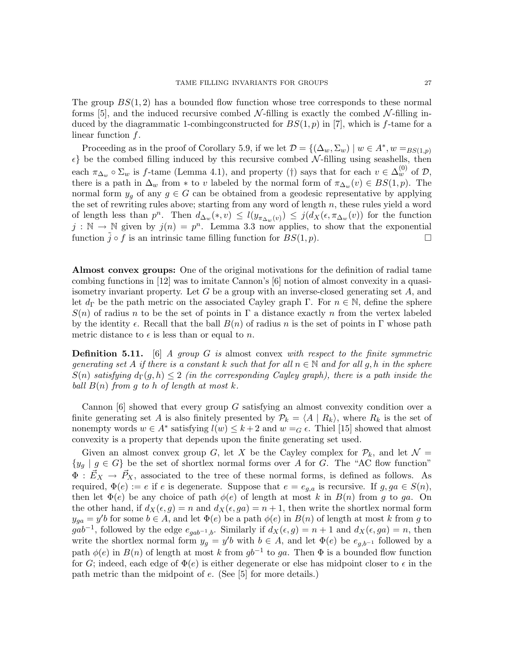The group  $BS(1, 2)$  has a bounded flow function whose tree corresponds to these normal forms [5], and the induced recursive combed  $\mathcal{N}\text{-filling}$  is exactly the combed  $\mathcal{N}\text{-filling}$  induced by the diagrammatic 1-combing constructed for  $BS(1, p)$  in [7], which is f-tame for a linear function  $f$ .

Proceeding as in the proof of Corollary 5.9, if we let  $\mathcal{D} = \{(\Delta_w, \Sigma_w) \mid w \in A^*, w =_{BS(1,p)}\}$  $\epsilon$ } be the combed filling induced by this recursive combed N-filling using seashells, then each  $\pi_{\Delta_w} \circ \Sigma_w$  is f-tame (Lemma 4.1), and property (†) says that for each  $v \in \Delta_w^{(0)}$  of  $\mathcal{D}$ , there is a path in  $\Delta_w$  from \* to v labeled by the normal form of  $\pi_{\Delta_w}(v) \in BS(1,p)$ . The normal form  $y_g$  of any  $g \in G$  can be obtained from a geodesic representative by applying the set of rewriting rules above; starting from any word of length  $n$ , these rules yield a word of length less than  $p^n$ . Then  $d_{\Delta_w}(*,v) \leq l(y_{\pi_{\Delta_w}(v)}) \leq j(d_X(\epsilon, \pi_{\Delta_w}(v))$  for the function  $j : \mathbb{N} \to \mathbb{N}$  given by  $j(n) = p^n$ . Lemma 3.3 now applies, to show that the exponential function  $\tilde{j} \circ f$  is an intrinsic tame filling function for  $BS(1, p)$ .

Almost convex groups: One of the original motivations for the definition of radial tame combing functions in [12] was to imitate Cannon's [6] notion of almost convexity in a quasiisometry invariant property. Let G be a group with an inverse-closed generating set  $A$ , and let  $d_{\Gamma}$  be the path metric on the associated Cayley graph Γ. For  $n \in \mathbb{N}$ , define the sphere  $S(n)$  of radius n to be the set of points in  $\Gamma$  a distance exactly n from the vertex labeled by the identity  $\epsilon$ . Recall that the ball  $B(n)$  of radius n is the set of points in Γ whose path metric distance to  $\epsilon$  is less than or equal to n.

Definition 5.11. [6] *A group* G *is* almost convex *with respect to the finite symmetric generating set* A *if there is a constant* k *such that for all*  $n \in \mathbb{N}$  *and for all* g, h *in the sphere*  $S(n)$  *satisfying*  $d_{\Gamma}(g,h) \leq 2$  *(in the corresponding Cayley graph), there is a path inside the ball*  $B(n)$  *from* g *to* h *of length at most*  $k$ *.* 

Cannon  $[6]$  showed that every group G satisfying an almost convexity condition over a finite generating set A is also finitely presented by  $\mathcal{P}_k = \langle A | R_k \rangle$ , where  $R_k$  is the set of nonempty words  $w \in A^*$  satisfying  $l(w) \leq k+2$  and  $w = G \epsilon$ . Thiel [15] showed that almost convexity is a property that depends upon the finite generating set used.

Given an almost convex group G, let X be the Cayley complex for  $\mathcal{P}_k$ , and let  $\mathcal{N} =$  ${y_g | g \in G}$  be the set of shortlex normal forms over A for G. The "AC flow function"  $\Phi: \vec{E}_X \to \vec{P}_X$ , associated to the tree of these normal forms, is defined as follows. As required,  $\Phi(e) := e$  if e is degenerate. Suppose that  $e = e_{q,a}$  is recursive. If  $g, ga \in S(n)$ , then let  $\Phi(e)$  be any choice of path  $\phi(e)$  of length at most k in  $B(n)$  from g to ga. On the other hand, if  $d_X(\epsilon, g) = n$  and  $d_X(\epsilon, g) = n + 1$ , then write the shortlex normal form  $y_{ga} = y'b$  for some  $b \in A$ , and let  $\Phi(e)$  be a path  $\phi(e)$  in  $B(n)$  of length at most k from g to  $gab^{-1}$ , followed by the edge  $e_{gab^{-1},b}$ . Similarly if  $d_X(\epsilon,g) = n+1$  and  $d_X(\epsilon,ga) = n$ , then write the shortlex normal form  $y_g = y'b$  with  $b \in A$ , and let  $\Phi(e)$  be  $e_{g,b^{-1}}$  followed by a path  $\phi(e)$  in  $B(n)$  of length at most k from  $gb^{-1}$  to ga. Then  $\Phi$  is a bounded flow function for G; indeed, each edge of  $\Phi(e)$  is either degenerate or else has midpoint closer to  $\epsilon$  in the path metric than the midpoint of e. (See [5] for more details.)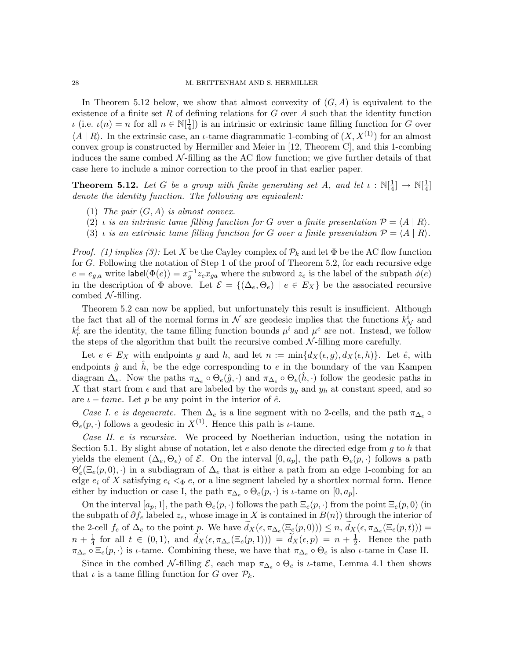In Theorem 5.12 below, we show that almost convexity of  $(G, A)$  is equivalent to the existence of a finite set R of defining relations for G over A such that the identity function  $\iota$  (i.e.  $\iota(n) = n$  for all  $n \in \mathbb{N}[\frac{1}{4}]$  $\frac{1}{4}$ ) is an intrinsic or extrinsic tame filling function for G over  $\langle A | R \rangle$ . In the extrinsic case, an *ι*-tame diagrammatic 1-combing of  $(X, X<sup>(1)</sup>)$  for an almost convex group is constructed by Hermiller and Meier in [12, Theorem C], and this 1-combing induces the same combed  $\mathcal{N}\text{-filling}$  as the AC flow function; we give further details of that case here to include a minor correction to the proof in that earlier paper.

**Theorem 5.12.** Let G be a group with finite generating set A, and let  $\iota : \mathbb{N}[\frac{1}{4}]$  $\frac{1}{4}$ ]  $\rightarrow \mathbb{N}[\frac{1}{4}]$  $rac{1}{4}$ ] *denote the identity function. The following are equivalent:*

- (1) *The pair* (G,A) *is almost convex.*
- (2) *i* is an intrinsic tame filling function for G over a finite presentation  $\mathcal{P} = \langle A | R \rangle$ .
- (3) *i is an extrinsic tame filling function for* G *over a finite presentation*  $P = \langle A | R \rangle$ *.*

*Proof.* (1) implies (3): Let X be the Cayley complex of  $\mathcal{P}_k$  and let  $\Phi$  be the AC flow function for G. Following the notation of Step 1 of the proof of Theorem 5.2, for each recursive edge  $e = e_{g,a}$  write label $(\Phi(e)) = x_g^{-1} z_e x_{ga}$  where the subword  $z_e$  is the label of the subpath  $\phi(e)$ in the description of  $\Phi$  above. Let  $\mathcal{E} = \{(\Delta_e, \Theta_e) | e \in E_X\}$  be the associated recursive combed  $N$ -filling.

Theorem 5.2 can now be applied, but unfortunately this result is insufficient. Although the fact that all of the normal forms in  $\mathcal N$  are geodesic implies that the functions  $k_{\mathcal N}^i$  and  $k_r^i$  are the identity, the tame filling function bounds  $\mu^i$  and  $\mu^e$  are not. Instead, we follow the steps of the algorithm that built the recursive combed  $\mathcal{N}\text{-filling}$  more carefully.

Let  $e \in E_X$  with endpoints g and h, and let  $n := \min\{d_X(\epsilon, g), d_X(\epsilon, h)\}\$ . Let  $\hat{e}$ , with endpoints  $\hat{g}$  and  $\hat{h}$ , be the edge corresponding to e in the boundary of the van Kampen diagram  $\Delta_e$ . Now the paths  $\pi_{\Delta_e} \circ \Theta_e(\hat{g},\cdot)$  and  $\pi_{\Delta_e} \circ \Theta_e(\hat{h},\cdot)$  follow the geodesic paths in X that start from  $\epsilon$  and that are labeled by the words  $y_g$  and  $y_h$  at constant speed, and so are  $\iota$  – tame. Let p be any point in the interior of  $\hat{e}$ .

*Case I. e is degenerate.* Then  $\Delta_e$  is a line segment with no 2-cells, and the path  $\pi_{\Delta_e} \circ$  $\Theta_e(p, \cdot)$  follows a geodesic in  $X^{(1)}$ . Hence this path is *ι*-tame.

*Case II.* e *is recursive.* We proceed by Noetherian induction, using the notation in Section 5.1. By slight abuse of notation, let  $e$  also denote the directed edge from  $g$  to  $h$  that yields the element  $(\Delta_e, \Theta_e)$  of  $\mathcal E$ . On the interval  $[0, a_p]$ , the path  $\Theta_e(p, \cdot)$  follows a path  $\Theta'_e(\Xi_e(p,0),\cdot)$  in a subdiagram of  $\Delta_e$  that is either a path from an edge 1-combing for an edge  $e_i$  of X satisfying  $e_i \leq \Phi e$ , or a line segment labeled by a shortlex normal form. Hence either by induction or case I, the path  $\pi_{\Delta_e} \circ \Theta_e(p, \cdot)$  is *ι*-tame on  $[0, a_p]$ .

On the interval  $[a_p, 1]$ , the path  $\Theta_e(p, \cdot)$  follows the path  $\Xi_e(p, \cdot)$  from the point  $\Xi_e(p, 0)$  (in the subpath of  $\partial f_e$  labeled  $z_e$ , whose image in X is contained in  $B(n)$ ) through the interior of the 2-cell  $f_e$  of  $\Delta_e$  to the point  $\underline{p}$ . We have  $d_X(\epsilon, \pi_{\Delta_e}(\Xi_e(p, 0))) \leq n$ ,  $d_X(\epsilon, \pi_{\Delta_e}(\Xi_e(p, t))) =$  $n+\frac{1}{4}$  $\frac{1}{4}$  for all  $t \in (0,1)$ , and  $\widetilde{d}_X(\epsilon, \pi_{\Delta_e}(\Xi_e(p,1))) = \widetilde{d}_X(\epsilon, p) = n + \frac{1}{2}$  $\frac{1}{2}$ . Hence the path  $\pi_{\Delta_e} \circ \Xi_e(p,\cdot)$  is *ι*-tame. Combining these, we have that  $\pi_{\Delta_e} \circ \Theta_e$  is also *ι*-tame in Case II.

Since in the combed N-filling  $\mathcal{E}$ , each map  $\pi_{\Delta_e} \circ \Theta_e$  is *t*-tame, Lemma 4.1 then shows that  $\iota$  is a tame filling function for G over  $\mathcal{P}_k$ .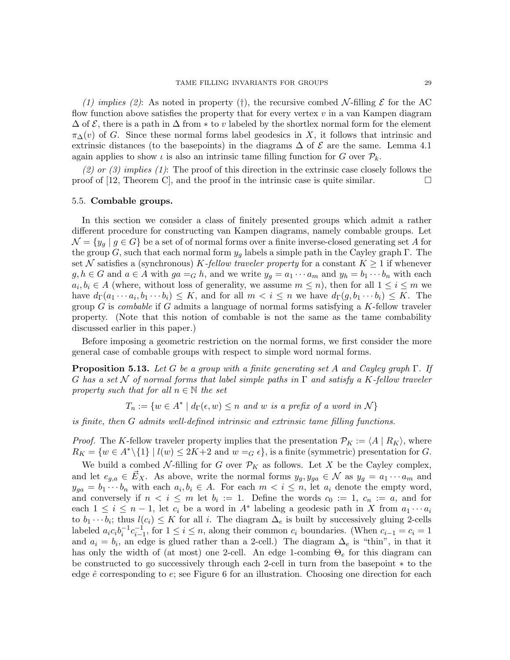*(1) implies (2)*: As noted in property (†), the recursive combed  $\mathcal{N}\text{-filling }\mathcal{E}$  for the AC flow function above satisfies the property that for every vertex  $v$  in a van Kampen diagram  $\Delta$  of  $\mathcal E$ , there is a path in  $\Delta$  from  $*$  to v labeled by the shortlex normal form for the element  $\pi_{\Delta}(v)$  of G. Since these normal forms label geodesics in X, it follows that intrinsic and extrinsic distances (to the basepoints) in the diagrams  $\Delta$  of  $\mathcal E$  are the same. Lemma 4.1 again applies to show  $\iota$  is also an intrinsic tame filling function for G over  $\mathcal{P}_k$ .

*(2) or (3) implies (1)*: The proof of this direction in the extrinsic case closely follows the proof of [12, Theorem C], and the proof in the intrinsic case is quite similar.

# 5.5. Combable groups.

In this section we consider a class of finitely presented groups which admit a rather different procedure for constructing van Kampen diagrams, namely combable groups. Let  $\mathcal{N} = \{y_q \mid g \in G\}$  be a set of of normal forms over a finite inverse-closed generating set A for the group G, such that each normal form  $y_q$  labels a simple path in the Cayley graph Γ. The set N satisfies a (synchronous) K-fellow traveler property for a constant  $K \geq 1$  if whenever  $g, h \in G$  and  $a \in A$  with  $ga =_G h$ , and we write  $y_g = a_1 \cdots a_m$  and  $y_h = b_1 \cdots b_n$  with each  $a_i, b_i \in A$  (where, without loss of generality, we assume  $m \leq n$ ), then for all  $1 \leq i \leq m$  we have  $d_{\Gamma}(a_1 \cdots a_i, b_1 \cdots b_i) \leq K$ , and for all  $m < i \leq n$  we have  $d_{\Gamma}(g, b_1 \cdots b_i) \leq K$ . The group G is *combable* if G admits a language of normal forms satisfying a K-fellow traveler property. (Note that this notion of combable is not the same as the tame combability discussed earlier in this paper.)

Before imposing a geometric restriction on the normal forms, we first consider the more general case of combable groups with respect to simple word normal forms.

Proposition 5.13. *Let* G *be a group with a finite generating set* A *and Cayley graph* Γ*. If* G *has a set* N *of normal forms that label simple paths in* Γ *and satisfy a* K*-fellow traveler property such that for all*  $n \in \mathbb{N}$  *the set* 

 $T_n := \{ w \in A^* \mid d_{\Gamma}(\epsilon, w) \leq n \text{ and } w \text{ is a prefix of a word in } \mathcal{N} \}$ 

*is finite, then* G *admits well-defined intrinsic and extrinsic tame filling functions.*

*Proof.* The K-fellow traveler property implies that the presentation  $\mathcal{P}_K := \langle A | R_K \rangle$ , where  $R_K = \{w \in A^*\setminus\{1\} \mid l(w) \leq 2K+2 \text{ and } w =_G \epsilon\},\text{ is a finite (symmetric) presentation for } G.$ 

We build a combed N-filling for G over  $\mathcal{P}_K$  as follows. Let X be the Cayley complex, and let  $e_{g,a} \in \vec{E}_X$ . As above, write the normal forms  $y_g, y_{ga} \in \mathcal{N}$  as  $y_g = a_1 \cdots a_m$  and  $y_{ga} = b_1 \cdots b_n$  with each  $a_i, b_i \in A$ . For each  $m < i \leq n$ , let  $a_i$  denote the empty word, and conversely if  $n < i \leq m$  let  $b_i := 1$ . Define the words  $c_0 := 1$ ,  $c_n := a$ , and for each  $1 \leq i \leq n-1$ , let  $c_i$  be a word in  $A^*$  labeling a geodesic path in X from  $a_1 \cdots a_i$ to  $b_1 \cdots b_i$ ; thus  $l(c_i) \leq K$  for all i. The diagram  $\Delta_e$  is built by successively gluing 2-cells labeled  $a_i c_i b_i^{-1} c_{i-1}^{-1}$ , for  $1 \le i \le n$ , along their common  $c_i$  boundaries. (When  $c_{i-1} = c_i = 1$ and  $a_i = b_i$ , an edge is glued rather than a 2-cell.) The diagram  $\Delta_e$  is "thin", in that it has only the width of (at most) one 2-cell. An edge 1-combing  $\Theta_e$  for this diagram can be constructed to go successively through each 2-cell in turn from the basepoint ∗ to the edge  $\hat{e}$  corresponding to  $e$ ; see Figure 6 for an illustration. Choosing one direction for each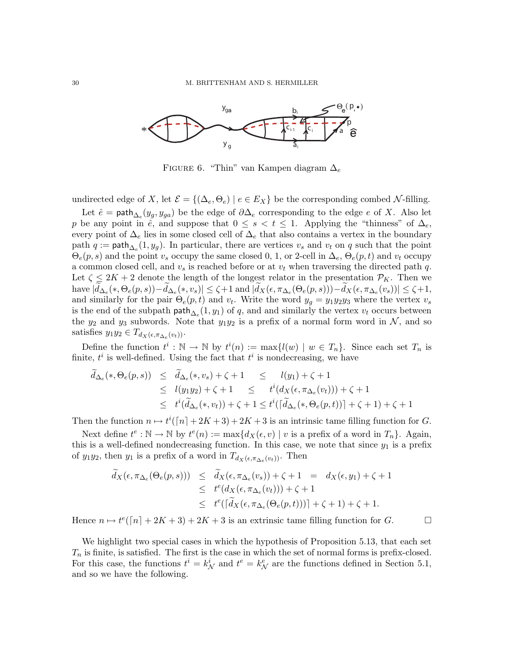

FIGURE 6. "Thin" van Kampen diagram  $\Delta_e$ 

undirected edge of X, let  $\mathcal{E} = \{(\Delta_e, \Theta_e) \mid e \in E_X\}$  be the corresponding combed N-filling.

Let  $\hat{e} = \textsf{path}_{\Delta_e}(y_g, y_{ga})$  be the edge of  $\partial \Delta_e$  corresponding to the edge  $e$  of X. Also let p be any point in  $\hat{e}$ , and suppose that  $0 \leq s < t \leq 1$ . Applying the "thinness" of  $\Delta_e$ , every point of  $\Delta_e$  lies in some closed cell of  $\Delta_e$  that also contains a vertex in the boundary path  $q := \mathsf{path}_{\Delta_e}(1, y_g)$ . In particular, there are vertices  $v_s$  and  $v_t$  on q such that the point  $\Theta_e(p,s)$  and the point  $v_s$  occupy the same closed 0, 1, or 2-cell in  $\Delta_e$ ,  $\Theta_e(p,t)$  and  $v_t$  occupy a common closed cell, and  $v_s$  is reached before or at  $v_t$  when traversing the directed path q. Let  $\zeta \leq 2K + 2$  denote the length of the longest relator in the presentation  $\mathcal{P}_K$ . Then we have  $|d_{\Delta_e}(*, \Theta_e(p, s)) - d_{\Delta_e}(*, v_s)| \leq \zeta + 1$  and  $|d_X(\epsilon, \pi_{\Delta_e}(\Theta_e(p, s))) - d_X(\epsilon, \pi_{\Delta_e}(v_s))| \leq \zeta + 1$ , and similarly for the pair  $\Theta_e(p,t)$  and  $v_t$ . Write the word  $y_g = y_1 y_2 y_3$  where the vertex  $v_s$ is the end of the subpath  $\text{path}_{\Delta_e}(1, y_1)$  of q, and and similarly the vertex  $v_t$  occurs between the  $y_2$  and  $y_3$  subwords. Note that  $y_1y_2$  is a prefix of a normal form word in N, and so satisfies  $y_1 y_2 \in T_{d_X(\epsilon, \pi_{\Delta_e}(v_t))}$ .

Define the function  $t^i : \mathbb{N} \to \mathbb{N}$  by  $t^i(n) := \max\{l(w) \mid w \in T_n\}$ . Since each set  $T_n$  is finite,  $t^i$  is well-defined. Using the fact that  $t^i$  is nondecreasing, we have

$$
\tilde{d}_{\Delta_e}(*,\Theta_e(p,s)) \leq \tilde{d}_{\Delta_e}(*,v_s) + \zeta + 1 \leq l(y_1) + \zeta + 1
$$
\n
$$
\leq l(y_1y_2) + \zeta + 1 \leq t^i(d_X(\epsilon, \pi_{\Delta_e}(v_t))) + \zeta + 1
$$
\n
$$
\leq t^i(\tilde{d}_{\Delta_e}(*,v_t)) + \zeta + 1 \leq t^i(\lceil \tilde{d}_{\Delta_e}(*,\Theta_e(p,t)) \rceil + \zeta + 1) + \zeta + 1
$$

Then the function  $n \mapsto t^{i}([n]+2K+3)+2K+3$  is an intrinsic tame filling function for G.

Next define  $t^e : \mathbb{N} \to \mathbb{N}$  by  $t^e(n) := \max\{d_X(\epsilon, v) \mid v$  is a prefix of a word in  $T_n\}$ . Again, this is a well-defined nondecreasing function. In this case, we note that since  $y_1$  is a prefix of  $y_1y_2$ , then  $y_1$  is a prefix of a word in  $T_{d_X(\epsilon, \pi_{\Delta_e}(v_t))}$ . Then

$$
\widetilde{d}_X(\epsilon, \pi_{\Delta_e}(\Theta_e(p, s))) \leq \widetilde{d}_X(\epsilon, \pi_{\Delta_e}(v_s)) + \zeta + 1 = d_X(\epsilon, y_1) + \zeta + 1
$$
\n
$$
\leq t^e(d_X(\epsilon, \pi_{\Delta_e}(v_t))) + \zeta + 1
$$
\n
$$
\leq t^e(\lceil \widetilde{d}_X(\epsilon, \pi_{\Delta_e}(\Theta_e(p, t))) \rceil + \zeta + 1) + \zeta + 1.
$$

Hence  $n \mapsto t^e(\lceil n \rceil + 2K + 3) + 2K + 3$  is an extrinsic tame filling function for G.

We highlight two special cases in which the hypothesis of Proposition 5.13, that each set  $T_n$  is finite, is satisfied. The first is the case in which the set of normal forms is prefix-closed. For this case, the functions  $t^i = k^i_{\mathcal{N}}$  and  $t^e = k^e_{\mathcal{N}}$  are the functions defined in Section 5.1, and so we have the following.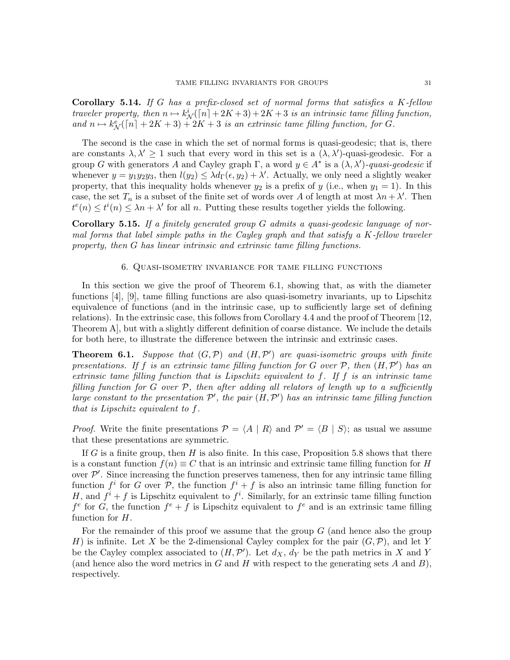Corollary 5.14. *If* G *has a prefix-closed set of normal forms that satisfies a* K*-fellow traveler property, then*  $n \mapsto k^i(\lceil n \rceil + 2K + 3) + 2K + 3$  *is an intrinsic tame filling function,* and  $n \mapsto k^e_{\mathcal{N}}([n] + 2K + 3) + 2K + 3$  *is an extrinsic tame filling function, for* G.

The second is the case in which the set of normal forms is quasi-geodesic; that is, there are constants  $\lambda, \lambda' \geq 1$  such that every word in this set is a  $(\lambda, \lambda')$ -quasi-geodesic. For a group G with generators A and Cayley graph  $\Gamma$ , a word  $y \in A^*$  is a  $(\lambda, \lambda')$ -quasi-geodesic if whenever  $y = y_1 y_2 y_3$ , then  $l(y_2) \leq \lambda d_{\Gamma}(\epsilon, y_2) + \lambda'$ . Actually, we only need a slightly weaker property, that this inequality holds whenever  $y_2$  is a prefix of y (i.e., when  $y_1 = 1$ ). In this case, the set  $T_n$  is a subset of the finite set of words over A of length at most  $\lambda n + \lambda'$ . Then  $t^{e}(n) \leq t^{i}(n) \leq \lambda n + \lambda'$  for all n. Putting these results together yields the following.

Corollary 5.15. *If a finitely generated group* G *admits a quasi-geodesic language of normal forms that label simple paths in the Cayley graph and that satisfy a* K*-fellow traveler property, then* G *has linear intrinsic and extrinsic tame filling functions.*

### 6. Quasi-isometry invariance for tame filling functions

In this section we give the proof of Theorem 6.1, showing that, as with the diameter functions [4], [9], tame filling functions are also quasi-isometry invariants, up to Lipschitz equivalence of functions (and in the intrinsic case, up to sufficiently large set of defining relations). In the extrinsic case, this follows from Corollary 4.4 and the proof of Theorem [12, Theorem A], but with a slightly different definition of coarse distance. We include the details for both here, to illustrate the difference between the intrinsic and extrinsic cases.

**Theorem 6.1.** Suppose that  $(G, \mathcal{P})$  and  $(H, \mathcal{P}')$  are quasi-isometric groups with finite *presentations. If* f *is an extrinsic tame filling function for* G *over* P*, then* (H,P ′ ) *has an extrinsic tame filling function that is Lipschitz equivalent to* f*. If* f *is an intrinsic tame filling function for* G *over* P*, then after adding all relators of length up to a sufficiently large constant to the presentation* P ′ *, the pair* (H,P ′ ) *has an intrinsic tame filling function that is Lipschitz equivalent to* f*.*

*Proof.* Write the finite presentations  $\mathcal{P} = \langle A | R \rangle$  and  $\mathcal{P}' = \langle B | S \rangle$ ; as usual we assume that these presentations are symmetric.

If G is a finite group, then  $H$  is also finite. In this case, Proposition 5.8 shows that there is a constant function  $f(n) \equiv C$  that is an intrinsic and extrinsic tame filling function for H over  $\mathcal{P}'$ . Since increasing the function preserves tameness, then for any intrinsic tame filling function  $f^i$  for G over P, the function  $f^i + f$  is also an intrinsic tame filling function for H, and  $f^i + f$  is Lipschitz equivalent to  $f^i$ . Similarly, for an extrinsic tame filling function  $f^e$  for G, the function  $f^e + f$  is Lipschitz equivalent to  $f^e$  and is an extrinsic tame filling function for H.

For the remainder of this proof we assume that the group  $G$  (and hence also the group H) is infinite. Let X be the 2-dimensional Cayley complex for the pair  $(G,\mathcal{P})$ , and let Y be the Cayley complex associated to  $(H, \mathcal{P}')$ . Let  $d_X$ ,  $\tilde{d_Y}$  be the path metrics in X and Y (and hence also the word metrics in  $G$  and  $H$  with respect to the generating sets  $A$  and  $B$ ), respectively.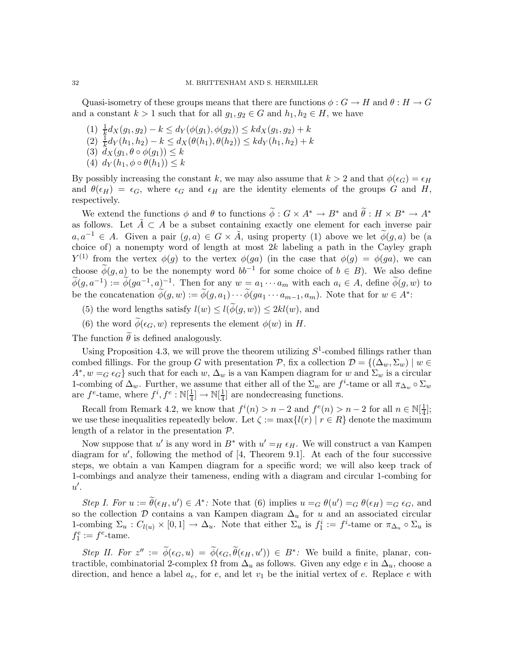Quasi-isometry of these groups means that there are functions  $\phi : G \to H$  and  $\theta : H \to G$ and a constant  $k > 1$  such that for all  $g_1, g_2 \in G$  and  $h_1, h_2 \in H$ , we have

- (1)  $\frac{1}{k}d_X(g_1,g_2) k \leq d_Y(\phi(g_1), \phi(g_2)) \leq k d_X(g_1,g_2) + k$
- (2)  $\frac{1}{k}d_Y(h_1,h_2) k \leq d_X(\theta(h_1),\theta(h_2)) \leq k d_Y(h_1,h_2) + k$
- (3)  $d_X(g_1, \theta \circ \phi(g_1)) \leq k$
- (4)  $d_Y(h_1, \phi \circ \theta(h_1)) \leq k$

By possibly increasing the constant k, we may also assume that  $k > 2$  and that  $\phi(\epsilon_G) = \epsilon_H$ and  $\theta(\epsilon_H) = \epsilon_G$ , where  $\epsilon_G$  and  $\epsilon_H$  are the identity elements of the groups G and H, respectively.

We extend the functions  $\phi$  and  $\theta$  to functions  $\widetilde{\phi}: G \times A^* \to B^*$  and  $\widetilde{\theta}: H \times B^* \to A^*$ as follows. Let  $\tilde{A} \subset A$  be a subset containing exactly one element for each inverse pair  $a,a^{-1} \in A$ . Given a pair  $(g,a) \in G \times \tilde{A}$ , using property (1) above we let  $\tilde{\phi}(g,a)$  be (a choice of) a nonempty word of length at most  $2k$  labeling a path in the Cayley graph  $Y^{(1)}$  from the vertex  $\phi(g)$  to the vertex  $\phi(ga)$  (in the case that  $\phi(g) = \phi(ga)$ , we can choose  $\widetilde{\phi}(g,a)$  to be the nonempty word  $bb^{-1}$  for some choice of  $b \in B$ ). We also define  $\widetilde{\phi}(g, a^{-1}) := \widetilde{\phi}(ga^{-1}, a)^{-1}$ . Then for any  $w = a_1 \cdots a_m$  with each  $a_i \in A$ , define  $\widetilde{\phi}(g, w)$  to be the concatenation  $\widetilde{\phi}(g, w) := \widetilde{\phi}(g, a_1) \cdots \widetilde{\phi}(ga_1 \cdots a_{m-1}, a_m)$ . Note that for  $w \in A^*$ :

- (5) the word lengths satisfy  $l(w) \leq l(\widetilde{\phi}(g,w)) \leq 2kl(w)$ , and
- (6) the word  $\widetilde{\phi}(\epsilon_G, w)$  represents the element  $\phi(w)$  in H.

The function  $\theta$  is defined analogously.

Using Proposition 4.3, we will prove the theorem utilizing  $S^1$ -combed fillings rather than combed fillings. For the group G with presentation P, fix a collection  $\mathcal{D} = \{(\Delta_w, \Sigma_w) \mid w \in$  $A^*, w =_G \epsilon_G$  such that for each w,  $\Delta_w$  is a van Kampen diagram for w and  $\Sigma_w$  is a circular 1-combing of  $\Delta_w$ . Further, we assume that either all of the  $\Sigma_w$  are  $f^i$ -tame or all  $\pi_{\Delta_w} \circ \Sigma_w$ are  $f^e$ -tame, where  $f^i, f^e : \mathbb{N}[\frac{1}{4}]$  $\frac{1}{4}$ ]  $\rightarrow \mathbb{N}[\frac{1}{4}]$  $\frac{1}{4}$  are nondecreasing functions.

Recall from Remark 4.2, we know that  $f^{i}(n) > n-2$  and  $f^{e}(n) > n-2$  for all  $n \in \mathbb{N}[\frac{1}{4}]$  $\frac{1}{4}$ ; we use these inequalities repeatedly below. Let  $\zeta := \max\{l(r) | r \in R\}$  denote the maximum length of a relator in the presentation P.

Now suppose that u' is any word in  $B^*$  with  $u' = H \epsilon_H$ . We will construct a van Kampen diagram for  $u'$ , following the method of [4, Theorem 9.1]. At each of the four successive steps, we obtain a van Kampen diagram for a specific word; we will also keep track of 1-combings and analyze their tameness, ending with a diagram and circular 1-combing for  $u'.$ 

*Step I. For*  $u := \tilde{\theta}(\epsilon_H, u') \in A^*$ : Note that (6) implies  $u = G \theta(u') = G \theta(\epsilon_H) = G \epsilon_G$ , and so the collection  $D$  contains a van Kampen diagram  $\Delta_u$  for u and an associated circular 1-combing  $\Sigma_u : C_{l(u)} \times [0,1] \to \Delta_u$ . Note that either  $\Sigma_u$  is  $f_1^i := f^i$ -tame or  $\pi_{\Delta_u} \circ \Sigma_u$  is  $f_1^e := f^e$ -tame.

*Step II. For*  $z'' := \widetilde{\phi}(\epsilon_G, u) = \widetilde{\phi}(\epsilon_G, \widetilde{\theta}(\epsilon_H, u')) \in B^*$ : We build a finite, planar, contractible, combinatorial 2-complex  $\Omega$  from  $\Delta_u$  as follows. Given any edge e in  $\Delta_u$ , choose a direction, and hence a label  $a_e$ , for e, and let  $v_1$  be the initial vertex of e. Replace e with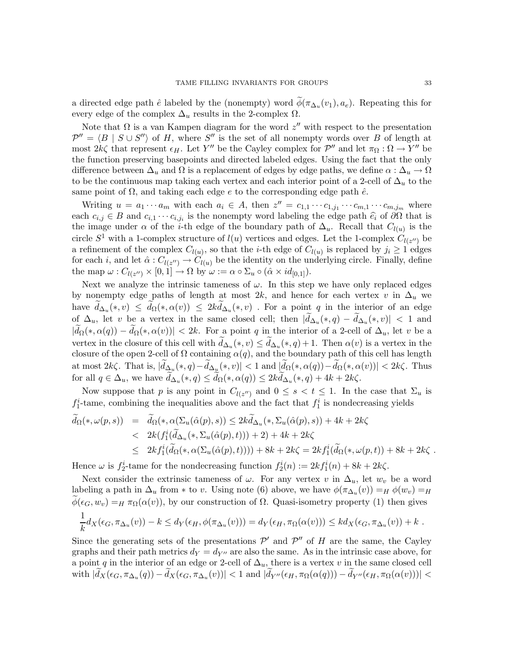a directed edge path  $\hat{e}$  labeled by the (nonempty) word  $\phi(\pi_{\Delta_u}(v_1), a_e)$ . Repeating this for every edge of the complex  $\Delta_u$  results in the 2-complex  $\Omega$ .

Note that  $\Omega$  is a van Kampen diagram for the word  $z''$  with respect to the presentation  $\mathcal{P}'' = \langle B | S \cup S'' \rangle$  of H, where  $S''$  is the set of all nonempty words over B of length at most  $2k\zeta$  that represent  $\epsilon_H$ . Let Y'' be the Cayley complex for  $\mathcal{P}''$  and let  $\pi_{\Omega}: \Omega \to Y''$  be the function preserving basepoints and directed labeled edges. Using the fact that the only difference between  $\Delta_u$  and  $\Omega$  is a replacement of edges by edge paths, we define  $\alpha : \Delta_u \to \Omega$ to be the continuous map taking each vertex and each interior point of a 2-cell of  $\Delta_u$  to the same point of  $\Omega$ , and taking each edge e to the corresponding edge path  $\hat{e}$ .

Writing  $u = a_1 \cdots a_m$  with each  $a_i \in A$ , then  $z'' = c_{1,1} \cdots c_{1,j_1} \cdots c_{m,1} \cdots c_{m,j_m}$  where each  $c_{i,j} \in B$  and  $c_{i,1} \cdots c_{i,j_i}$  is the nonempty word labeling the edge path  $\hat{e}_i$  of  $\partial\Omega$  that is the image under  $\alpha$  of the *i*-th edge of the boundary path of  $\Delta_u$ . Recall that  $C_{l(u)}$  is the circle  $S^1$  with a 1-complex structure of  $l(u)$  vertices and edges. Let the 1-complex  $C_{l(z'')}$  be a refinement of the complex  $C_{l(u)}$ , so that the *i*-th edge of  $C_{l(u)}$  is replaced by  $j_i \geq 1$  edges for each *i*, and let  $\hat{\alpha}: C_{l(z'')} \to C_{l(u)}$  be the identity on the underlying circle. Finally, define the map  $\omega: C_{l(z'')} \times [0,1] \to \Omega$  by  $\omega := \alpha \circ \Sigma_u \circ (\hat{\alpha} \times id_{[0,1]}).$ 

Next we analyze the intrinsic tameness of  $\omega$ . In this step we have only replaced edges by nonempty edge paths of length at most 2k, and hence for each vertex v in  $\Delta_u$  we have  $d_{\Delta_u}(*,v) \leq d_{\Omega}(*, \alpha(v)) \leq 2k d_{\Delta_u}(*,v)$ . For a point q in the interior of an edge of  $\Delta_u$ , let v be a vertex in the same closed cell; then  $|d_{\Delta_u}(*,q) - d_{\Delta_u}(*,v)| < 1$  and  $|\widetilde{d}_{\Omega}(*,\alpha(q)) - \widetilde{d}_{\Omega}(*,\alpha(v))|$  < 2k. For a point q in the interior of a 2-cell of  $\Delta_u$ , let v be a vertex in the closure of this cell with  $d_{\Delta_u}(*,v) \leq d_{\Delta_u}(*,q) + 1$ . Then  $\alpha(v)$  is a vertex in the closure of the open 2-cell of  $\Omega$  containing  $\alpha(q)$ , and the boundary path of this cell has length at most  $2k\zeta$ . That is,  $|d_{\Delta_{\mathcal{U}}}(*,q)-d_{\Delta_{\mathcal{U}}}(*,v)| < 1$  and  $|d_{\Omega}(*,\alpha(q))-d_{\Omega}(*,\alpha(v))| < 2k\zeta$ . Thus for all  $q \in \Delta_u$ , we have  $d_{\Delta_u}(*, q) \leq d_{\Omega}(*, \alpha(q)) \leq 2kd_{\Delta_u}(*, q) + 4k + 2k\zeta$ .

Now suppose that p is any point in  $C_{l(z'')}$  and  $0 \leq s < t \leq 1$ . In the case that  $\Sigma_u$  is  $f_1^i$ -tame, combining the inequalities above and the fact that  $f_1^i$  is nondecreasing yields

$$
\tilde{d}_{\Omega}(*,\omega(p,s)) = \tilde{d}_{\Omega}(*,\alpha(\Sigma_u(\hat{\alpha}(p),s)) \leq 2k\tilde{d}_{\Delta_u}(*,\Sigma_u(\hat{\alpha}(p),s)) + 4k + 2k\zeta
$$
\n
$$
< 2k(f_1^i(\tilde{d}_{\Delta_u}(*,\Sigma_u(\hat{\alpha}(p),t))) + 2) + 4k + 2k\zeta
$$
\n
$$
\leq 2kf_1^i(\tilde{d}_{\Omega}(*,\alpha(\Sigma_u(\hat{\alpha}(p),t)))) + 8k + 2k\zeta = 2kf_1^i(\tilde{d}_{\Omega}(*,\omega(p,t)) + 8k + 2k\zeta \; .
$$

Hence  $\omega$  is  $f_2^i$ -tame for the nondecreasing function  $f_2^i(n) := 2kf_1^i(n) + 8k + 2k\zeta$ .

Next consider the extrinsic tameness of  $\omega$ . For any vertex v in  $\Delta_u$ , let  $w_v$  be a word labeling a path in  $\Delta_u$  from \* to v. Using note (6) above, we have  $\phi(\pi_{\Delta_u}(v)) =_H \phi(w_v) =_H$  $\phi(\epsilon_G, w_v) =_H \pi_{\Omega}(\alpha(v))$ , by our construction of  $\Omega$ . Quasi-isometry property (1) then gives

$$
\frac{1}{k}d_X(\epsilon_G, \pi_{\Delta_u}(v)) - k \le d_Y(\epsilon_H, \phi(\pi_{\Delta_u}(v))) = d_Y(\epsilon_H, \pi_{\Omega}(\alpha(v))) \le k d_X(\epsilon_G, \pi_{\Delta_u}(v)) + k.
$$

Since the generating sets of the presentations  $\mathcal{P}'$  and  $\mathcal{P}''$  of H are the same, the Cayley graphs and their path metrics  $d_Y = d_{Y''}$  are also the same. As in the intrinsic case above, for a point q in the interior of an edge or 2-cell of  $\Delta_u$ , there is a vertex v in the same closed cell with  $|d_X(\epsilon_G, \pi_{\Delta_u}(q)) - d_X(\epsilon_G, \pi_{\Delta_u}(v))| < 1$  and  $|d_{Y''}(\epsilon_H, \pi_{\Omega}(\alpha(q))) - d_{Y''}(\epsilon_H, \pi_{\Omega}(\alpha(v)))| <$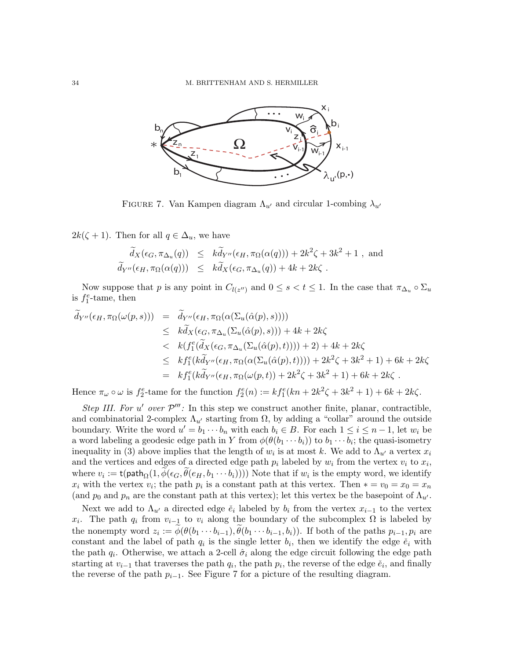

FIGURE 7. Van Kampen diagram  $\Lambda_{u'}$  and circular 1-combing  $\lambda_{u'}$ 

 $2k(\zeta + 1)$ . Then for all  $q \in \Delta_u$ , we have

$$
\widetilde{d}_X(\epsilon_G, \pi_{\Delta_u}(q)) \leq k \widetilde{d}_{Y''}(\epsilon_H, \pi_{\Omega}(\alpha(q))) + 2k^2 \zeta + 3k^2 + 1
$$
, and  
\n
$$
\widetilde{d}_{Y''}(\epsilon_H, \pi_{\Omega}(\alpha(q))) \leq k \widetilde{d}_X(\epsilon_G, \pi_{\Delta_u}(q)) + 4k + 2k\zeta.
$$

Now suppose that p is any point in  $C_{l(z'')}$  and  $0 \le s < t \le 1$ . In the case that  $\pi_{\Delta_u} \circ \Sigma_u$ is  $f_1^e$ -tame, then

$$
\tilde{d}_{Y''}(\epsilon_H, \pi_{\Omega}(\omega(p, s))) = \tilde{d}_{Y''}(\epsilon_H, \pi_{\Omega}(\alpha(\Sigma_u(\hat{\alpha}(p), s))))
$$
\n
$$
\leq k\tilde{d}_X(\epsilon_G, \pi_{\Delta_u}(\Sigma_u(\hat{\alpha}(p), s))) + 4k + 2k\zeta
$$
\n
$$
< k(f_1^e(\tilde{d}_X(\epsilon_G, \pi_{\Delta_u}(\Sigma_u(\hat{\alpha}(p), t)))) + 2) + 4k + 2k\zeta
$$
\n
$$
\leq k f_1^e(k\tilde{d}_{Y''}(\epsilon_H, \pi_{\Omega}(\alpha(\Sigma_u(\hat{\alpha}(p), t)))) + 2k^2\zeta + 3k^2 + 1) + 6k + 2k\zeta
$$
\n
$$
= k f_1^e(k\tilde{d}_{Y''}(\epsilon_H, \pi_{\Omega}(\omega(p, t)) + 2k^2\zeta + 3k^2 + 1) + 6k + 2k\zeta.
$$

Hence  $\pi_{\omega} \circ \omega$  is  $f_2^e$ -tame for the function  $f_2^e(n) := kf_1^e(kn + 2k^2\zeta + 3k^2 + 1) + 6k + 2k\zeta$ .

*Step III. For*  $u'$  *over*  $\mathcal{P}'''$ : In this step we construct another finite, planar, contractible, and combinatorial 2-complex  $\Lambda_{u'}$  starting from  $\Omega$ , by adding a "collar" around the outside boundary. Write the word  $u' = b_1 \cdots b_n$  with each  $b_i \in B$ . For each  $1 \le i \le n-1$ , let  $w_i$  be a word labeling a geodesic edge path in Y from  $\phi(\theta(b_1 \cdots b_i))$  to  $b_1 \cdots b_i$ ; the quasi-isometry inequality in (3) above implies that the length of  $w_i$  is at most k. We add to  $\Lambda_{u'}$  a vertex  $x_i$ and the vertices and edges of a directed edge path  $p_i$  labeled by  $w_i$  from the vertex  $v_i$  to  $x_i$ , where  $v_i := \mathsf{t}(\mathsf{path}_{\Omega}(1, \phi(\epsilon_G, \theta(e_H, b_1 \cdots b_i))))$  Note that if  $w_i$  is the empty word, we identify  $x_i$  with the vertex  $v_i$ ; the path  $p_i$  is a constant path at this vertex. Then  $* = v_0 = x_0 = x_n$ (and  $p_0$  and  $p_n$  are the constant path at this vertex); let this vertex be the basepoint of  $\Lambda_{u'}$ .

Next we add to  $\Lambda_{u'}$  a directed edge  $\check{e}_i$  labeled by  $b_i$  from the vertex  $x_{i-1}$  to the vertex  $x_i$ . The path  $q_i$  from  $v_{i-1}$  to  $v_i$  along the boundary of the subcomplex  $\Omega$  is labeled by the nonempty word  $z_i := \phi(\theta(b_1 \cdots b_{i-1}), \theta(b_1 \cdots b_{i-1}, b_i))$ . If both of the paths  $p_{i-1}, p_i$  are constant and the label of path  $q_i$  is the single letter  $b_i$ , then we identify the edge  $\check{e}_i$  with the path  $q_i$ . Otherwise, we attach a 2-cell  $\hat{\sigma}_i$  along the edge circuit following the edge path starting at  $v_{i-1}$  that traverses the path  $q_i$ , the path  $p_i$ , the reverse of the edge  $\check{e}_i$ , and finally the reverse of the path  $p_{i-1}$ . See Figure 7 for a picture of the resulting diagram.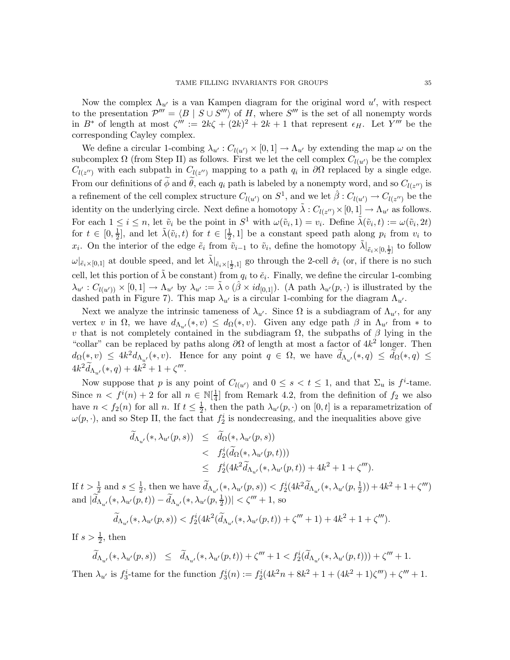Now the complex  $\Lambda_{u'}$  is a van Kampen diagram for the original word  $u'$ , with respect to the presentation  $\mathcal{P}''' = \langle B | S \cup S''' \rangle$  of H, where  $S'''$  is the set of all nonempty words in  $B^*$  of length at most  $\zeta''' := 2k\zeta + (2k)^2 + 2k + 1$  that represent  $\epsilon_H$ . Let  $\overline{Y'''}$  be the corresponding Cayley complex.

We define a circular 1-combing  $\lambda_{u'} : C_{l(u')} \times [0,1] \to \Lambda_{u'}$  by extending the map  $\omega$  on the subcomplex  $\Omega$  (from Step II) as follows. First we let the cell complex  $C_{l(u')}$  be the complex  $C_{l(z'')}$  with each subpath in  $C_{l(z'')}$  mapping to a path  $q_i$  in  $\partial\Omega$  replaced by a single edge. From our definitions of  $\phi$  and  $\theta$ , each  $q_i$  path is labeled by a nonempty word, and so  $C_{l(z'')}$  is a refinement of the cell complex structure  $C_{l(u')}$  on  $S^1$ , and we let  $\hat{\beta}: C_{l(u')} \to C_{l(z'')}$  be the identity on the underlying circle. Next define a homotopy  $\tilde{\lambda}: C_{l(z'')} \times [0,1] \to \Lambda_{u'}$  as follows. For each  $1 \leq i \leq n$ , let  $\tilde{v}_i$  be the point in  $S^1$  with  $\omega(\tilde{v}_i, 1) = v_i$ . Define  $\tilde{\lambda}(\tilde{v}_i, t) := \omega(\tilde{v}_i, 2t)$ for  $t \in [0, \frac{1}{2}]$  $\frac{1}{2}$ , and let  $\tilde{\lambda}(\tilde{v}_i, t)$  for  $t \in [\frac{1}{2}]$  $\frac{1}{2}$ , 1] be a constant speed path along  $p_i$  from  $v_i$  to  $x_i$ . On the interior of the edge  $\tilde{e}_i$  from  $\tilde{v}_{i-1}$  to  $\tilde{v}_i$ , define the homotopy  $\tilde{\lambda}|_{\tilde{e}_i \times [0, \frac{1}{2}]}$  to follow  $\omega|_{\tilde{e}_i \times [0,1]}$  at double speed, and let  $\tilde{\lambda}|_{\tilde{e}_i \times [\frac{1}{2},1]}$  go through the 2-cell  $\hat{\sigma}_i$  (or, if there is no such cell, let this portion of  $\tilde{\lambda}$  be constant) from  $q_i$  to  $\check{e}_i$ . Finally, we define the circular 1-combing  $\lambda_{u'}: C_{l(u')} \times [0,1] \to \Lambda_{u'}$  by  $\lambda_{u'} := \tilde{\lambda} \circ (\hat{\beta} \times id_{[0,1]}).$  (A path  $\lambda_{u'}(p,\cdot)$  is illustrated by the dashed path in Figure 7). This map  $\lambda_{u'}$  is a circular 1-combing for the diagram  $\Lambda_{u'}$ .

Next we analyze the intrinsic tameness of  $\lambda_{u'}$ . Since  $\Omega$  is a subdiagram of  $\Lambda_{u'}$ , for any vertex v in  $\Omega$ , we have  $d_{\Lambda_{u'}}(*,v) \leq d_{\Omega}(*,v)$ . Given any edge path  $\beta$  in  $\Lambda_{u'}$  from  $*$  to v that is not completely contained in the subdiagram  $\Omega$ , the subpaths of  $\beta$  lying in the "collar" can be replaced by paths along  $\partial\Omega$  of length at most a factor of  $4k^2$  longer. Then  $d_{\Omega}(\ast, v) \leq 4k^2 d_{\Lambda_{u'}}(\ast, v)$ . Hence for any point  $q \in \Omega$ , we have  $d_{\Lambda_{u'}}(\ast, q) \leq d_{\Omega}(\ast, q) \leq$  $4k^2 \widetilde{d}_{\Lambda_{u'}}(*, q) + 4k^2 + 1 + \zeta'''$ .

Now suppose that p is any point of  $C_{l(u')}$  and  $0 \leq s < t \leq 1$ , and that  $\Sigma_u$  is  $f^i$ -tame. Since  $n < f^{i}(n) + 2$  for all  $n \in \mathbb{N}[\frac{1}{4}]$  $\frac{1}{4}$  from Remark 4.2, from the definition of  $f_2$  we also have  $n < f_2(n)$  for all n. If  $t \leq \frac{1}{2}$  $\frac{1}{2}$ , then the path  $\lambda_{u'}(p, \cdot)$  on  $[0, t]$  is a reparametrization of  $\omega(p, \cdot)$ , and so Step II, the fact that  $f_2^i$  is nondecreasing, and the inequalities above give

$$
\tilde{d}_{\Lambda_{u'}}(*, \lambda_{u'}(p, s)) \leq \tilde{d}_{\Omega}(*, \lambda_{u'}(p, s)) \n
$$
\leq f_2^i(\tilde{d}_{\Omega}(*, \lambda_{u'}(p, t))) \n\leq f_2^i(4k^2\tilde{d}_{\Lambda_{u'}}(*, \lambda_{u'}(p, t)) + 4k^2 + 1 + \zeta''').
$$
$$

If  $t > \frac{1}{2}$  and  $s \leq \frac{1}{2}$  $\frac{1}{2}$ , then we have  $\widetilde{d}_{\Lambda_{u'}}(*, \lambda_{u'}(p, s)) < f_2^i(4k^2 \widetilde{d}_{\Lambda_{u'}}(*, \lambda_{u'}(p, \frac{1}{2})) + 4k^2 + 1 + \zeta''')$ and  $|\widetilde{d}_{\Lambda_{u'}}(*, \lambda_{u'}(p, t)) - \widetilde{d}_{\Lambda_{u'}}(*, \lambda_{u'}(p, \frac{1}{2}))| < \zeta''' + 1$ , so

$$
\widetilde{d}_{\Lambda_{u'}}(*, \lambda_{u'}(p, s)) < f_2^i(4k^2(\widetilde{d}_{\Lambda_{u'}}(*, \lambda_{u'}(p, t)) + \zeta''' + 1) + 4k^2 + 1 + \zeta''').
$$

If  $s > \frac{1}{2}$ , then

$$
\widetilde{d}_{\Lambda_{u'}}(*, \lambda_{u'}(p, s)) \leq \widetilde{d}_{\Lambda_{u'}}(*, \lambda_{u'}(p, t)) + \zeta''' + 1 < f_2^i(\widetilde{d}_{\Lambda_{u'}}(*, \lambda_{u'}(p, t))) + \zeta''' + 1.
$$

Then  $\lambda_{u'}$  is  $f_3^i$ -tame for the function  $f_3^i(n) := f_2^i(4k^2n + 8k^2 + 1 + (4k^2 + 1)\zeta''') + \zeta''' + 1$ .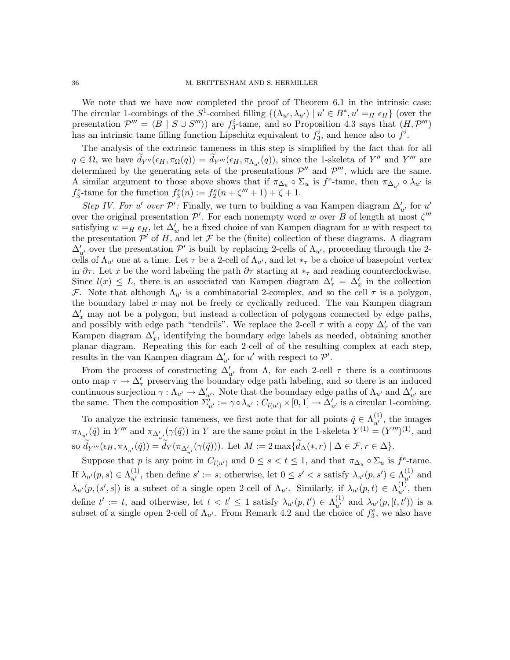We note that we have now completed the proof of Theorem 6.1 in the intrinsic case: The circular 1-combings of the  $S^1$ -combed filling  $\{(\Lambda_{u'}, \lambda_{u'}) | u' \in B^*, u' =_H \epsilon_H \}$  (over the presentation  $\mathcal{P}''' = \langle \overline{B} \mid S \cup S''' \rangle$  are  $f_3^i$ -tame, and so Proposition 4.3 says that  $(H, \mathcal{P}''')$ has an intrinsic tame filling function Lipschitz equivalent to  $f_3^i$ , and hence also to  $f^i$ .

The analysis of the extrinsic tameness in this step is simplified by the fact that for all  $q \in \Omega$ , we have  $\widetilde{d}_{Y''}(\epsilon_H, \pi_\Omega(q)) = \widetilde{d}_{Y'''}(\epsilon_H, \pi_{\Lambda_{u'}}(q))$ , since the 1-skeleta of Y'' and Y''' are determined by the generating sets of the presentations  $\mathcal{P}''$  and  $\mathcal{P}'''$ , which are the same. A similar argument to those above shows that if  $\pi_{\Delta_u} \circ \Sigma_u$  is  $f^e$ -tame, then  $\pi_{\Delta_{u'}} \circ \lambda_{u'}$  is  $f_3^e$ -tame for the function  $f_3^e(n) := f_2^e(n + \zeta''' + 1) + \zeta + 1$ .

*Step IV. For* u' *over*  $\mathcal{P}'$ : Finally, we turn to building a van Kampen diagram  $\Delta'_{u'}$  for u' over the original presentation  $\mathcal{P}'$ . For each nonempty word w over B of length at most  $\zeta'''$ satisfying  $w = H \epsilon_H$ , let  $\Delta'_w$  be a fixed choice of van Kampen diagram for w with respect to the presentation  $\overline{P}'$  of H, and let F be the (finite) collection of these diagrams. A diagram  $\Delta'_{u'}$  over the presentation  $\mathcal{P}'$  is built by replacing 2-cells of  $\Lambda_{u'}$ , proceeding through the 2cells of  $\Lambda_{u'}$  one at a time. Let  $\tau$  be a 2-cell of  $\Lambda_{u'}$ , and let  $*_\tau$  be a choice of basepoint vertex in  $\partial \tau$ . Let x be the word labeling the path  $\partial \tau$  starting at  $*_{\tau}$  and reading counterclockwise. Since  $l(x) \leq L$ , there is an associated van Kampen diagram  $\Delta'_{\tau} = \Delta'_{x}$  in the collection F. Note that although  $\Lambda_{u'}$  is a combinatorial 2-complex, and so the cell  $\tau$  is a polygon, the boundary label  $x$  may not be freely or cyclically reduced. The van Kampen diagram  $\Delta'_x$  may not be a polygon, but instead a collection of polygons connected by edge paths, and possibly with edge path "tendrils". We replace the 2-cell  $\tau$  with a copy  $\Delta'_{\tau}$  of the van Kampen diagram  $\Delta'_x$ , identifying the boundary edge labels as needed, obtaining another planar diagram. Repeating this for each 2-cell of of the resulting complex at each step, results in the van Kampen diagram  $\Delta'_{u'}$  for u' with respect to  $\mathcal{P}'$ .

From the process of constructing  $\Delta'_{u'}$  from  $\Lambda$ , for each 2-cell  $\tau$  there is a continuous onto map  $\tau \to \Delta'_{\tau}$  preserving the boundary edge path labeling, and so there is an induced continuous surjection  $\gamma : \Lambda_{u'} \to \Delta'_{u'}$ . Note that the boundary edge paths of  $\Lambda_{u'}$  and  $\Delta'_{u'}$  are the same. Then the composition  $\sum_{u'}^{\nu} := \gamma \circ \lambda_{u'} : C_{l(u')} \times [0, 1] \to \Delta'_{u'}$  is a circular 1-combing.

To analyze the extrinsic tameness, we first note that for all points  $\hat{q} \in \Lambda_{u'}^{(1)}$ , the images  $\pi_{\Lambda_{u'}}(\hat{q})$  in Y''' and  $\pi_{\Delta'_{u'}}(\gamma(\hat{q}))$  in Y are the same point in the 1-skeleta  $Y^{(1)} = (Y''')^{(1)}$ , and so  $d_{Y'''}(\epsilon_H, \pi_{\Lambda_{u'}}(\hat{q})) = d_Y(\pi_{\Delta'_{u'}}(\gamma(\hat{q})))$ . Let  $M := 2 \max\{d_{\Delta}(*, r) \mid \Delta \in \mathcal{F}, r \in \Delta\}$ .

Suppose that p is any point in  $C_{l(u')}$  and  $0 \leq s < t \leq 1$ , and that  $\pi_{\Delta_u} \circ \Sigma_u$  is  $f^e$ -tame. If  $\lambda_{u'}(p,s) \in \Lambda_{u'}^{(1)}$ , then define  $s' := s$ ; otherwise, let  $0 \le s' < s$  satisfy  $\lambda_{u'}(p,s') \in \Lambda_{u'}^{(1)}$  and  $\lambda_{u'}(p,(s',s])$  is a subset of a single open 2-cell of  $\Lambda_{u'}$ . Similarly, if  $\lambda_{u'}(p,t) \in \Lambda_{u'}^{(1)}$ , then define  $t' := t$ , and otherwise, let  $t < t' \leq 1$  satisfy  $\lambda_{u'}(p, t') \in \Lambda_{u'}^{(1)}$  and  $\lambda_{u'}(p, [t, t'])$  is a subset of a single open 2-cell of  $\Lambda_{u'}$ . From Remark 4.2 and the choice of  $f_3^e$ , we also have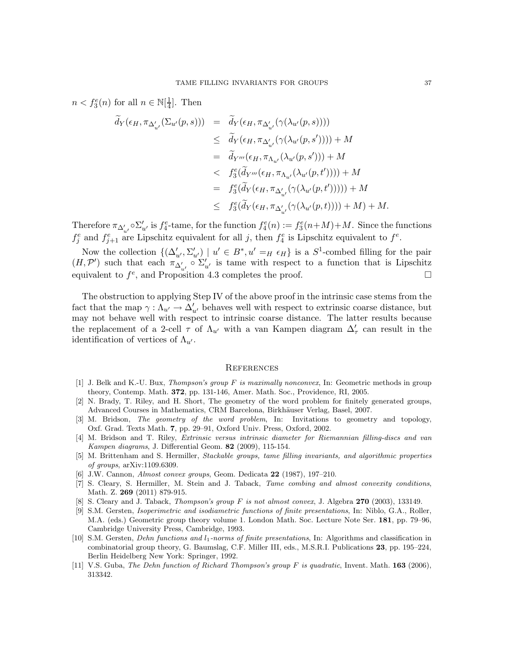$n < f_3^e(n)$  for all  $n \in \mathbb{N}[\frac{1}{4}]$  $\frac{1}{4}$ . Then

$$
\widetilde{d}_Y(\epsilon_H, \pi_{\Delta'_{u'}}(\Sigma_{u'}(p, s))) = \widetilde{d}_Y(\epsilon_H, \pi_{\Delta'_{u'}}(\gamma(\lambda_{u'}(p, s))))
$$
\n
$$
\leq \widetilde{d}_Y(\epsilon_H, \pi_{\Delta'_{u'}}(\gamma(\lambda_{u'}(p, s')))) + M
$$
\n
$$
= \widetilde{d}_{Y'''}(\epsilon_H, \pi_{\Lambda_{u'}}(\lambda_{u'}(p, s'))) + M
$$
\n
$$
< f_3^e(\widetilde{d}_{Y'''}(\epsilon_H, \pi_{\Lambda_{u'}}(\lambda_{u'}(p, t')))) + M
$$
\n
$$
= f_3^e(\widetilde{d}_Y(\epsilon_H, \pi_{\Delta'_{u'}}(\gamma(\lambda_{u'}(p, t'))))) + M
$$
\n
$$
\leq f_3^e(\widetilde{d}_Y(\epsilon_H, \pi_{\Delta'_{u'}}(\gamma(\lambda_{u'}(p, t)))) + M) + M.
$$

Therefore  $\pi_{\Delta'_{u'}} \circ \Sigma'_{u'}$  is  $f_4^e$ -tame, for the function  $f_4^e(n) := f_3^e(n+M) + M$ . Since the functions  $f_j^e$  and  $f_{j+1}^e$  are Lipschitz equivalent for all j, then  $f_4^e$  is Lipschitz equivalent to  $f^e$ .

Now the collection  $\{(\Delta'_{u'}, \Sigma'_{u'}) \mid u' \in B^*, u' =_H \epsilon_H\}$  is a  $S^1$ -combed filling for the pair  $(H, \mathcal{P}')$  such that each  $\pi_{\Delta'_{u'}}^u \circ \Sigma'_{u'}$  is tame with respect to a function that is Lipschitz equivalent to  $f^e$ , and Proposition 4.3 completes the proof.

The obstruction to applying Step IV of the above proof in the intrinsic case stems from the fact that the map  $\gamma : \Lambda_{u'} \to \Delta'_{u'}$  behaves well with respect to extrinsic coarse distance, but may not behave well with respect to intrinsic coarse distance. The latter results because the replacement of a 2-cell  $\tau$  of  $\Lambda_{u'}$  with a van Kampen diagram  $\Delta'_{\tau}$  can result in the identification of vertices of  $\Lambda_{u'}$ .

#### **REFERENCES**

- [1] J. Belk and K.-U. Bux, Thompson's group F is maximally nonconvex, In: Geometric methods in group theory, Contemp. Math. 372, pp. 131-146, Amer. Math. Soc., Providence, RI, 2005.
- [2] N. Brady, T. Riley, and H. Short, The geometry of the word problem for finitely generated groups, Advanced Courses in Mathematics, CRM Barcelona, Birkhäuser Verlag, Basel, 2007.
- [3] M. Bridson, The geometry of the word problem, In: Invitations to geometry and topology, Oxf. Grad. Texts Math. 7, pp. 29–91, Oxford Univ. Press, Oxford, 2002.
- [4] M. Bridson and T. Riley, Extrinsic versus intrinsic diameter for Riemannian filling-discs and van *Kampen diagrams, J. Differential Geom.* **82** (2009), 115-154.
- [5] M. Brittenham and S. Hermiller, Stackable groups, tame filling invariants, and algorithmic properties of groups, arXiv:1109.6309.
- [6] J.W. Cannon, Almost convex groups, Geom. Dedicata 22 (1987), 197–210.
- [7] S. Cleary, S. Hermiller, M. Stein and J. Taback, Tame combing and almost convexity conditions, Math. Z. 269 (2011) 879-915.
- [8] S. Cleary and J. Taback, *Thompson's group F is not almost convex*, J. Algebra 270 (2003), 133149.
- [9] S.M. Gersten, Isoperimetric and isodiametric functions of finite presentations, In: Niblo, G.A., Roller, M.A. (eds.) Geometric group theory volume 1. London Math. Soc. Lecture Note Ser. 181, pp. 79–96, Cambridge University Press, Cambridge, 1993.
- [10] S.M. Gersten, Dehn functions and l1-norms of finite presentations, In: Algorithms and classification in combinatorial group theory, G. Baumslag, C.F. Miller III, eds., M.S.R.I. Publications 23, pp. 195–224, Berlin Heidelberg New York: Springer, 1992.
- [11] V.S. Guba, The Dehn function of Richard Thompson's group F is quadratic, Invent. Math. 163 (2006), 313342.